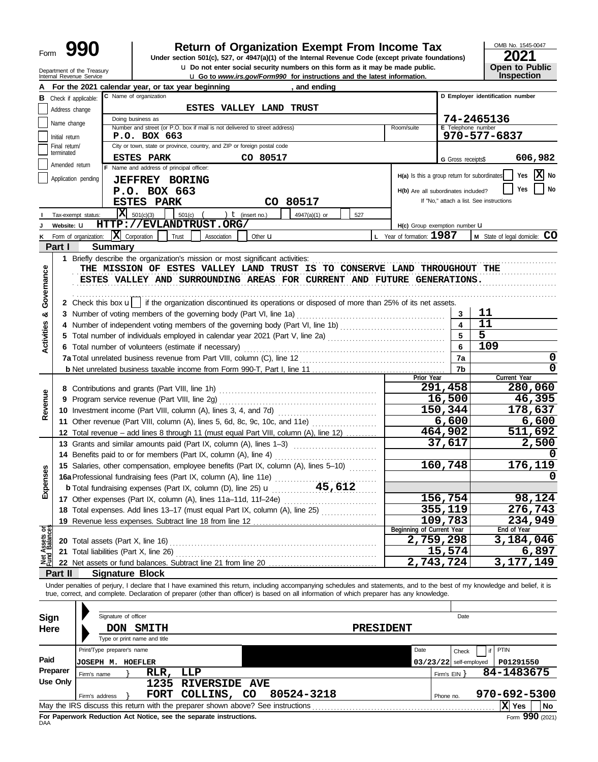| Form | $\mathbf \Omega$<br>Y. |
|------|------------------------|
|------|------------------------|

For Paperwork Reduction Act Notice, see the separate instructions.<br>DAA

# **990 2011 2018 2021 2018 2021 Depend in the Internal Revenue Code (except private foundations) 2021**

**u** Do not enter social security numbers on this form as it may be made public. **Open to Public** 

OMB No. 1545-0047 **IDED**<br>Inspection

Form **990** (2021)

**X**

|                   |                                 | Department of the Treasury<br>Internal Revenue Service |                                                   |                                                                                                                                            |                         | <b>u</b> Go to <i>www.irs.gov/Form990</i> for instructions and the latest information. | <b>u</b> Do not enter social security numbers on this form as it may be made public. |                          | <b>Open to Public</b><br>Inspection                                                                                                                                        |
|-------------------|---------------------------------|--------------------------------------------------------|---------------------------------------------------|--------------------------------------------------------------------------------------------------------------------------------------------|-------------------------|----------------------------------------------------------------------------------------|--------------------------------------------------------------------------------------|--------------------------|----------------------------------------------------------------------------------------------------------------------------------------------------------------------------|
|                   |                                 |                                                        | For the 2021 calendar year, or tax year beginning |                                                                                                                                            |                         | , and ending                                                                           |                                                                                      |                          |                                                                                                                                                                            |
|                   |                                 | <b>B</b> Check if applicable:                          | C Name of organization                            |                                                                                                                                            |                         |                                                                                        |                                                                                      |                          | D Employer identification number                                                                                                                                           |
|                   | Address change                  |                                                        |                                                   |                                                                                                                                            | ESTES VALLEY LAND TRUST |                                                                                        |                                                                                      |                          |                                                                                                                                                                            |
|                   | Name change                     |                                                        | Doing business as                                 |                                                                                                                                            |                         |                                                                                        |                                                                                      |                          | 74-2465136                                                                                                                                                                 |
|                   |                                 |                                                        | P.O. BOX 663                                      | Number and street (or P.O. box if mail is not delivered to street address)                                                                 |                         |                                                                                        | Room/suite                                                                           | E Telephone number       | 970-577-6837                                                                                                                                                               |
|                   | Initial return<br>Final return/ |                                                        |                                                   | City or town, state or province, country, and ZIP or foreign postal code                                                                   |                         |                                                                                        |                                                                                      |                          |                                                                                                                                                                            |
|                   | terminated                      |                                                        | <b>ESTES PARK</b>                                 |                                                                                                                                            | CO 80517                |                                                                                        |                                                                                      |                          | 606,982                                                                                                                                                                    |
|                   | Amended return                  |                                                        | F Name and address of principal officer:          |                                                                                                                                            |                         |                                                                                        |                                                                                      | G Gross receipts\$       |                                                                                                                                                                            |
|                   |                                 | Application pending                                    | <b>JEFFREY BORING</b>                             |                                                                                                                                            |                         |                                                                                        | H(a) Is this a group return for subordinates                                         |                          | X No<br>Yes                                                                                                                                                                |
|                   |                                 |                                                        | P.O. BOX 663                                      |                                                                                                                                            |                         |                                                                                        | H(b) Are all subordinates included?                                                  |                          | No<br>Yes                                                                                                                                                                  |
|                   |                                 |                                                        | <b>ESTES PARK</b>                                 |                                                                                                                                            | CO 80517                |                                                                                        |                                                                                      |                          | If "No," attach a list. See instructions                                                                                                                                   |
|                   |                                 | Tax-exempt status:                                     | $\overline{\mathbf{X}}$ 501(c)(3)                 | 501(c)                                                                                                                                     | $t$ (insert no.)        | 4947(a)(1) or<br>527                                                                   |                                                                                      |                          |                                                                                                                                                                            |
|                   | Website: U                      |                                                        |                                                   | HTTP://EVLANDTRUST.ORG/                                                                                                                    |                         |                                                                                        | H(c) Group exemption number LI                                                       |                          |                                                                                                                                                                            |
| ĸ                 |                                 | Form of organization:                                  | $ \mathbf{X} $ Corporation                        | Trust<br>Association                                                                                                                       | Other <b>u</b>          |                                                                                        | L Year of formation: 1987                                                            |                          | M State of legal domicile: CO                                                                                                                                              |
|                   | Part I                          |                                                        | <b>Summary</b>                                    |                                                                                                                                            |                         |                                                                                        |                                                                                      |                          |                                                                                                                                                                            |
|                   |                                 |                                                        |                                                   | 1 Briefly describe the organization's mission or most significant activities:                                                              |                         |                                                                                        |                                                                                      |                          |                                                                                                                                                                            |
|                   |                                 |                                                        |                                                   | THE MISSION OF ESTES VALLEY LAND TRUST IS TO CONSERVE LAND THROUGHOUT THE                                                                  |                         |                                                                                        |                                                                                      |                          |                                                                                                                                                                            |
| Governance        |                                 |                                                        |                                                   | ESTES VALLEY AND SURROUNDING AREAS FOR CURRENT AND FUTURE GENERATIONS.                                                                     |                         |                                                                                        |                                                                                      |                          |                                                                                                                                                                            |
|                   |                                 |                                                        |                                                   |                                                                                                                                            |                         |                                                                                        |                                                                                      |                          |                                                                                                                                                                            |
|                   |                                 |                                                        |                                                   | 2 Check this box u   if the organization discontinued its operations or disposed of more than 25% of its net assets.                       |                         |                                                                                        |                                                                                      |                          |                                                                                                                                                                            |
| න්                |                                 |                                                        |                                                   | 3 Number of voting members of the governing body (Part VI, line 1a)                                                                        |                         |                                                                                        |                                                                                      | 3                        | 11                                                                                                                                                                         |
|                   |                                 |                                                        |                                                   |                                                                                                                                            |                         |                                                                                        |                                                                                      | 4                        | 11                                                                                                                                                                         |
| <b>Activities</b> |                                 |                                                        |                                                   |                                                                                                                                            |                         |                                                                                        |                                                                                      |                          | $\overline{5}$                                                                                                                                                             |
|                   |                                 |                                                        |                                                   | 6 Total number of volunteers (estimate if necessary)                                                                                       |                         |                                                                                        |                                                                                      | 6                        | 109                                                                                                                                                                        |
|                   |                                 |                                                        |                                                   |                                                                                                                                            |                         |                                                                                        |                                                                                      | 7a                       | 0                                                                                                                                                                          |
|                   |                                 |                                                        |                                                   |                                                                                                                                            |                         |                                                                                        | Prior Year                                                                           | 7b                       | $\mathbf 0$<br>Current Year                                                                                                                                                |
|                   |                                 |                                                        |                                                   |                                                                                                                                            |                         |                                                                                        |                                                                                      | 291,458                  | 280,060                                                                                                                                                                    |
|                   | 9                               |                                                        |                                                   |                                                                                                                                            | 16,500                  | 46,395                                                                                 |                                                                                      |                          |                                                                                                                                                                            |
| Revenue           |                                 |                                                        |                                                   |                                                                                                                                            |                         |                                                                                        |                                                                                      | 150,344                  | 178,637                                                                                                                                                                    |
|                   |                                 |                                                        |                                                   | 11 Other revenue (Part VIII, column (A), lines 5, 6d, 8c, 9c, 10c, and 11e)                                                                |                         |                                                                                        |                                                                                      | 6,600                    | 6,600                                                                                                                                                                      |
|                   |                                 |                                                        |                                                   | 12 Total revenue - add lines 8 through 11 (must equal Part VIII, column (A), line 12)                                                      |                         |                                                                                        |                                                                                      | 464,902                  | 511,692                                                                                                                                                                    |
|                   |                                 |                                                        |                                                   | 13 Grants and similar amounts paid (Part IX, column (A), lines 1-3)                                                                        |                         |                                                                                        |                                                                                      | 37,617                   | 2,500                                                                                                                                                                      |
|                   |                                 |                                                        |                                                   |                                                                                                                                            |                         |                                                                                        |                                                                                      |                          |                                                                                                                                                                            |
|                   |                                 |                                                        |                                                   | 15 Salaries, other compensation, employee benefits (Part IX, column (A), lines 5-10)                                                       |                         |                                                                                        |                                                                                      | 160,748                  | 176,119                                                                                                                                                                    |
| nses              |                                 |                                                        |                                                   | 16a Professional fundraising fees (Part IX, column (A), line 11e)                                                                          | .                       |                                                                                        |                                                                                      |                          |                                                                                                                                                                            |
| Exper             |                                 |                                                        |                                                   |                                                                                                                                            |                         |                                                                                        |                                                                                      |                          |                                                                                                                                                                            |
|                   |                                 |                                                        |                                                   |                                                                                                                                            |                         |                                                                                        |                                                                                      | 156,754                  | 98,124                                                                                                                                                                     |
|                   |                                 |                                                        |                                                   | 18 Total expenses. Add lines 13-17 (must equal Part IX, column (A), line 25)                                                               |                         |                                                                                        |                                                                                      | 355,119                  | 276,743                                                                                                                                                                    |
|                   |                                 |                                                        |                                                   |                                                                                                                                            |                         |                                                                                        |                                                                                      | 109,783                  | 234,949                                                                                                                                                                    |
| Net Assets or     |                                 |                                                        |                                                   |                                                                                                                                            |                         |                                                                                        | Beginning of Current Year                                                            | $\overline{2,759,298}$   | End of Year<br>3,184,046                                                                                                                                                   |
|                   |                                 |                                                        | 21 Total liabilities (Part X, line 26)            |                                                                                                                                            |                         |                                                                                        |                                                                                      | 15,574                   | 6,897                                                                                                                                                                      |
|                   |                                 |                                                        |                                                   |                                                                                                                                            |                         |                                                                                        |                                                                                      | 2,743,724                | 3,177,149                                                                                                                                                                  |
|                   | Part II                         |                                                        | <b>Signature Block</b>                            |                                                                                                                                            |                         |                                                                                        |                                                                                      |                          |                                                                                                                                                                            |
|                   |                                 |                                                        |                                                   |                                                                                                                                            |                         |                                                                                        |                                                                                      |                          | Under penalties of perjury, I declare that I have examined this return, including accompanying schedules and statements, and to the best of my knowledge and belief, it is |
|                   |                                 |                                                        |                                                   | true, correct, and complete. Declaration of preparer (other than officer) is based on all information of which preparer has any knowledge. |                         |                                                                                        |                                                                                      |                          |                                                                                                                                                                            |
|                   |                                 |                                                        |                                                   |                                                                                                                                            |                         |                                                                                        |                                                                                      |                          |                                                                                                                                                                            |
| Sign              |                                 |                                                        | Signature of officer                              |                                                                                                                                            |                         |                                                                                        |                                                                                      | Date                     |                                                                                                                                                                            |
| <b>Here</b>       |                                 |                                                        | DON SMITH                                         |                                                                                                                                            |                         |                                                                                        | <b>PRESIDENT</b>                                                                     |                          |                                                                                                                                                                            |
|                   |                                 |                                                        | Type or print name and title                      |                                                                                                                                            |                         |                                                                                        |                                                                                      |                          |                                                                                                                                                                            |
|                   |                                 |                                                        | Print/Type preparer's name                        |                                                                                                                                            |                         |                                                                                        | Date                                                                                 | Check                    | PTIN<br>if                                                                                                                                                                 |
| Paid              |                                 |                                                        | <b>JOSEPH M. HOEFLER</b>                          |                                                                                                                                            |                         |                                                                                        |                                                                                      | $03/23/22$ self-employed | P01291550                                                                                                                                                                  |
|                   | Preparer                        | Firm's name                                            | RLR,                                              | LLP                                                                                                                                        |                         |                                                                                        |                                                                                      | Firm's $EIN$ }           | 84-1483675                                                                                                                                                                 |
|                   | Use Only                        |                                                        | 1235                                              | <b>RIVERSIDE AVE</b>                                                                                                                       |                         |                                                                                        |                                                                                      |                          |                                                                                                                                                                            |
|                   |                                 | Firm's address                                         |                                                   | FORT COLLINS, CO                                                                                                                           | 80524-3218              |                                                                                        |                                                                                      | Phone no.                | 970-692-5300                                                                                                                                                               |
|                   |                                 |                                                        |                                                   |                                                                                                                                            |                         |                                                                                        |                                                                                      |                          | X Yes<br>No                                                                                                                                                                |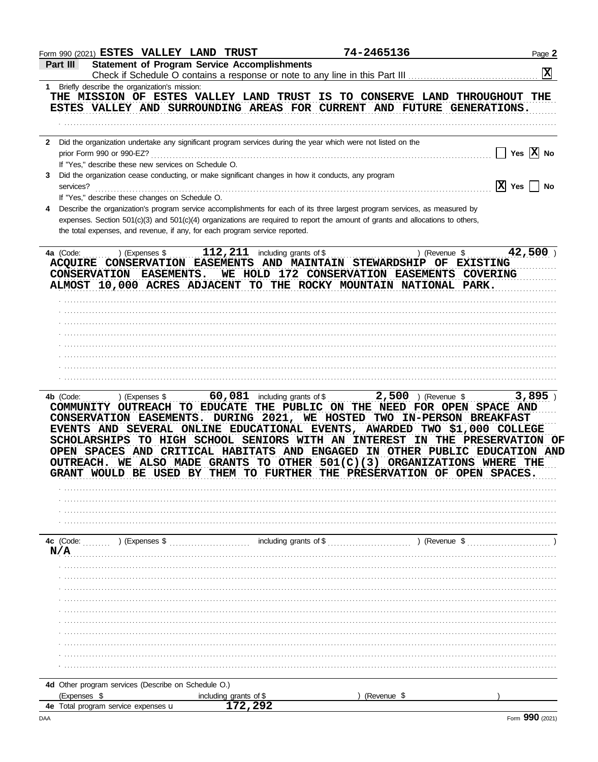| Form 990 (2021) ESTES VALLEY LAND TRUST                                                                                                                                                                                                                                                                                                  |                                              | 74-2465136                                                                                                                                                                                                                                                   | Page 2                                                                           |
|------------------------------------------------------------------------------------------------------------------------------------------------------------------------------------------------------------------------------------------------------------------------------------------------------------------------------------------|----------------------------------------------|--------------------------------------------------------------------------------------------------------------------------------------------------------------------------------------------------------------------------------------------------------------|----------------------------------------------------------------------------------|
| <b>Statement of Program Service Accomplishments</b><br>Part III                                                                                                                                                                                                                                                                          |                                              |                                                                                                                                                                                                                                                              | X                                                                                |
| 1 Briefly describe the organization's mission:                                                                                                                                                                                                                                                                                           |                                              |                                                                                                                                                                                                                                                              |                                                                                  |
| THE MISSION OF ESTES VALLEY LAND TRUST IS TO CONSERVE LAND THROUGHOUT THE<br>ESTES VALLEY AND SURROUNDING AREAS FOR CURRENT AND FUTURE GENERATIONS.                                                                                                                                                                                      |                                              |                                                                                                                                                                                                                                                              |                                                                                  |
| 2 Did the organization undertake any significant program services during the year which were not listed on the                                                                                                                                                                                                                           |                                              |                                                                                                                                                                                                                                                              |                                                                                  |
| prior Form 990 or 990-EZ?<br>If "Yes," describe these new services on Schedule O.                                                                                                                                                                                                                                                        |                                              |                                                                                                                                                                                                                                                              | Yes $ X $ No                                                                     |
| Did the organization cease conducting, or make significant changes in how it conducts, any program<br>3<br>services?                                                                                                                                                                                                                     |                                              |                                                                                                                                                                                                                                                              | $ X $ Yes<br><b>No</b>                                                           |
| If "Yes," describe these changes on Schedule O.                                                                                                                                                                                                                                                                                          |                                              |                                                                                                                                                                                                                                                              |                                                                                  |
| the total expenses, and revenue, if any, for each program service reported.                                                                                                                                                                                                                                                              |                                              | Describe the organization's program service accomplishments for each of its three largest program services, as measured by<br>expenses. Section 501(c)(3) and 501(c)(4) organizations are required to report the amount of grants and allocations to others, |                                                                                  |
| ) (Expenses \$<br>4a (Code:<br>ACQUIRE CONSERVATION EASEMENTS AND MAINTAIN STEWARDSHIP OF EXISTING<br>CONSERVATION EASEMENTS.<br>ALMOST 10,000 ACRES ADJACENT TO THE ROCKY MOUNTAIN NATIONAL PARK.                                                                                                                                       | $112$ , $211$ including grants of \$         | ) (Revenue \$<br>WE HOLD 172 CONSERVATION EASEMENTS COVERING                                                                                                                                                                                                 | $42,500$ )                                                                       |
|                                                                                                                                                                                                                                                                                                                                          |                                              |                                                                                                                                                                                                                                                              |                                                                                  |
|                                                                                                                                                                                                                                                                                                                                          |                                              |                                                                                                                                                                                                                                                              |                                                                                  |
|                                                                                                                                                                                                                                                                                                                                          |                                              |                                                                                                                                                                                                                                                              |                                                                                  |
|                                                                                                                                                                                                                                                                                                                                          |                                              |                                                                                                                                                                                                                                                              |                                                                                  |
|                                                                                                                                                                                                                                                                                                                                          |                                              |                                                                                                                                                                                                                                                              |                                                                                  |
| COMMUNITY OUTREACH TO EDUCATE THE PUBLIC ON THE NEED FOR OPEN SPACE AND<br>CONSERVATION EASEMENTS.<br>EVENTS AND SEVERAL ONLINE EDUCATIONAL EVENTS,<br>SCHOLARSHIPS TO HIGH SCHOOL SENIORS WITH AN INTEREST<br>OPEN SPACES AND CRITICAL HABITATS AND ENGAGED IN OTHER PUBLIC EDUCATION AND<br><b>OUTREACH.</b><br>GRANT WOULD BE USED BY | DURING 2021, WE HOSTED<br>THEM<br>TO FURTHER | WE ALSO MADE GRANTS TO OTHER 501(C)(3) ORGANIZATIONS WHERE THE<br>THE PRESERVATION OF OPEN SPACES.                                                                                                                                                           | TWO IN-PERSON BREAKFAST<br>AWARDED TWO \$1,000 COLLEGE<br>IN THE PRESERVATION OF |
| 4c (Code: (2000) (Expenses \$ (2000) (Expenses \$ (2000) (Expenses \$ (2000) (2000) (2000) (2000) (2000) (2000) (2000) (2000) (2000) (2000) (2000) (2000) (2000) (2000) (2000) (2000) (2000) (2000) (2000) (2000) (2000) (2000) (<br>N/A                                                                                                 |                                              |                                                                                                                                                                                                                                                              |                                                                                  |
|                                                                                                                                                                                                                                                                                                                                          |                                              |                                                                                                                                                                                                                                                              |                                                                                  |
|                                                                                                                                                                                                                                                                                                                                          |                                              |                                                                                                                                                                                                                                                              |                                                                                  |
|                                                                                                                                                                                                                                                                                                                                          |                                              |                                                                                                                                                                                                                                                              |                                                                                  |
|                                                                                                                                                                                                                                                                                                                                          |                                              |                                                                                                                                                                                                                                                              |                                                                                  |
|                                                                                                                                                                                                                                                                                                                                          |                                              |                                                                                                                                                                                                                                                              |                                                                                  |
|                                                                                                                                                                                                                                                                                                                                          |                                              |                                                                                                                                                                                                                                                              |                                                                                  |
|                                                                                                                                                                                                                                                                                                                                          |                                              |                                                                                                                                                                                                                                                              |                                                                                  |
|                                                                                                                                                                                                                                                                                                                                          |                                              |                                                                                                                                                                                                                                                              |                                                                                  |
|                                                                                                                                                                                                                                                                                                                                          |                                              |                                                                                                                                                                                                                                                              |                                                                                  |
| 4d Other program services (Describe on Schedule O.)<br>(Expenses \$                                                                                                                                                                                                                                                                      | including grants of \$                       |                                                                                                                                                                                                                                                              |                                                                                  |
|                                                                                                                                                                                                                                                                                                                                          |                                              |                                                                                                                                                                                                                                                              |                                                                                  |
| 4e Total program service expenses u                                                                                                                                                                                                                                                                                                      | 172,292                                      | (Revenue \$                                                                                                                                                                                                                                                  |                                                                                  |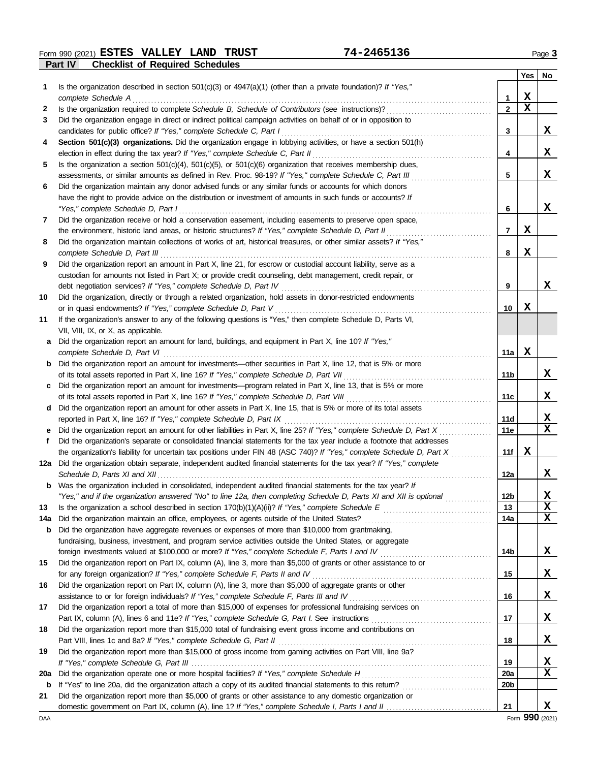**Part IV Checklist of Required Schedules Form 990 (2021) ESTES VALLEY LAND TRUST** 74-2465136 Page 3

|            |                                                                                                                                                                               |                 | Yes         | No |
|------------|-------------------------------------------------------------------------------------------------------------------------------------------------------------------------------|-----------------|-------------|----|
| 1          | Is the organization described in section $501(c)(3)$ or $4947(a)(1)$ (other than a private foundation)? If "Yes,"                                                             |                 |             |    |
|            | complete Schedule A                                                                                                                                                           | 1               | X           |    |
| 2          | Is the organization required to complete Schedule B, Schedule of Contributors (see instructions)?                                                                             | $\mathbf{2}$    | $\mathbf x$ |    |
| 3          | Did the organization engage in direct or indirect political campaign activities on behalf of or in opposition to                                                              |                 |             |    |
|            | candidates for public office? If "Yes," complete Schedule C, Part I                                                                                                           | 3               |             | X  |
| 4          | Section 501(c)(3) organizations. Did the organization engage in lobbying activities, or have a section 501(h)                                                                 |                 |             |    |
|            | election in effect during the tax year? If "Yes," complete Schedule C, Part II                                                                                                | 4               |             | X  |
| 5          | Is the organization a section $501(c)(4)$ , $501(c)(5)$ , or $501(c)(6)$ organization that receives membership dues,                                                          |                 |             |    |
|            | assessments, or similar amounts as defined in Rev. Proc. 98-19? If "Yes," complete Schedule C, Part III                                                                       | 5               |             | x  |
| 6          | Did the organization maintain any donor advised funds or any similar funds or accounts for which donors                                                                       |                 |             |    |
|            | have the right to provide advice on the distribution or investment of amounts in such funds or accounts? If                                                                   |                 |             |    |
|            | "Yes," complete Schedule D, Part I                                                                                                                                            | 6               |             | x  |
| 7          | Did the organization receive or hold a conservation easement, including easements to preserve open space,                                                                     |                 |             |    |
|            | the environment, historic land areas, or historic structures? If "Yes," complete Schedule D, Part II                                                                          | $\overline{7}$  | X           |    |
| 8          | Did the organization maintain collections of works of art, historical treasures, or other similar assets? If "Yes,"                                                           |                 |             |    |
|            | complete Schedule D, Part III                                                                                                                                                 | 8               | X           |    |
| 9          | Did the organization report an amount in Part X, line 21, for escrow or custodial account liability, serve as a                                                               |                 |             |    |
|            | custodian for amounts not listed in Part X; or provide credit counseling, debt management, credit repair, or                                                                  | 9               |             | x  |
|            | debt negotiation services? If "Yes," complete Schedule D, Part IV                                                                                                             |                 |             |    |
| 10         | Did the organization, directly or through a related organization, hold assets in donor-restricted endowments<br>or in quasi endowments? If "Yes," complete Schedule D, Part V | 10              | X           |    |
| 11         | If the organization's answer to any of the following questions is "Yes," then complete Schedule D, Parts VI,                                                                  |                 |             |    |
|            | VII, VIII, IX, or X, as applicable.                                                                                                                                           |                 |             |    |
| а          | Did the organization report an amount for land, buildings, and equipment in Part X, line 10? If "Yes,"                                                                        |                 |             |    |
|            | complete Schedule D, Part VI                                                                                                                                                  | 11a             | X           |    |
| b          | Did the organization report an amount for investments—other securities in Part X, line 12, that is 5% or more                                                                 |                 |             |    |
|            | of its total assets reported in Part X, line 16? If "Yes," complete Schedule D, Part VII                                                                                      | 11b             |             | x  |
| с          | Did the organization report an amount for investments—program related in Part X, line 13, that is 5% or more                                                                  |                 |             |    |
|            | of its total assets reported in Part X, line 16? If "Yes," complete Schedule D, Part VIII                                                                                     | 11c             |             | x  |
| d          | Did the organization report an amount for other assets in Part X, line 15, that is 5% or more of its total assets                                                             |                 |             |    |
|            | reported in Part X, line 16? If "Yes," complete Schedule D, Part IX                                                                                                           | 11d             |             | X  |
|            | Did the organization report an amount for other liabilities in Part X, line 25? If "Yes," complete Schedule D, Part X                                                         | 11e             |             | X  |
| f          | Did the organization's separate or consolidated financial statements for the tax year include a footnote that addresses                                                       |                 |             |    |
|            | the organization's liability for uncertain tax positions under FIN 48 (ASC 740)? If "Yes," complete Schedule D, Part X                                                        | 11f             | X           |    |
|            | 12a Did the organization obtain separate, independent audited financial statements for the tax year? If "Yes," complete                                                       |                 |             |    |
|            |                                                                                                                                                                               | 12a             |             | X  |
|            | Was the organization included in consolidated, independent audited financial statements for the tax year? If                                                                  |                 |             |    |
|            | "Yes," and if the organization answered "No" to line 12a, then completing Schedule D, Parts XI and XII is optional                                                            | 12 <sub>b</sub> |             | X  |
| 13         |                                                                                                                                                                               | 13              |             | X  |
| 14a        | Did the organization maintain an office, employees, or agents outside of the United States?                                                                                   | 14a             |             | X  |
| b          | Did the organization have aggregate revenues or expenses of more than \$10,000 from grantmaking,                                                                              |                 |             |    |
|            | fundraising, business, investment, and program service activities outside the United States, or aggregate                                                                     |                 |             |    |
|            |                                                                                                                                                                               | 14b             |             | X  |
| 15         | Did the organization report on Part IX, column (A), line 3, more than \$5,000 of grants or other assistance to or                                                             |                 |             |    |
|            | for any foreign organization? If "Yes," complete Schedule F, Parts II and IV                                                                                                  | 15              |             | X  |
| 16         | Did the organization report on Part IX, column (A), line 3, more than \$5,000 of aggregate grants or other                                                                    |                 |             |    |
|            | assistance to or for foreign individuals? If "Yes," complete Schedule F, Parts III and IV [[[[[[[[[[[[[[[[[[[                                                                 | 16              |             | x  |
| 17         | Did the organization report a total of more than \$15,000 of expenses for professional fundraising services on                                                                |                 |             |    |
|            |                                                                                                                                                                               | 17              |             | x  |
| 18         | Did the organization report more than \$15,000 total of fundraising event gross income and contributions on                                                                   |                 |             |    |
|            | Part VIII, lines 1c and 8a? If "Yes," complete Schedule G, Part II                                                                                                            | 18              |             | X  |
| 19         | Did the organization report more than \$15,000 of gross income from gaming activities on Part VIII, line 9a?                                                                  |                 |             |    |
|            |                                                                                                                                                                               | 19              |             | X  |
| <b>20a</b> | Did the organization operate one or more hospital facilities? If "Yes," complete Schedule H                                                                                   | <b>20a</b>      |             | X  |
| b          | If "Yes" to line 20a, did the organization attach a copy of its audited financial statements to this return?                                                                  | 20 <sub>b</sub> |             |    |
| 21         | Did the organization report more than \$5,000 of grants or other assistance to any domestic organization or                                                                   |                 |             |    |
|            |                                                                                                                                                                               | 21              |             | X  |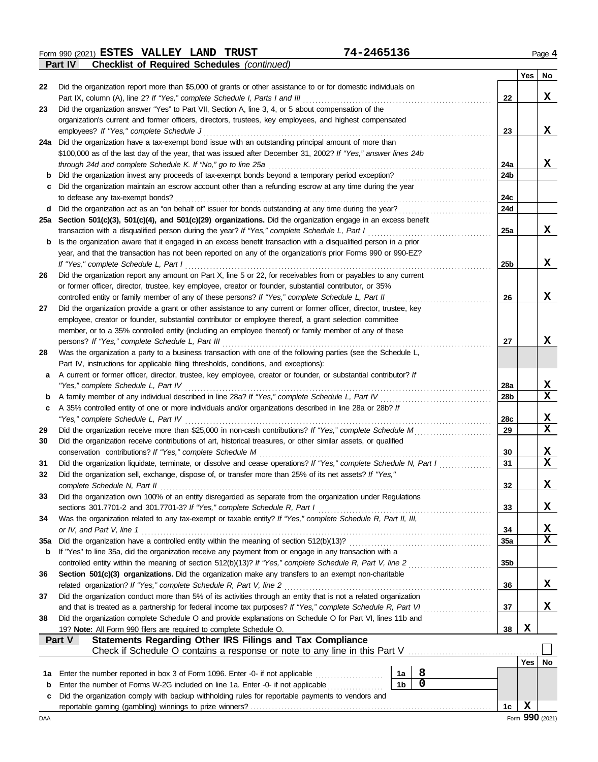**Form 990 (2021) ESTES VALLEY LAND TRUST** 74-2465136 Page 4

|             | Part IV<br><b>Checklist of Required Schedules (continued)</b>                                                                |                 |            |             |
|-------------|------------------------------------------------------------------------------------------------------------------------------|-----------------|------------|-------------|
|             |                                                                                                                              |                 | <b>Yes</b> | No          |
| 22          | Did the organization report more than \$5,000 of grants or other assistance to or for domestic individuals on                |                 |            |             |
|             | Part IX, column (A), line 2? If "Yes," complete Schedule I, Parts I and III                                                  | 22              |            | X           |
| 23          | Did the organization answer "Yes" to Part VII, Section A, line 3, 4, or 5 about compensation of the                          |                 |            |             |
|             | organization's current and former officers, directors, trustees, key employees, and highest compensated                      |                 |            |             |
|             | employees? If "Yes," complete Schedule J                                                                                     | 23              |            | X           |
|             | 24a Did the organization have a tax-exempt bond issue with an outstanding principal amount of more than                      |                 |            |             |
|             | \$100,000 as of the last day of the year, that was issued after December 31, 2002? If "Yes," answer lines 24b                |                 |            |             |
|             | through 24d and complete Schedule K. If "No," go to line 25a                                                                 | 24a             |            | X           |
|             | Did the organization invest any proceeds of tax-exempt bonds beyond a temporary period exception?                            | 24b             |            |             |
|             | Did the organization maintain an escrow account other than a refunding escrow at any time during the year                    |                 |            |             |
|             | to defease any tax-exempt bonds?                                                                                             | 24c             |            |             |
| d           | Did the organization act as an "on behalf of" issuer for bonds outstanding at any time during the year?                      | 24d             |            |             |
| 25а         | Section 501(c)(3), 501(c)(4), and 501(c)(29) organizations. Did the organization engage in an excess benefit                 |                 |            |             |
|             | transaction with a disqualified person during the year? If "Yes," complete Schedule L, Part I                                | 25a             |            | X           |
| b           | Is the organization aware that it engaged in an excess benefit transaction with a disqualified person in a prior             |                 |            |             |
|             | year, and that the transaction has not been reported on any of the organization's prior Forms 990 or 990-EZ?                 |                 |            |             |
|             | If "Yes," complete Schedule L, Part I                                                                                        | 25 <sub>b</sub> |            | X           |
| 26          | Did the organization report any amount on Part X, line 5 or 22, for receivables from or payables to any current              |                 |            |             |
|             | or former officer, director, trustee, key employee, creator or founder, substantial contributor, or 35%                      |                 |            |             |
|             | controlled entity or family member of any of these persons? If "Yes," complete Schedule L, Part II                           | 26              |            | X           |
| 27          | Did the organization provide a grant or other assistance to any current or former officer, director, trustee, key            |                 |            |             |
|             | employee, creator or founder, substantial contributor or employee thereof, a grant selection committee                       |                 |            |             |
|             | member, or to a 35% controlled entity (including an employee thereof) or family member of any of these                       |                 |            |             |
|             | persons? If "Yes," complete Schedule L, Part III                                                                             | 27              |            | X           |
| 28          | Was the organization a party to a business transaction with one of the following parties (see the Schedule L,                |                 |            |             |
|             | Part IV, instructions for applicable filing thresholds, conditions, and exceptions):                                         |                 |            |             |
| a           | A current or former officer, director, trustee, key employee, creator or founder, or substantial contributor? If             |                 |            |             |
|             | "Yes," complete Schedule L, Part IV<br>.                                                                                     | 28a             |            | X           |
| b           |                                                                                                                              | 28 <sub>b</sub> |            | $\mathbf x$ |
| с           | A 35% controlled entity of one or more individuals and/or organizations described in line 28a or 28b? If                     |                 |            |             |
|             | "Yes," complete Schedule L, Part IV                                                                                          | 28c             |            | X           |
| 29          | Did the organization receive more than \$25,000 in non-cash contributions? If "Yes," complete Schedule M                     | 29              |            | $\mathbf x$ |
| 30          | Did the organization receive contributions of art, historical treasures, or other similar assets, or qualified               |                 |            |             |
|             | conservation contributions? If "Yes," complete Schedule M                                                                    | 30              |            | X           |
| 31          | Did the organization liquidate, terminate, or dissolve and cease operations? If "Yes," complete Schedule N, Part I           | 31              |            | $\mathbf x$ |
| 32          | Did the organization sell, exchange, dispose of, or transfer more than 25% of its net assets? If "Yes,"                      |                 |            |             |
|             | complete Schedule N, Part II                                                                                                 | 32              |            | X           |
| 33          | Did the organization own 100% of an entity disregarded as separate from the organization under Regulations                   |                 |            |             |
|             | sections 301.7701-2 and 301.7701-3? If "Yes," complete Schedule R, Part I                                                    | 33              |            | X           |
| 34          | Was the organization related to any tax-exempt or taxable entity? If "Yes," complete Schedule R, Part II, III,               |                 |            |             |
|             | or IV, and Part V, line 1                                                                                                    | 34              |            | <u>x</u>    |
| <b>35a</b>  | Did the organization have a controlled entity within the meaning of section 512(b)(13)?                                      | 35a             |            | $\mathbf x$ |
| b           | If "Yes" to line 35a, did the organization receive any payment from or engage in any transaction with a                      |                 |            |             |
|             | controlled entity within the meaning of section 512(b)(13)? If "Yes," complete Schedule R, Part V, line 2                    | 35 <sub>b</sub> |            |             |
| 36          | Section 501(c)(3) organizations. Did the organization make any transfers to an exempt non-charitable                         |                 |            |             |
|             | related organization? If "Yes," complete Schedule R, Part V, line 2                                                          | 36              |            | x           |
| 37          | Did the organization conduct more than 5% of its activities through an entity that is not a related organization             |                 |            |             |
|             | and that is treated as a partnership for federal income tax purposes? If "Yes," complete Schedule R, Part VI                 | 37              |            | X           |
| 38          | Did the organization complete Schedule O and provide explanations on Schedule O for Part VI, lines 11b and                   |                 |            |             |
|             | 19? Note: All Form 990 filers are required to complete Schedule O.                                                           | 38              | х          |             |
|             | Statements Regarding Other IRS Filings and Tax Compliance<br>Part V                                                          |                 |            |             |
|             | Check if Schedule O contains a response or note to any line in this Part V                                                   |                 |            |             |
|             |                                                                                                                              |                 | Yes        | No          |
| 1a          | 8<br>Enter the number reported in box 3 of Form 1096. Enter -0- if not applicable<br>1a                                      |                 |            |             |
| $\mathbf b$ | $\overline{\mathbf{0}}$<br>1 <sub>b</sub><br>Enter the number of Forms W-2G included on line 1a. Enter -0- if not applicable |                 |            |             |
| c           | Did the organization comply with backup withholding rules for reportable payments to vendors and                             |                 |            |             |
|             |                                                                                                                              | 1c              | X          |             |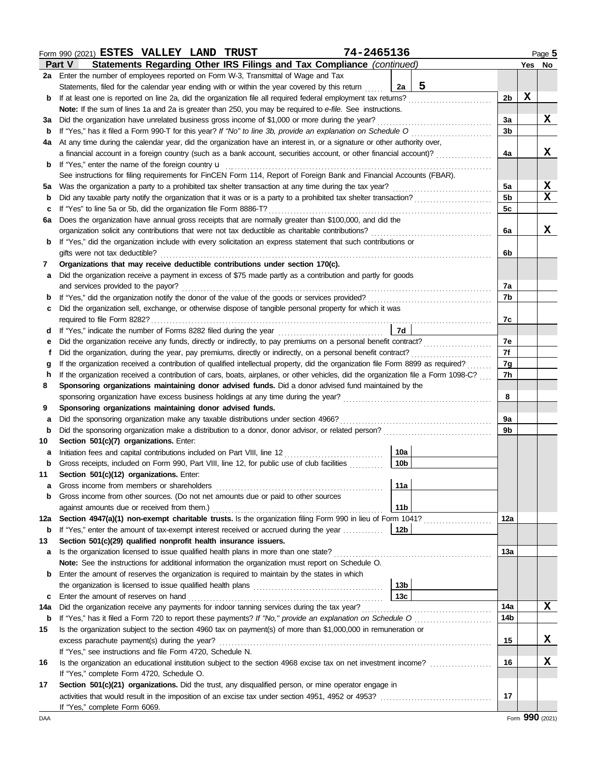|             | 74-2465136<br>Form 990 (2021) ESTES VALLEY LAND TRUST                                                                                                                                                                                                                  |          |        | Page 5          |  |  |  |  |  |  |  |  |  |
|-------------|------------------------------------------------------------------------------------------------------------------------------------------------------------------------------------------------------------------------------------------------------------------------|----------|--------|-----------------|--|--|--|--|--|--|--|--|--|
|             | Statements Regarding Other IRS Filings and Tax Compliance (continued)<br>Part V                                                                                                                                                                                        |          | Yes No |                 |  |  |  |  |  |  |  |  |  |
|             | 2a Enter the number of employees reported on Form W-3, Transmittal of Wage and Tax                                                                                                                                                                                     |          |        |                 |  |  |  |  |  |  |  |  |  |
|             | 5<br>Statements, filed for the calendar year ending with or within the year covered by this return<br>2a                                                                                                                                                               |          |        |                 |  |  |  |  |  |  |  |  |  |
| b           | If at least one is reported on line 2a, did the organization file all required federal employment tax returns?                                                                                                                                                         | 2b       | X      |                 |  |  |  |  |  |  |  |  |  |
|             | Note: If the sum of lines 1a and 2a is greater than 250, you may be required to e-file. See instructions.                                                                                                                                                              |          |        |                 |  |  |  |  |  |  |  |  |  |
| За          | Did the organization have unrelated business gross income of \$1,000 or more during the year?                                                                                                                                                                          | За       |        | X               |  |  |  |  |  |  |  |  |  |
| b           | If "Yes," has it filed a Form 990-T for this year? If "No" to line 3b, provide an explanation on Schedule O                                                                                                                                                            | 3b       |        |                 |  |  |  |  |  |  |  |  |  |
| 4a          | At any time during the calendar year, did the organization have an interest in, or a signature or other authority over,<br>4a                                                                                                                                          |          |        |                 |  |  |  |  |  |  |  |  |  |
|             | a financial account in a foreign country (such as a bank account, securities account, or other financial account)?                                                                                                                                                     |          |        |                 |  |  |  |  |  |  |  |  |  |
| b           | If "Yes," enter the name of the foreign country u                                                                                                                                                                                                                      |          |        |                 |  |  |  |  |  |  |  |  |  |
|             | See instructions for filing requirements for FinCEN Form 114, Report of Foreign Bank and Financial Accounts (FBAR).                                                                                                                                                    |          |        |                 |  |  |  |  |  |  |  |  |  |
| 5а          | Was the organization a party to a prohibited tax shelter transaction at any time during the tax year?                                                                                                                                                                  | 5a       |        | X               |  |  |  |  |  |  |  |  |  |
| b           | Did any taxable party notify the organization that it was or is a party to a prohibited tax shelter transaction?                                                                                                                                                       | 5b       |        | X               |  |  |  |  |  |  |  |  |  |
| c           | If "Yes" to line 5a or 5b, did the organization file Form 8886-T?                                                                                                                                                                                                      | 5c       |        |                 |  |  |  |  |  |  |  |  |  |
| 6a          | Does the organization have annual gross receipts that are normally greater than \$100,000, and did the                                                                                                                                                                 |          |        |                 |  |  |  |  |  |  |  |  |  |
|             | organization solicit any contributions that were not tax deductible as charitable contributions?                                                                                                                                                                       | 6a       |        | x               |  |  |  |  |  |  |  |  |  |
| b           | If "Yes," did the organization include with every solicitation an express statement that such contributions or                                                                                                                                                         |          |        |                 |  |  |  |  |  |  |  |  |  |
|             | gifts were not tax deductible?                                                                                                                                                                                                                                         | 6b       |        |                 |  |  |  |  |  |  |  |  |  |
| 7           | Organizations that may receive deductible contributions under section 170(c).                                                                                                                                                                                          |          |        |                 |  |  |  |  |  |  |  |  |  |
| а           | Did the organization receive a payment in excess of \$75 made partly as a contribution and partly for goods                                                                                                                                                            |          |        |                 |  |  |  |  |  |  |  |  |  |
|             | and services provided to the payor?                                                                                                                                                                                                                                    | 7a       |        |                 |  |  |  |  |  |  |  |  |  |
| b           |                                                                                                                                                                                                                                                                        | 7b       |        |                 |  |  |  |  |  |  |  |  |  |
| с           | Did the organization sell, exchange, or otherwise dispose of tangible personal property for which it was                                                                                                                                                               |          |        |                 |  |  |  |  |  |  |  |  |  |
|             |                                                                                                                                                                                                                                                                        | 7c       |        |                 |  |  |  |  |  |  |  |  |  |
| d           | 7d                                                                                                                                                                                                                                                                     |          |        |                 |  |  |  |  |  |  |  |  |  |
| е           | Did the organization receive any funds, directly or indirectly, to pay premiums on a personal benefit contract?                                                                                                                                                        | 7e<br>7f |        |                 |  |  |  |  |  |  |  |  |  |
| t           | Did the organization, during the year, pay premiums, directly or indirectly, on a personal benefit contract?                                                                                                                                                           |          |        |                 |  |  |  |  |  |  |  |  |  |
| g<br>h      | If the organization received a contribution of qualified intellectual property, did the organization file Form 8899 as required?<br>If the organization received a contribution of cars, boats, airplanes, or other vehicles, did the organization file a Form 1098-C? | 7g<br>7h |        |                 |  |  |  |  |  |  |  |  |  |
| 8           | Sponsoring organizations maintaining donor advised funds. Did a donor advised fund maintained by the                                                                                                                                                                   |          |        |                 |  |  |  |  |  |  |  |  |  |
|             |                                                                                                                                                                                                                                                                        | 8        |        |                 |  |  |  |  |  |  |  |  |  |
| 9           | Sponsoring organizations maintaining donor advised funds.                                                                                                                                                                                                              |          |        |                 |  |  |  |  |  |  |  |  |  |
| а           | Did the sponsoring organization make any taxable distributions under section 4966?                                                                                                                                                                                     | 9a       |        |                 |  |  |  |  |  |  |  |  |  |
| $\mathbf b$ | Did the sponsoring organization make a distribution to a donor, donor advisor, or related person?                                                                                                                                                                      | 9b       |        |                 |  |  |  |  |  |  |  |  |  |
| 10          | Section 501(c)(7) organizations. Enter:                                                                                                                                                                                                                                |          |        |                 |  |  |  |  |  |  |  |  |  |
| а           | 10a                                                                                                                                                                                                                                                                    |          |        |                 |  |  |  |  |  |  |  |  |  |
| b           | 10 <sub>b</sub><br>Gross receipts, included on Form 990, Part VIII, line 12, for public use of club facilities                                                                                                                                                         |          |        |                 |  |  |  |  |  |  |  |  |  |
| 11          | Section 501(c)(12) organizations. Enter:                                                                                                                                                                                                                               |          |        |                 |  |  |  |  |  |  |  |  |  |
| а           | 11a<br>Gross income from members or shareholders                                                                                                                                                                                                                       |          |        |                 |  |  |  |  |  |  |  |  |  |
| b           | Gross income from other sources. (Do not net amounts due or paid to other sources                                                                                                                                                                                      |          |        |                 |  |  |  |  |  |  |  |  |  |
|             | against amounts due or received from them.)<br>11b                                                                                                                                                                                                                     |          |        |                 |  |  |  |  |  |  |  |  |  |
| 12a         | Section 4947(a)(1) non-exempt charitable trusts. Is the organization filing Form 990 in lieu of Form 1041?                                                                                                                                                             | 12a      |        |                 |  |  |  |  |  |  |  |  |  |
| b           | If "Yes," enter the amount of tax-exempt interest received or accrued during the year<br>12b                                                                                                                                                                           |          |        |                 |  |  |  |  |  |  |  |  |  |
| 13          | Section 501(c)(29) qualified nonprofit health insurance issuers.                                                                                                                                                                                                       |          |        |                 |  |  |  |  |  |  |  |  |  |
| а           | Is the organization licensed to issue qualified health plans in more than one state?                                                                                                                                                                                   | 13a      |        |                 |  |  |  |  |  |  |  |  |  |
|             | Note: See the instructions for additional information the organization must report on Schedule O.                                                                                                                                                                      |          |        |                 |  |  |  |  |  |  |  |  |  |
| b           | Enter the amount of reserves the organization is required to maintain by the states in which                                                                                                                                                                           |          |        |                 |  |  |  |  |  |  |  |  |  |
|             | 13 <sub>b</sub>                                                                                                                                                                                                                                                        |          |        |                 |  |  |  |  |  |  |  |  |  |
| c           | 13 <sub>c</sub><br>Enter the amount of reserves on hand                                                                                                                                                                                                                |          |        |                 |  |  |  |  |  |  |  |  |  |
| 14a         |                                                                                                                                                                                                                                                                        | 14a      |        | x               |  |  |  |  |  |  |  |  |  |
| b           |                                                                                                                                                                                                                                                                        | 14b      |        |                 |  |  |  |  |  |  |  |  |  |
| 15          | Is the organization subject to the section 4960 tax on payment(s) of more than \$1,000,000 in remuneration or                                                                                                                                                          |          |        |                 |  |  |  |  |  |  |  |  |  |
|             | excess parachute payment(s) during the year?                                                                                                                                                                                                                           | 15       |        | x               |  |  |  |  |  |  |  |  |  |
|             | If "Yes," see instructions and file Form 4720, Schedule N.                                                                                                                                                                                                             |          |        |                 |  |  |  |  |  |  |  |  |  |
| 16          | Is the organization an educational institution subject to the section 4968 excise tax on net investment income?                                                                                                                                                        | 16       |        | x               |  |  |  |  |  |  |  |  |  |
|             | If "Yes," complete Form 4720, Schedule O.                                                                                                                                                                                                                              |          |        |                 |  |  |  |  |  |  |  |  |  |
| 17          | Section 501(c)(21) organizations. Did the trust, any disqualified person, or mine operator engage in                                                                                                                                                                   |          |        |                 |  |  |  |  |  |  |  |  |  |
|             |                                                                                                                                                                                                                                                                        | 17       |        |                 |  |  |  |  |  |  |  |  |  |
|             | If "Yes," complete Form 6069.                                                                                                                                                                                                                                          |          |        |                 |  |  |  |  |  |  |  |  |  |
| DAA         |                                                                                                                                                                                                                                                                        |          |        | Form 990 (2021) |  |  |  |  |  |  |  |  |  |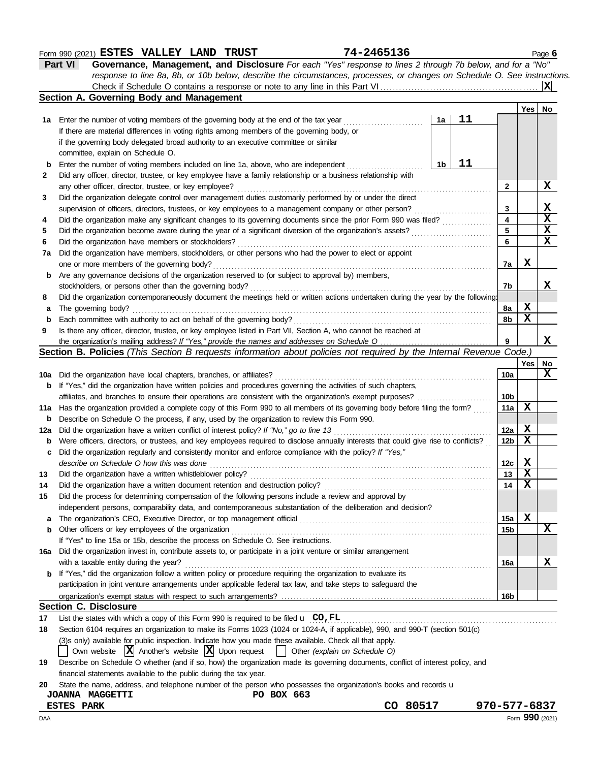#### Form 990 (2021) Page **6 ESTES VALLEY LAND TRUST 74-2465136**

| Part VI | <b>Governance, Management, and Disclosure</b> For each "Yes" response to lines 2 through 7b below, and for a "No"         |                         |
|---------|---------------------------------------------------------------------------------------------------------------------------|-------------------------|
|         | response to line 8a, 8b, or 10b below, describe the circumstances, processes, or changes on Schedule O. See instructions. |                         |
|         | Check if Schedule O contains a response or note to any line in this Part VI                                               | $\overline{\mathbf{x}}$ |

|     | Section A. Governing Body and Management                                                                                            |    |    |                         |     |    |
|-----|-------------------------------------------------------------------------------------------------------------------------------------|----|----|-------------------------|-----|----|
|     |                                                                                                                                     |    |    |                         | Yes | No |
| 1a  | Enter the number of voting members of the governing body at the end of the tax year                                                 | 1a | 11 |                         |     |    |
|     | If there are material differences in voting rights among members of the governing body, or                                          |    |    |                         |     |    |
|     | if the governing body delegated broad authority to an executive committee or similar                                                |    |    |                         |     |    |
|     | committee, explain on Schedule O.                                                                                                   |    |    |                         |     |    |
| b   | Enter the number of voting members included on line 1a, above, who are independent                                                  | 1b | 11 |                         |     |    |
| 2   | Did any officer, director, trustee, or key employee have a family relationship or a business relationship with                      |    |    |                         |     |    |
|     | any other officer, director, trustee, or key employee?                                                                              |    |    | $\mathbf{2}$            |     | x  |
| 3   | Did the organization delegate control over management duties customarily performed by or under the direct                           |    |    |                         |     |    |
|     | supervision of officers, directors, trustees, or key employees to a management company or other person?                             |    |    | 3                       |     | X  |
| 4   | Did the organization make any significant changes to its governing documents since the prior Form 990 was filed?                    |    |    | $\overline{\mathbf{4}}$ |     | X  |
| 5   | Did the organization become aware during the year of a significant diversion of the organization's assets?                          |    |    | 5                       |     | X  |
| 6   | Did the organization have members or stockholders?                                                                                  |    |    | 6                       |     | X  |
| 7a  | Did the organization have members, stockholders, or other persons who had the power to elect or appoint                             |    |    |                         |     |    |
|     | one or more members of the governing body?                                                                                          |    |    | 7a                      | x   |    |
| b   | Are any governance decisions of the organization reserved to (or subject to approval by) members,                                   |    |    |                         |     |    |
|     | stockholders, or persons other than the governing body?                                                                             |    |    | 7b                      |     | x  |
| 8   | Did the organization contemporaneously document the meetings held or written actions undertaken during the year by the following:   |    |    |                         |     |    |
| а   | The governing body?                                                                                                                 |    |    | 8a                      | x   |    |
| b   | Each committee with authority to act on behalf of the governing body?                                                               |    |    | 8b                      | X   |    |
| 9   | Is there any officer, director, trustee, or key employee listed in Part VII, Section A, who cannot be reached at                    |    |    |                         |     |    |
|     |                                                                                                                                     |    |    | 9                       |     | x  |
|     | Section B. Policies (This Section B requests information about policies not required by the Internal Revenue Code.)                 |    |    |                         |     |    |
|     |                                                                                                                                     |    |    |                         | Yes | No |
| 10a | Did the organization have local chapters, branches, or affiliates?                                                                  |    |    | 10a                     |     | x  |
| b   | If "Yes," did the organization have written policies and procedures governing the activities of such chapters,                      |    |    |                         |     |    |
|     | affiliates, and branches to ensure their operations are consistent with the organization's exempt purposes?                         |    |    | 10b                     |     |    |
| 11a | Has the organization provided a complete copy of this Form 990 to all members of its governing body before filing the form?         |    |    | 11a                     | X   |    |
| b   | Describe on Schedule O the process, if any, used by the organization to review this Form 990.                                       |    |    |                         |     |    |
| 12a | Did the organization have a written conflict of interest policy? If "No," go to line 13                                             |    |    | 12a                     | Х   |    |
| b   | Were officers, directors, or trustees, and key employees required to disclose annually interests that could give rise to conflicts? |    |    | 12 <sub>b</sub>         | X   |    |
| с   | Did the organization regularly and consistently monitor and enforce compliance with the policy? If "Yes,"                           |    |    |                         |     |    |
|     | describe on Schedule O how this was done                                                                                            |    |    | 12c                     | Х   |    |
| 13  | Did the organization have a written whistleblower policy?                                                                           |    |    | 13                      | X   |    |
| 14  | Did the organization have a written document retention and destruction policy?                                                      |    |    | 14                      | X   |    |
| 15  | Did the process for determining compensation of the following persons include a review and approval by                              |    |    |                         |     |    |
|     | independent persons, comparability data, and contemporaneous substantiation of the deliberation and decision?                       |    |    |                         |     |    |
| a   | The organization's CEO, Executive Director, or top management official                                                              |    |    | 15a                     | X   |    |
| b   | Other officers or key employees of the organization                                                                                 |    |    | 15b                     |     | X  |
|     | If "Yes" to line 15a or 15b, describe the process on Schedule O. See instructions.                                                  |    |    |                         |     |    |
| 16a | Did the organization invest in, contribute assets to, or participate in a joint venture or similar arrangement                      |    |    |                         |     |    |
|     | with a taxable entity during the year?                                                                                              |    |    | 16a                     |     | x  |
| b   | If "Yes," did the organization follow a written policy or procedure requiring the organization to evaluate its                      |    |    |                         |     |    |
|     | participation in joint venture arrangements under applicable federal tax law, and take steps to safeguard the                       |    |    |                         |     |    |
|     |                                                                                                                                     |    |    | 16b                     |     |    |
|     | <b>Section C. Disclosure</b>                                                                                                        |    |    |                         |     |    |
| 17  | List the states with which a copy of this Form 990 is required to be filed $\mathbf u$ CO, FL                                       |    |    |                         |     |    |
| 18  | Section 6104 requires an organization to make its Forms 1023 (1024 or 1024-A, if applicable), 990, and 990-T (section 501(c)        |    |    |                         |     |    |
|     | (3)s only) available for public inspection. Indicate how you made these available. Check all that apply.                            |    |    |                         |     |    |
|     | Own website $ \mathbf{X} $ Another's website $ \mathbf{X} $ Upon request<br>$\mathbf{1}$<br>Other (explain on Schedule O)           |    |    |                         |     |    |
| 19  | Describe on Schedule O whether (and if so, how) the organization made its governing documents, conflict of interest policy, and     |    |    |                         |     |    |
|     | financial statements available to the public during the tax year.                                                                   |    |    |                         |     |    |

|  | 20 State the name, address, and telephone number of the person who possesses the organization's books and records u |  |
|--|---------------------------------------------------------------------------------------------------------------------|--|
|  | $R_{\alpha}$ $R_{\alpha}$ $R_{\alpha}$                                                                              |  |

| <b>MAGGETTI</b><br>JOANNA   | 663<br>BOX<br>PO. |             |                 |
|-----------------------------|-------------------|-------------|-----------------|
| <b>PARK</b><br><b>ESTES</b> |                   | 80517<br>CO | 970-577-6837    |
| )AA                         |                   |             | Form 990 (2021) |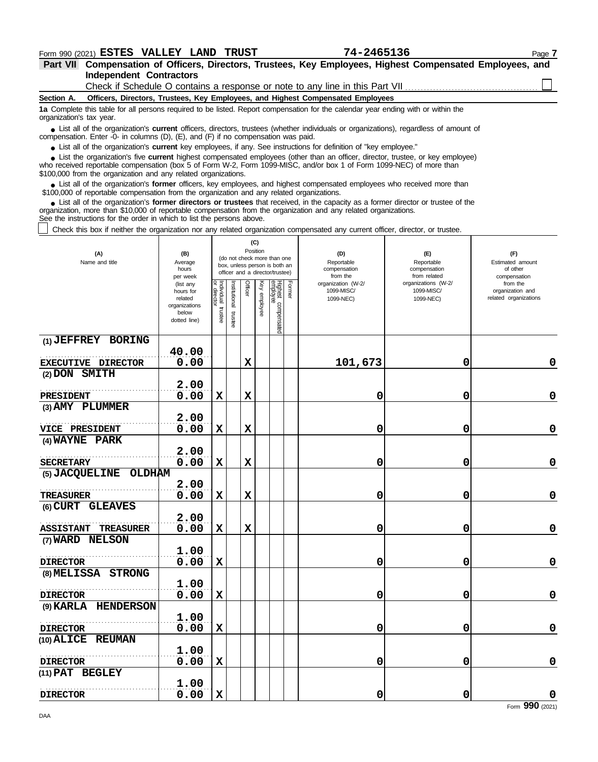**Independent Contractors Part VII Compensation of Officers, Directors, Trustees, Key Employees, Highest Compensated Employees, and** Check if Schedule O contains a response or note to any line in this Part VII.

**Section A. Officers, Directors, Trustees, Key Employees, and Highest Compensated Employees**

**1a** Complete this table for all persons required to be listed. Report compensation for the calendar year ending with or within the organization's tax year.

■ List all of the organization's **current** officers, directors, trustees (whether individuals or organizations), regardless of amount of the organization and the organization was paid compensation. Enter -0- in columns (D), (E), and (F) if no compensation was paid.

● List all of the organization's **current** key employees, if any. See instructions for definition of "key employee."

who received reportable compensation (box 5 of Form W-2, Form 1099-MISC, and/or box 1 of Form 1099-NEC) of more than \$100,000 from the organization and any related organizations. ■ List the organization's five **current** highest compensated employees (other than an officer, director, trustee, or key employee)<br> **•** received reportable compensation (box 5 of Form W-2, Form 1099-MISC, and/or box 1 of

■ List all of the organization's **former** officers, key employees, and highest compensated employees who received more than<br>00,000 of reportable compensation from the organization and any related organizations \$100,000 of reportable compensation from the organization and any related organizations.

■ List all of the organization's **former directors or trustees** that received, in the capacity as a former director or trustee of the prization more than \$10,000 of reportable compensation from the organization and any re organization, more than \$10,000 of reportable compensation from the organization and any related organizations. See the instructions for the order in which to list the persons above.

Check this box if neither the organization nor any related organization compensated any current officer, director, or trustee.

| (A)<br>Name and title                  | (B)<br>Average<br>hours<br>per week                                         |                                     |                         | (C)<br>Position |                 | (do not check more than one<br>box, unless person is both an<br>officer and a director/trustee) |        | (D)<br>Reportable<br>compensation<br>from the | (E)<br>Reportable<br>compensation<br>from related | (F)<br>Estimated amount<br>of other<br>compensation   |
|----------------------------------------|-----------------------------------------------------------------------------|-------------------------------------|-------------------------|-----------------|-----------------|-------------------------------------------------------------------------------------------------|--------|-----------------------------------------------|---------------------------------------------------|-------------------------------------------------------|
|                                        | (list any<br>hours for<br>related<br>organizations<br>below<br>dotted line) | Individual<br>Individual<br>trustee | nstitutional<br>trustee | Officer         | Ķey<br>employee | Highest compensated<br>employee                                                                 | Former | organization (W-2/<br>1099-MISC/<br>1099-NEC) | organizations (W-2/<br>1099-MISC/<br>1099-NEC)    | from the<br>organization and<br>related organizations |
| (1) JEFFREY BORING                     |                                                                             |                                     |                         |                 |                 |                                                                                                 |        |                                               |                                                   |                                                       |
| <b>EXECUTIVE DIRECTOR</b>              | 40.00<br>0.00                                                               |                                     |                         | $\mathbf x$     |                 |                                                                                                 |        | 101,673                                       | 0                                                 | 0                                                     |
| (2) DON SMITH                          |                                                                             |                                     |                         |                 |                 |                                                                                                 |        |                                               |                                                   |                                                       |
|                                        | 2.00                                                                        |                                     |                         |                 |                 |                                                                                                 |        |                                               |                                                   |                                                       |
| <b>PRESIDENT</b>                       | 0.00                                                                        | $\mathbf x$                         |                         | $\mathbf x$     |                 |                                                                                                 |        | 0                                             | 0                                                 | $\mathbf 0$                                           |
| (3) AMY PLUMMER                        |                                                                             |                                     |                         |                 |                 |                                                                                                 |        |                                               |                                                   |                                                       |
|                                        | 2.00                                                                        |                                     |                         |                 |                 |                                                                                                 |        |                                               |                                                   |                                                       |
| VICE PRESIDENT                         | 0.00                                                                        | $\mathbf x$                         |                         | $\mathbf x$     |                 |                                                                                                 |        | 0                                             | 0                                                 | $\mathbf 0$                                           |
| (4) WAYNE PARK                         | 2.00                                                                        |                                     |                         |                 |                 |                                                                                                 |        |                                               |                                                   |                                                       |
| <b>SECRETARY</b>                       | 0.00                                                                        | $\mathbf x$                         |                         | $\mathbf x$     |                 |                                                                                                 |        | 0                                             | 0                                                 | $\mathbf 0$                                           |
| (5) JACQUELINE OLDHAM                  |                                                                             |                                     |                         |                 |                 |                                                                                                 |        |                                               |                                                   |                                                       |
|                                        | 2.00                                                                        |                                     |                         |                 |                 |                                                                                                 |        |                                               |                                                   |                                                       |
| <b>TREASURER</b>                       | 0.00                                                                        | X                                   |                         | $\mathbf x$     |                 |                                                                                                 |        | 0                                             | 0                                                 | $\pmb{0}$                                             |
| (6) CURT GLEAVES                       |                                                                             |                                     |                         |                 |                 |                                                                                                 |        |                                               |                                                   |                                                       |
| <b>TREASURER</b><br><b>ASSISTANT</b>   | 2.00<br>0.00                                                                | $\mathbf x$                         |                         | $\mathbf x$     |                 |                                                                                                 |        | 0                                             | 0                                                 | $\mathbf 0$                                           |
| (7) WARD NELSON                        |                                                                             |                                     |                         |                 |                 |                                                                                                 |        |                                               |                                                   |                                                       |
|                                        | 1.00                                                                        |                                     |                         |                 |                 |                                                                                                 |        |                                               |                                                   |                                                       |
| <b>DIRECTOR</b>                        | 0.00                                                                        | X                                   |                         |                 |                 |                                                                                                 |        | 0                                             | 0                                                 | $\mathbf 0$                                           |
| (8) MELISSA STRONG                     |                                                                             |                                     |                         |                 |                 |                                                                                                 |        |                                               |                                                   |                                                       |
|                                        | 1.00                                                                        |                                     |                         |                 |                 |                                                                                                 |        |                                               |                                                   | $\mathbf 0$                                           |
| <b>DIRECTOR</b><br>(9) KARLA HENDERSON | 0.00                                                                        | $\mathbf x$                         |                         |                 |                 |                                                                                                 |        | 0                                             | 0                                                 |                                                       |
|                                        | 1.00                                                                        |                                     |                         |                 |                 |                                                                                                 |        |                                               |                                                   |                                                       |
| <b>DIRECTOR</b>                        | 0.00                                                                        | $\mathbf x$                         |                         |                 |                 |                                                                                                 |        | 0                                             | 0                                                 | $\mathbf 0$                                           |
| (10) ALICE REUMAN                      |                                                                             |                                     |                         |                 |                 |                                                                                                 |        |                                               |                                                   |                                                       |
|                                        | 1.00                                                                        |                                     |                         |                 |                 |                                                                                                 |        |                                               |                                                   |                                                       |
| <b>DIRECTOR</b>                        | 0.00                                                                        | X                                   |                         |                 |                 |                                                                                                 |        | 0                                             | 0                                                 | $\mathbf 0$                                           |
| (11) PAT BEGLEY                        |                                                                             |                                     |                         |                 |                 |                                                                                                 |        |                                               |                                                   |                                                       |
| <b>DIRECTOR</b>                        | 1.00<br>0.00                                                                | X                                   |                         |                 |                 |                                                                                                 |        | 0                                             | 0                                                 | $\pmb{0}$                                             |
|                                        |                                                                             |                                     |                         |                 |                 |                                                                                                 |        |                                               |                                                   |                                                       |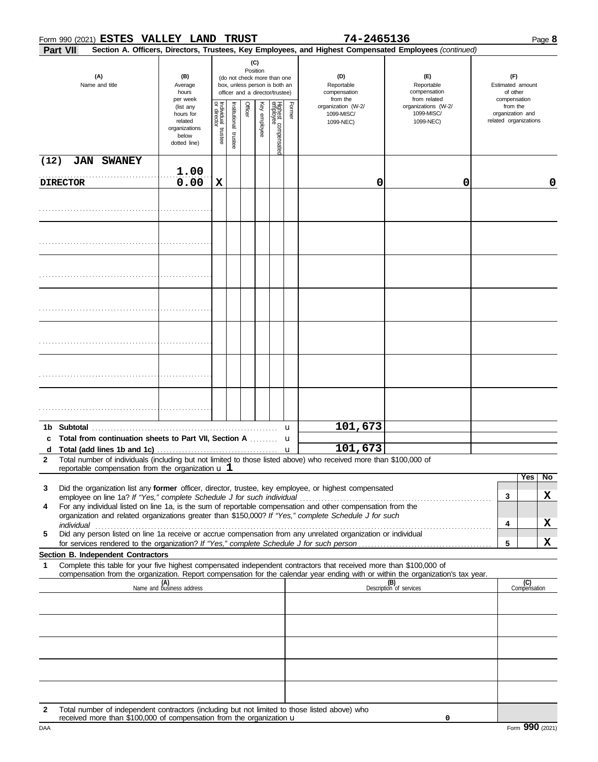#### Form 990 (2021) Page **8 ESTES VALLEY LAND TRUST 74-2465136**

| Part VII              |                                                                                                                                                                                                                                                        |                                                                             |                                   |                      |         |                     |                                                                                                 |        | Section A. Officers, Directors, Trustees, Key Employees, and Highest Compensated Employees (continued) |                                                   |                                                       |                     |
|-----------------------|--------------------------------------------------------------------------------------------------------------------------------------------------------------------------------------------------------------------------------------------------------|-----------------------------------------------------------------------------|-----------------------------------|----------------------|---------|---------------------|-------------------------------------------------------------------------------------------------|--------|--------------------------------------------------------------------------------------------------------|---------------------------------------------------|-------------------------------------------------------|---------------------|
| (A)<br>Name and title |                                                                                                                                                                                                                                                        | (B)<br>Average<br>hours<br>per week                                         |                                   |                      |         | (C)<br>Position     | (do not check more than one<br>box, unless person is both an<br>officer and a director/trustee) |        | (D)<br>Reportable<br>compensation<br>from the                                                          | (E)<br>Reportable<br>compensation<br>from related | (F)<br>Estimated amount<br>of other<br>compensation   |                     |
|                       |                                                                                                                                                                                                                                                        | (list any<br>hours for<br>related<br>organizations<br>below<br>dotted line) | Individual trustee<br>or director | nstitutional trustee | Officer | <b>Key employee</b> | Highest compensated<br>employee                                                                 | Former | organization (W-2/<br>1099-MISC/<br>1099-NEC)                                                          | organizations (W-2/<br>1099-MISC/<br>1099-NEC)    | from the<br>organization and<br>related organizations |                     |
| (12)                  | <b>JAN SWANEY</b>                                                                                                                                                                                                                                      |                                                                             |                                   |                      |         |                     |                                                                                                 |        |                                                                                                        |                                                   |                                                       |                     |
|                       | <b>DIRECTOR</b>                                                                                                                                                                                                                                        | 1.00<br>0.00                                                                | X                                 |                      |         |                     |                                                                                                 |        | 0                                                                                                      | 0                                                 |                                                       | 0                   |
|                       |                                                                                                                                                                                                                                                        |                                                                             |                                   |                      |         |                     |                                                                                                 |        |                                                                                                        |                                                   |                                                       |                     |
|                       |                                                                                                                                                                                                                                                        |                                                                             |                                   |                      |         |                     |                                                                                                 |        |                                                                                                        |                                                   |                                                       |                     |
|                       |                                                                                                                                                                                                                                                        |                                                                             |                                   |                      |         |                     |                                                                                                 |        |                                                                                                        |                                                   |                                                       |                     |
|                       |                                                                                                                                                                                                                                                        |                                                                             |                                   |                      |         |                     |                                                                                                 |        |                                                                                                        |                                                   |                                                       |                     |
|                       |                                                                                                                                                                                                                                                        |                                                                             |                                   |                      |         |                     |                                                                                                 |        |                                                                                                        |                                                   |                                                       |                     |
|                       |                                                                                                                                                                                                                                                        |                                                                             |                                   |                      |         |                     |                                                                                                 |        |                                                                                                        |                                                   |                                                       |                     |
|                       |                                                                                                                                                                                                                                                        |                                                                             |                                   |                      |         |                     |                                                                                                 |        |                                                                                                        |                                                   |                                                       |                     |
| c                     | Total from continuation sheets to Part VII, Section A  u                                                                                                                                                                                               |                                                                             |                                   |                      |         |                     |                                                                                                 |        | 101,673                                                                                                |                                                   |                                                       |                     |
|                       |                                                                                                                                                                                                                                                        |                                                                             |                                   |                      |         |                     |                                                                                                 |        | 101,673                                                                                                |                                                   |                                                       |                     |
| $\mathcal{P}$         | Total number of individuals (including but not limited to those listed above) who received more than \$100,000 of<br>reportable compensation from the organization $\mathbf u$ 1                                                                       |                                                                             |                                   |                      |         |                     |                                                                                                 |        |                                                                                                        |                                                   |                                                       |                     |
| 3                     | Did the organization list any former officer, director, trustee, key employee, or highest compensated                                                                                                                                                  |                                                                             |                                   |                      |         |                     |                                                                                                 |        |                                                                                                        |                                                   |                                                       | Yes<br>No           |
| 4                     | For any individual listed on line 1a, is the sum of reportable compensation and other compensation from the                                                                                                                                            |                                                                             |                                   |                      |         |                     |                                                                                                 |        |                                                                                                        |                                                   | 3                                                     | X                   |
|                       | organization and related organizations greater than \$150,000? If "Yes," complete Schedule J for such                                                                                                                                                  |                                                                             |                                   |                      |         |                     |                                                                                                 |        |                                                                                                        |                                                   | 4                                                     | X                   |
| 5                     | Did any person listed on line 1a receive or accrue compensation from any unrelated organization or individual                                                                                                                                          |                                                                             |                                   |                      |         |                     |                                                                                                 |        |                                                                                                        |                                                   |                                                       |                     |
|                       | Section B. Independent Contractors                                                                                                                                                                                                                     |                                                                             |                                   |                      |         |                     |                                                                                                 |        |                                                                                                        |                                                   | 5                                                     | X                   |
| 1                     | Complete this table for your five highest compensated independent contractors that received more than \$100,000 of<br>compensation from the organization. Report compensation for the calendar year ending with or within the organization's tax year. |                                                                             |                                   |                      |         |                     |                                                                                                 |        |                                                                                                        |                                                   |                                                       |                     |
|                       |                                                                                                                                                                                                                                                        | (A)<br>Name and business address                                            |                                   |                      |         |                     |                                                                                                 |        |                                                                                                        | (B)<br>Description of services                    |                                                       | (C)<br>Compensation |
|                       |                                                                                                                                                                                                                                                        |                                                                             |                                   |                      |         |                     |                                                                                                 |        |                                                                                                        |                                                   |                                                       |                     |
|                       |                                                                                                                                                                                                                                                        |                                                                             |                                   |                      |         |                     |                                                                                                 |        |                                                                                                        |                                                   |                                                       |                     |
|                       |                                                                                                                                                                                                                                                        |                                                                             |                                   |                      |         |                     |                                                                                                 |        |                                                                                                        |                                                   |                                                       |                     |
|                       |                                                                                                                                                                                                                                                        |                                                                             |                                   |                      |         |                     |                                                                                                 |        |                                                                                                        |                                                   |                                                       |                     |
|                       |                                                                                                                                                                                                                                                        |                                                                             |                                   |                      |         |                     |                                                                                                 |        |                                                                                                        |                                                   |                                                       |                     |
|                       |                                                                                                                                                                                                                                                        |                                                                             |                                   |                      |         |                     |                                                                                                 |        |                                                                                                        |                                                   |                                                       |                     |
| $\mathbf{2}$          | Total number of independent contractors (including but not limited to those listed above) who                                                                                                                                                          |                                                                             |                                   |                      |         |                     |                                                                                                 |        |                                                                                                        |                                                   |                                                       |                     |
| DAA                   | received more than \$100,000 of compensation from the organization u                                                                                                                                                                                   |                                                                             |                                   |                      |         |                     |                                                                                                 |        |                                                                                                        | 0                                                 |                                                       | Form 990 (2021)     |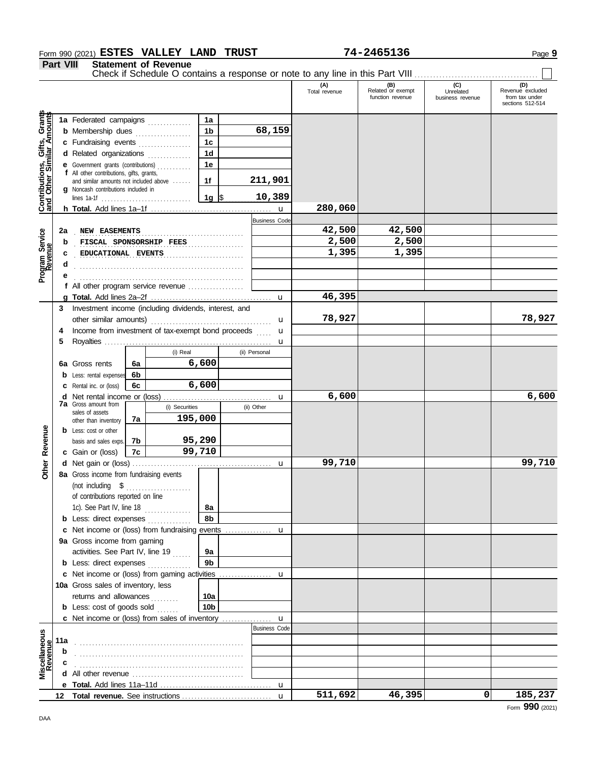#### Form 990 (2021) Page **9 ESTES VALLEY LAND TRUST 74-2465136**

**Part VIII Statement of Revenue**

|                                                                  |     |                                                                                      |                                               |          |                |                      | Check if Schedule O contains a response or note to any line in this Part VIII |                                              |                                      |                                                               |
|------------------------------------------------------------------|-----|--------------------------------------------------------------------------------------|-----------------------------------------------|----------|----------------|----------------------|-------------------------------------------------------------------------------|----------------------------------------------|--------------------------------------|---------------------------------------------------------------|
|                                                                  |     |                                                                                      |                                               |          |                |                      | (A)<br>Total revenue                                                          | (B)<br>Related or exempt<br>function revenue | (C)<br>Unrelated<br>business revenue | (D)<br>Revenue excluded<br>from tax under<br>sections 512-514 |
|                                                                  |     |                                                                                      |                                               |          | 1a             |                      |                                                                               |                                              |                                      |                                                               |
| <b>Contributions, Gifts, Grants</b><br>and Other Similar Amounts |     | 1a Federated campaigns<br><b>b</b> Membership dues<br>1b                             |                                               |          | 68,159         |                      |                                                                               |                                              |                                      |                                                               |
|                                                                  |     | .<br>c Fundraising events<br>1 <sub>c</sub>                                          |                                               |          |                |                      |                                                                               |                                              |                                      |                                                               |
|                                                                  |     | d Related organizations                                                              |                                               |          | 1 <sub>d</sub> |                      |                                                                               |                                              |                                      |                                                               |
|                                                                  |     | e Government grants (contributions)                                                  |                                               |          |                |                      |                                                                               |                                              |                                      |                                                               |
|                                                                  |     | 1е<br>f All other contributions, gifts, grants,                                      |                                               |          |                |                      |                                                                               |                                              |                                      |                                                               |
|                                                                  |     | and similar amounts not included above<br><b>q</b> Noncash contributions included in |                                               |          | 1f             | 211,901              |                                                                               |                                              |                                      |                                                               |
|                                                                  |     |                                                                                      |                                               |          | 1g $\vert$ \$  | 10,389               |                                                                               |                                              |                                      |                                                               |
|                                                                  |     |                                                                                      |                                               |          |                | $\mathbf{u}$         | 280,060                                                                       |                                              |                                      |                                                               |
|                                                                  |     |                                                                                      |                                               |          |                | <b>Business Code</b> |                                                                               |                                              |                                      |                                                               |
|                                                                  | 2a  | NEW EASEMENTS                                                                        |                                               |          |                |                      | 42,500                                                                        | 42,500                                       |                                      |                                                               |
| Program Service<br>Revenue                                       | b   | FISCAL SPONSORSHIP FEES                                                              |                                               |          |                |                      | 2,500                                                                         | 2,500                                        |                                      |                                                               |
|                                                                  | c   | EDUCATIONAL EVENTS                                                                   |                                               |          |                |                      | 1,395                                                                         | 1,395                                        |                                      |                                                               |
|                                                                  |     |                                                                                      |                                               |          |                |                      |                                                                               |                                              |                                      |                                                               |
|                                                                  |     |                                                                                      |                                               |          |                |                      |                                                                               |                                              |                                      |                                                               |
|                                                                  |     | f All other program service revenue                                                  |                                               |          |                |                      |                                                                               |                                              |                                      |                                                               |
|                                                                  |     |                                                                                      |                                               |          |                |                      | 46,395                                                                        |                                              |                                      |                                                               |
|                                                                  | 3   | Investment income (including dividends, interest, and                                |                                               |          |                |                      |                                                                               |                                              |                                      |                                                               |
|                                                                  |     |                                                                                      |                                               |          |                | u                    | 78,927                                                                        |                                              |                                      | 78,927                                                        |
|                                                                  | 4   | Income from investment of tax-exempt bond proceeds                                   |                                               |          |                | $\mathbf{u}$         |                                                                               |                                              |                                      |                                                               |
|                                                                  | 5   |                                                                                      |                                               |          |                | $\mathbf u$          |                                                                               |                                              |                                      |                                                               |
|                                                                  |     |                                                                                      |                                               | (i) Real |                | (ii) Personal        |                                                                               |                                              |                                      |                                                               |
|                                                                  | 6а  | Gross rents                                                                          | 6a                                            |          | 6,600          |                      |                                                                               |                                              |                                      |                                                               |
|                                                                  | b   | Less: rental expenses                                                                | 6b                                            |          |                |                      |                                                                               |                                              |                                      |                                                               |
|                                                                  | c   | Rental inc. or (loss)                                                                | 6с                                            |          | 6,600          |                      |                                                                               |                                              |                                      |                                                               |
|                                                                  | d   |                                                                                      | <b>7a</b> Gross amount from<br>(i) Securities |          |                | u                    | 6,600                                                                         |                                              |                                      | 6,600                                                         |
|                                                                  |     | sales of assets                                                                      |                                               |          |                | (ii) Other           |                                                                               |                                              |                                      |                                                               |
|                                                                  |     | other than inventory                                                                 | 7a                                            | 195,000  |                |                      |                                                                               |                                              |                                      |                                                               |
|                                                                  |     | <b>b</b> Less: cost or other                                                         |                                               |          |                |                      |                                                                               |                                              |                                      |                                                               |
|                                                                  |     | basis and sales exps.                                                                | 7b                                            |          | 95,290         |                      |                                                                               |                                              |                                      |                                                               |
| Other Revenue                                                    |     | c Gain or (loss)                                                                     | 7c                                            |          | 99,710         |                      |                                                                               |                                              |                                      |                                                               |
|                                                                  |     |                                                                                      |                                               |          |                | $\mathbf u$          | 99,710                                                                        |                                              |                                      | 99,710                                                        |
|                                                                  |     | 8a Gross income from fundraising events                                              |                                               |          |                |                      |                                                                               |                                              |                                      |                                                               |
|                                                                  |     | (not including \$                                                                    |                                               | .        |                |                      |                                                                               |                                              |                                      |                                                               |
|                                                                  |     | of contributions reported on line                                                    |                                               |          |                |                      |                                                                               |                                              |                                      |                                                               |
|                                                                  |     | 1c). See Part IV, line 18                                                            |                                               |          | 8a             |                      |                                                                               |                                              |                                      |                                                               |
|                                                                  |     | <b>b</b> Less: direct expenses                                                       |                                               |          | 8b             |                      |                                                                               |                                              |                                      |                                                               |
|                                                                  |     |                                                                                      |                                               |          |                |                      |                                                                               |                                              |                                      |                                                               |
|                                                                  |     | 9a Gross income from gaming                                                          |                                               |          |                |                      |                                                                               |                                              |                                      |                                                               |
|                                                                  |     | activities. See Part IV, line 19                                                     |                                               |          | 9a             |                      |                                                                               |                                              |                                      |                                                               |
|                                                                  |     | <b>b</b> Less: direct expenses                                                       |                                               |          | 9b             |                      |                                                                               |                                              |                                      |                                                               |
|                                                                  |     |                                                                                      |                                               |          |                |                      |                                                                               |                                              |                                      |                                                               |
|                                                                  |     | 10a Gross sales of inventory, less                                                   |                                               |          |                |                      |                                                                               |                                              |                                      |                                                               |
|                                                                  |     | returns and allowances                                                               |                                               |          | 10a            |                      |                                                                               |                                              |                                      |                                                               |
|                                                                  |     | <b>b</b> Less: cost of goods sold                                                    |                                               |          | 10b            |                      |                                                                               |                                              |                                      |                                                               |
|                                                                  |     |                                                                                      |                                               |          |                | <b>Business Code</b> |                                                                               |                                              |                                      |                                                               |
|                                                                  |     |                                                                                      |                                               |          |                |                      |                                                                               |                                              |                                      |                                                               |
| Miscellaneous<br>Revenue                                         | 11a |                                                                                      |                                               |          |                |                      |                                                                               |                                              |                                      |                                                               |
|                                                                  |     |                                                                                      |                                               |          |                |                      |                                                                               |                                              |                                      |                                                               |
|                                                                  |     |                                                                                      |                                               |          |                |                      |                                                                               |                                              |                                      |                                                               |
|                                                                  |     |                                                                                      |                                               |          |                |                      |                                                                               |                                              |                                      |                                                               |
|                                                                  |     |                                                                                      |                                               |          |                |                      | 511,692                                                                       | 46,395                                       | $\mathbf 0$                          |                                                               |
|                                                                  |     |                                                                                      |                                               |          |                | $\mathbf{u}$         |                                                                               |                                              |                                      | 185,237                                                       |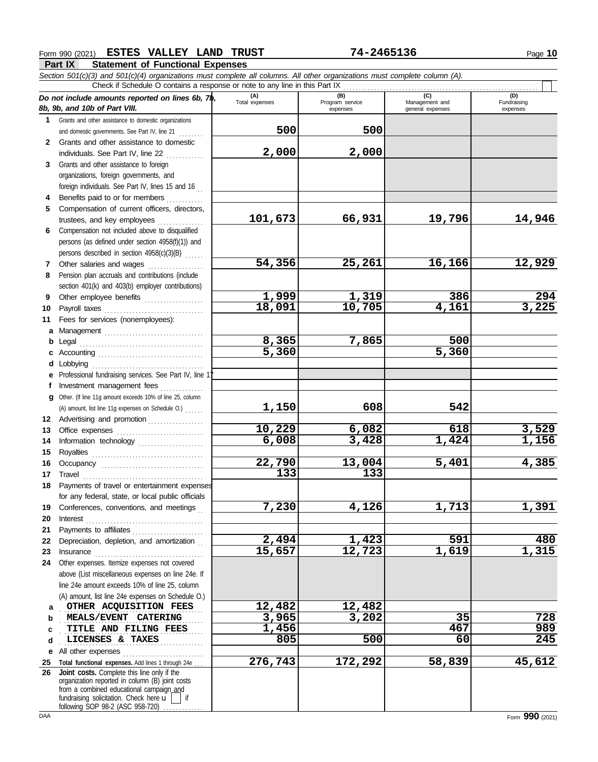#### Form 990 (2021) Page **10 ESTES VALLEY LAND TRUST 74-2465136**

**Part IX Statement of Functional Expenses**

|        | Section 501(c)(3) and 501(c)(4) organizations must complete all columns. All other organizations must complete column (A). |                       |                                    |                                           |                                |
|--------|----------------------------------------------------------------------------------------------------------------------------|-----------------------|------------------------------------|-------------------------------------------|--------------------------------|
|        | Check if Schedule O contains a response or note to any line in this Part IX                                                |                       |                                    |                                           |                                |
|        | Do not include amounts reported on lines 6b, $7\phi$ ,<br>8b, 9b, and 10b of Part VIII.                                    | (A)<br>Total expenses | (B)<br>Program service<br>expenses | (C)<br>Management and<br>general expenses | (D)<br>Fundraising<br>expenses |
| 1.     | Grants and other assistance to domestic organizations                                                                      |                       |                                    |                                           |                                |
|        | and domestic governments. See Part IV, line 21                                                                             | 500                   | 500                                |                                           |                                |
|        | 2 Grants and other assistance to domestic                                                                                  |                       |                                    |                                           |                                |
|        | individuals. See Part IV, line 22                                                                                          | 2,000                 | 2,000                              |                                           |                                |
| 3      | Grants and other assistance to foreign                                                                                     |                       |                                    |                                           |                                |
|        | organizations, foreign governments, and                                                                                    |                       |                                    |                                           |                                |
|        | foreign individuals. See Part IV, lines 15 and 16                                                                          |                       |                                    |                                           |                                |
|        | Benefits paid to or for members                                                                                            |                       |                                    |                                           |                                |
| 5      | Compensation of current officers, directors,                                                                               |                       |                                    |                                           |                                |
|        | trustees, and key employees                                                                                                | 101,673               | 66,931                             | 19,796                                    | 14,946                         |
| 6      | Compensation not included above to disqualified                                                                            |                       |                                    |                                           |                                |
|        | persons (as defined under section 4958(f)(1)) and                                                                          |                       |                                    |                                           |                                |
|        | persons described in section 4958(c)(3)(B)                                                                                 |                       |                                    |                                           |                                |
| 7      | Other salaries and wages                                                                                                   | 54,356                | 25,261                             | 16,166                                    | 12,929                         |
| 8      | Pension plan accruals and contributions (include                                                                           |                       |                                    |                                           |                                |
|        | section 401(k) and 403(b) employer contributions)                                                                          |                       |                                    |                                           |                                |
| 9      | Other employee benefits                                                                                                    | 1,999                 | 1,319                              | 386                                       | 294                            |
| 10     | Payroll taxes                                                                                                              | 18,091                | $\overline{10}$ , 705              | 4,161                                     | 3,225                          |
| 11     | Fees for services (nonemployees):                                                                                          |                       |                                    |                                           |                                |
| a      |                                                                                                                            |                       | 7,865                              | 500                                       |                                |
| b      |                                                                                                                            | 8,365<br>5,360        |                                    | 5,360                                     |                                |
| с<br>d | Lobbying                                                                                                                   |                       |                                    |                                           |                                |
| е      | Professional fundraising services. See Part IV, line 1                                                                     |                       |                                    |                                           |                                |
| f      | Investment management fees                                                                                                 |                       |                                    |                                           |                                |
| q      | Other. (If line 11g amount exceeds 10% of line 25, column                                                                  |                       |                                    |                                           |                                |
|        | (A) amount, list line 11g expenses on Schedule O.)                                                                         | 1,150                 | 608                                | 542                                       |                                |
| 12     | Advertising and promotion                                                                                                  |                       |                                    |                                           |                                |
| 13     |                                                                                                                            | 10,229                | 6,082                              | 618                                       | 3,529                          |
| 14     | Information technology                                                                                                     | 6,008                 | 3,428                              | 1,424                                     | 1,156                          |
| 15     |                                                                                                                            |                       |                                    |                                           |                                |
| 16     |                                                                                                                            | 22,790                | 13,004                             | 5,401                                     | 4,385                          |
| 17     | Travel                                                                                                                     | 133                   | 133                                |                                           |                                |
| 18     | Payments of travel or entertainment expenses                                                                               |                       |                                    |                                           |                                |
|        | for any federal, state, or local public officials                                                                          |                       |                                    |                                           |                                |
| 19     | Conferences, conventions, and meetings                                                                                     | 7,230                 | 4,126                              | 1,713                                     | 1,391                          |
| 20     | Interest                                                                                                                   |                       |                                    |                                           |                                |
| 21     | Payments to affiliates                                                                                                     |                       |                                    |                                           |                                |
| 22     | Depreciation, depletion, and amortization                                                                                  | 2,494                 | 1,423                              | 591                                       | 480                            |
| 23     |                                                                                                                            | 15,657                | 12,723                             | 1,619                                     | 1,315                          |
| 24     | Other expenses. Itemize expenses not covered                                                                               |                       |                                    |                                           |                                |
|        | above (List miscellaneous expenses on line 24e. If                                                                         |                       |                                    |                                           |                                |
|        | line 24e amount exceeds 10% of line 25, column                                                                             |                       |                                    |                                           |                                |
|        | (A) amount, list line 24e expenses on Schedule O.)<br>OTHER ACQUISITION FEES                                               | 12,482                | 12,482                             |                                           |                                |
| a      | MEALS/EVENT CATERING                                                                                                       | 3,965                 | 3,202                              | 35                                        | 728                            |
| b<br>c | TITLE AND FILING FEES                                                                                                      | 1,456                 |                                    | 467                                       | 989                            |
| d      | LICENSES & TAXES                                                                                                           | 805                   | 500                                | 60                                        | 245                            |
| е      | All other expenses                                                                                                         |                       |                                    |                                           |                                |
| 25     | Total functional expenses. Add lines 1 through 24e                                                                         | 276,743               | 172,292                            | 58,839                                    | 45,612                         |
| 26     | Joint costs. Complete this line only if the                                                                                |                       |                                    |                                           |                                |
|        | organization reported in column (B) joint costs                                                                            |                       |                                    |                                           |                                |
|        | from a combined educational campaign_and<br>fundraising solicitation. Check here $\mathbf{u}$   if                         |                       |                                    |                                           |                                |
|        | following SOP 98-2 (ASC 958-720)                                                                                           |                       |                                    |                                           |                                |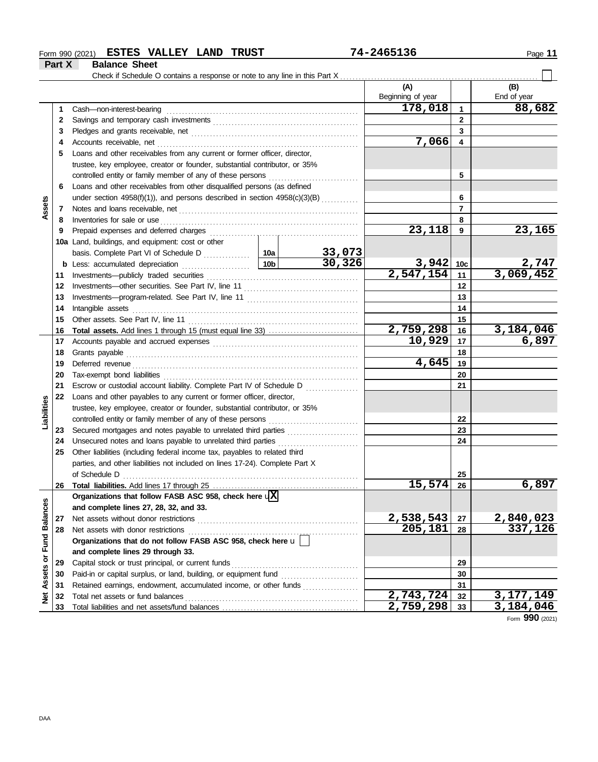#### Form 990 (2021) **ESTES VALLEY LAND TRUST** 74-2465136 **Page 11 ESTES VALLEY LAND TRUST 74-2465136**

**Part X Balance Sheet**

|                      |    |                                                                                                                                                                                                                                     |       |        | (A)<br>Beginning of year |             | (B)<br>End of year |
|----------------------|----|-------------------------------------------------------------------------------------------------------------------------------------------------------------------------------------------------------------------------------------|-------|--------|--------------------------|-------------|--------------------|
|                      | 1. | Cash-non-interest-bearing                                                                                                                                                                                                           |       |        | 178,018                  | $\mathbf 1$ | 88,682             |
|                      | 2  |                                                                                                                                                                                                                                     |       |        |                          | 2           |                    |
|                      | 3  |                                                                                                                                                                                                                                     |       |        |                          | 3           |                    |
|                      | 4  | Accounts receivable, net                                                                                                                                                                                                            | 7,066 | 4      |                          |             |                    |
|                      | 5  | Loans and other receivables from any current or former officer, director,                                                                                                                                                           |       |        |                          |             |                    |
|                      |    | trustee, key employee, creator or founder, substantial contributor, or 35%                                                                                                                                                          |       |        |                          |             |                    |
|                      |    | controlled entity or family member of any of these persons                                                                                                                                                                          |       |        |                          | 5           |                    |
|                      | 6  | Loans and other receivables from other disqualified persons (as defined                                                                                                                                                             |       |        |                          |             |                    |
|                      |    | under section 4958(f)(1)), and persons described in section 4958(c)(3)(B)                                                                                                                                                           |       |        |                          | 6           |                    |
| Assets               | 7  |                                                                                                                                                                                                                                     |       |        |                          | 7           |                    |
|                      | 8  | Inventories for sale or use <i>communication</i> and the state or use of the state or use of the state or use of the state or use of the state or use of the state of the state of the state of the state of the state or the state |       |        |                          | 8           |                    |
|                      | 9  |                                                                                                                                                                                                                                     |       |        | 23,118                   | 9           | 23,165             |
|                      |    | 10a Land, buildings, and equipment: cost or other                                                                                                                                                                                   |       |        |                          |             |                    |
|                      |    |                                                                                                                                                                                                                                     |       | 33,073 |                          |             |                    |
|                      |    |                                                                                                                                                                                                                                     |       | 30,326 | $3,942$ 10c              |             | 2,747              |
|                      | 11 |                                                                                                                                                                                                                                     |       |        | $\overline{2,547,154}$   | 11          | 3,069,452          |
|                      | 12 |                                                                                                                                                                                                                                     |       |        |                          | 12          |                    |
|                      | 13 |                                                                                                                                                                                                                                     |       |        | 13                       |             |                    |
|                      | 14 | Intangible assets                                                                                                                                                                                                                   |       | 14     |                          |             |                    |
|                      | 15 |                                                                                                                                                                                                                                     |       |        |                          | 15          |                    |
|                      | 16 |                                                                                                                                                                                                                                     |       |        | 2,759,298                | 16          | 3,184,046          |
|                      | 17 |                                                                                                                                                                                                                                     |       |        | 10,929                   | 17          | 6,897              |
|                      | 18 | Grants payable                                                                                                                                                                                                                      |       |        |                          | 18          |                    |
|                      | 19 |                                                                                                                                                                                                                                     |       |        | 4,645                    | 19          |                    |
|                      | 20 |                                                                                                                                                                                                                                     |       |        | 20                       |             |                    |
|                      | 21 | Escrow or custodial account liability. Complete Part IV of Schedule D                                                                                                                                                               |       |        |                          | 21          |                    |
|                      | 22 | Loans and other payables to any current or former officer, director,                                                                                                                                                                |       |        |                          |             |                    |
| Liabilities          |    | trustee, key employee, creator or founder, substantial contributor, or 35%                                                                                                                                                          |       |        |                          |             |                    |
|                      |    | controlled entity or family member of any of these persons                                                                                                                                                                          |       |        |                          | 22          |                    |
|                      | 23 | Secured mortgages and notes payable to unrelated third parties                                                                                                                                                                      |       |        |                          | 23          |                    |
|                      | 24 | Unsecured notes and loans payable to unrelated third parties                                                                                                                                                                        |       |        |                          | 24          |                    |
|                      | 25 | Other liabilities (including federal income tax, payables to related third                                                                                                                                                          |       |        |                          |             |                    |
|                      |    | parties, and other liabilities not included on lines 17-24). Complete Part X                                                                                                                                                        |       |        |                          |             |                    |
|                      |    |                                                                                                                                                                                                                                     |       |        |                          | 25          |                    |
|                      | 26 |                                                                                                                                                                                                                                     |       |        | <u>15,574</u>            | 26          | <u>6,897</u>       |
|                      |    | Organizations that follow FASB ASC 958, check here $\sqrt{X}$                                                                                                                                                                       |       |        |                          |             |                    |
|                      |    | and complete lines 27, 28, 32, and 33.                                                                                                                                                                                              |       |        |                          |             |                    |
|                      | 27 | Net assets without donor restrictions                                                                                                                                                                                               |       |        | 2,538,543                | 27          | 2,840,023          |
| <b>Fund Balances</b> | 28 | Net assets with donor restrictions                                                                                                                                                                                                  |       |        | 205,181                  | 28          | 337,126            |
|                      |    | Organizations that do not follow FASB ASC 958, check here u                                                                                                                                                                         |       |        |                          |             |                    |
|                      |    | and complete lines 29 through 33.                                                                                                                                                                                                   |       |        |                          |             |                    |
|                      | 29 | Capital stock or trust principal, or current funds                                                                                                                                                                                  |       |        | 29                       |             |                    |
|                      | 30 |                                                                                                                                                                                                                                     |       |        |                          | 30          |                    |
|                      | 31 | Retained earnings, endowment, accumulated income, or other funds                                                                                                                                                                    |       |        |                          | 31          |                    |
| Net Assets or        | 32 | Total net assets or fund balances                                                                                                                                                                                                   |       |        | 2,743,724                | 32          | 3, 177, 149        |
|                      | 33 |                                                                                                                                                                                                                                     |       |        | 2,759,298                | 33          | 3,184,046          |

Form **990** (2021)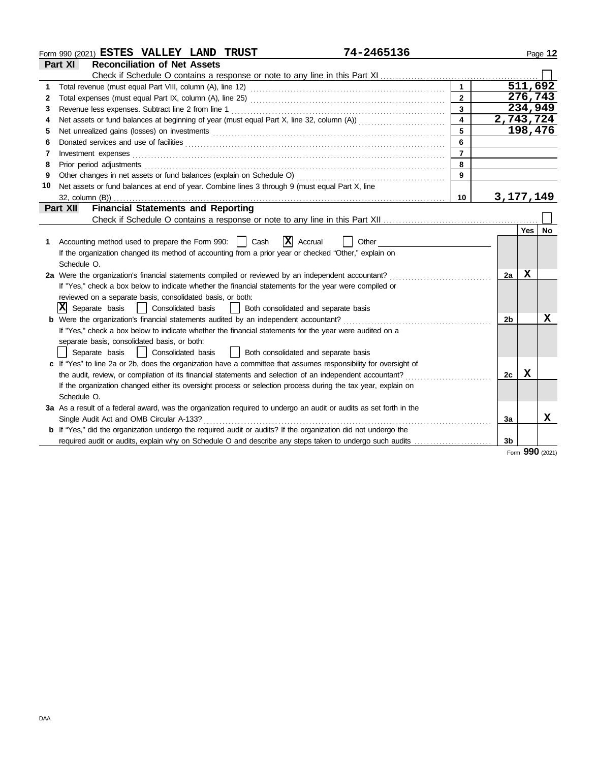| Form 990 (2021) ESTES VALLEY LAND TRUST                   |                                     |  |  | 74–2465136                                                                  |  | Page 12 |  |  |
|-----------------------------------------------------------|-------------------------------------|--|--|-----------------------------------------------------------------------------|--|---------|--|--|
| <b>Part XI</b>                                            | <b>Reconciliation of Net Assets</b> |  |  |                                                                             |  |         |  |  |
|                                                           |                                     |  |  | Check if Schedule O contains a response or note to any line in this Part XI |  |         |  |  |
| Total revenue (must equal Part VIII, column (A), line 12) |                                     |  |  |                                                                             |  |         |  |  |

|    |                                                                                                                                                                                                                                     |                 |                | 511,692     |                 |
|----|-------------------------------------------------------------------------------------------------------------------------------------------------------------------------------------------------------------------------------------|-----------------|----------------|-------------|-----------------|
| 2  |                                                                                                                                                                                                                                     | $\overline{2}$  |                | 276,743     |                 |
| 3  | Revenue less expenses. Subtract line 2 from line 1                                                                                                                                                                                  | $\mathbf{3}$    |                | 234,949     |                 |
| 4  |                                                                                                                                                                                                                                     | $\overline{4}$  |                | 2,743,724   |                 |
| 5  |                                                                                                                                                                                                                                     |                 |                | 198,476     |                 |
| 6  |                                                                                                                                                                                                                                     | 6               |                |             |                 |
| 7  | Investment expenses                                                                                                                                                                                                                 | $\overline{7}$  |                |             |                 |
| 8  | Prior period adjustments <b>contained and a contained a contained a</b> contained and a contact a contact a contact and a contact a contact a contact a contact a contact a contact a contact a contact a contact a contact a conta | 8               |                |             |                 |
| 9  |                                                                                                                                                                                                                                     | 9               |                |             |                 |
| 10 | Net assets or fund balances at end of year. Combine lines 3 through 9 (must equal Part X, line                                                                                                                                      |                 |                |             |                 |
|    |                                                                                                                                                                                                                                     | 10 <sup>1</sup> |                | 3, 177, 149 |                 |
|    | <b>Financial Statements and Reporting</b><br>Part XII                                                                                                                                                                               |                 |                |             |                 |
|    |                                                                                                                                                                                                                                     |                 |                |             |                 |
|    |                                                                                                                                                                                                                                     |                 |                | <b>Yes</b>  | No              |
| 1  | $ \mathbf{X} $ Accrual<br>Accounting method used to prepare the Form 990:     Cash<br>Other                                                                                                                                         |                 |                |             |                 |
|    | If the organization changed its method of accounting from a prior year or checked "Other," explain on                                                                                                                               |                 |                |             |                 |
|    | Schedule O.                                                                                                                                                                                                                         |                 |                |             |                 |
|    | 2a Were the organization's financial statements compiled or reviewed by an independent accountant?                                                                                                                                  |                 | 2a             | X           |                 |
|    | If "Yes," check a box below to indicate whether the financial statements for the year were compiled or                                                                                                                              |                 |                |             |                 |
|    | reviewed on a separate basis, consolidated basis, or both:                                                                                                                                                                          |                 |                |             |                 |
|    | x <br>Separate basis<br>Consolidated basis<br>Both consolidated and separate basis                                                                                                                                                  |                 |                |             |                 |
|    | <b>b</b> Were the organization's financial statements audited by an independent accountant?                                                                                                                                         |                 | 2 <sub>b</sub> |             | х               |
|    | If "Yes," check a box below to indicate whether the financial statements for the year were audited on a                                                                                                                             |                 |                |             |                 |
|    | separate basis, consolidated basis, or both:                                                                                                                                                                                        |                 |                |             |                 |
|    | Consolidated basis<br>  Both consolidated and separate basis<br>Separate basis                                                                                                                                                      |                 |                |             |                 |
|    | c If "Yes" to line 2a or 2b, does the organization have a committee that assumes responsibility for oversight of                                                                                                                    |                 |                |             |                 |
|    | the audit, review, or compilation of its financial statements and selection of an independent accountant?                                                                                                                           |                 | 2c             | X           |                 |
|    | If the organization changed either its oversight process or selection process during the tax year, explain on                                                                                                                       |                 |                |             |                 |
|    | Schedule O.                                                                                                                                                                                                                         |                 |                |             |                 |
|    | 3a As a result of a federal award, was the organization required to undergo an audit or audits as set forth in the                                                                                                                  |                 |                |             |                 |
|    | Single Audit Act and OMB Circular A-133?                                                                                                                                                                                            |                 | За             |             | х               |
|    | <b>b</b> If "Yes," did the organization undergo the required audit or audits? If the organization did not undergo the                                                                                                               |                 |                |             |                 |
|    |                                                                                                                                                                                                                                     |                 | 3 <sub>b</sub> |             |                 |
|    |                                                                                                                                                                                                                                     |                 |                |             | Form 990 (2021) |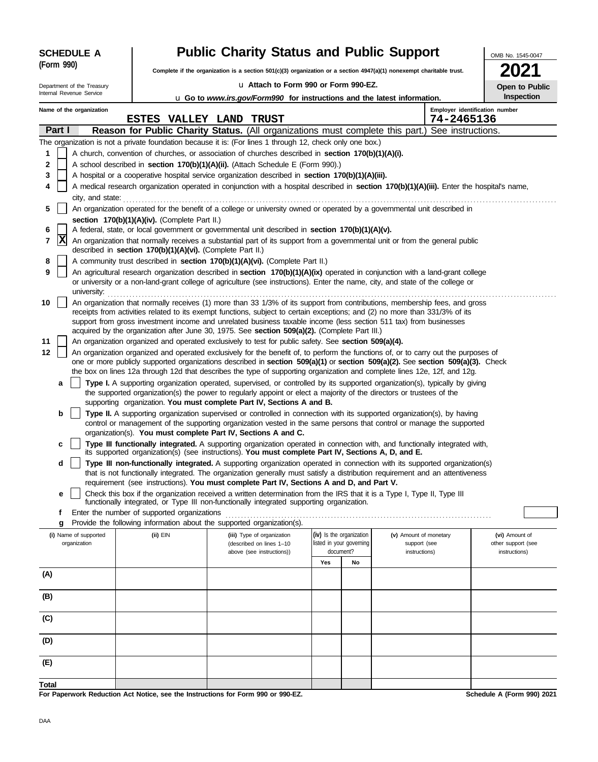| <b>SCHEDULE A</b> |                                                                                                                                                                                       |                                       |  |                                                            | <b>Public Charity Status and Public Support</b>                                                                                                                                                                                                             |                                                      |    |                                        |            | OMB No. 1545-0047                    |  |  |  |
|-------------------|---------------------------------------------------------------------------------------------------------------------------------------------------------------------------------------|---------------------------------------|--|------------------------------------------------------------|-------------------------------------------------------------------------------------------------------------------------------------------------------------------------------------------------------------------------------------------------------------|------------------------------------------------------|----|----------------------------------------|------------|--------------------------------------|--|--|--|
|                   | (Form 990)                                                                                                                                                                            |                                       |  |                                                            | Complete if the organization is a section $501(c)(3)$ organization or a section $4947(a)(1)$ nonexempt charitable trust.                                                                                                                                    |                                                      |    |                                        |            |                                      |  |  |  |
|                   |                                                                                                                                                                                       | Department of the Treasury            |  |                                                            | u Attach to Form 990 or Form 990-EZ.<br>Open to Public                                                                                                                                                                                                      |                                                      |    |                                        |            |                                      |  |  |  |
|                   |                                                                                                                                                                                       | Internal Revenue Service              |  |                                                            | <b>u</b> Go to <i>www.irs.gov/Form990</i> for instructions and the latest information.                                                                                                                                                                      |                                                      |    |                                        |            | Inspection                           |  |  |  |
|                   |                                                                                                                                                                                       | Name of the organization              |  |                                                            |                                                                                                                                                                                                                                                             |                                                      |    |                                        |            | Employer identification number       |  |  |  |
|                   |                                                                                                                                                                                       |                                       |  |                                                            | <b>ESTES VALLEY LAND TRUST</b>                                                                                                                                                                                                                              |                                                      |    |                                        | 74-2465136 |                                      |  |  |  |
|                   | Part I                                                                                                                                                                                |                                       |  |                                                            | Reason for Public Charity Status. (All organizations must complete this part.) See instructions.                                                                                                                                                            |                                                      |    |                                        |            |                                      |  |  |  |
| 1                 |                                                                                                                                                                                       |                                       |  |                                                            | The organization is not a private foundation because it is: (For lines 1 through 12, check only one box.)                                                                                                                                                   |                                                      |    |                                        |            |                                      |  |  |  |
| 2                 | A church, convention of churches, or association of churches described in section 170(b)(1)(A)(i).<br>A school described in section 170(b)(1)(A)(ii). (Attach Schedule E (Form 990).) |                                       |  |                                                            |                                                                                                                                                                                                                                                             |                                                      |    |                                        |            |                                      |  |  |  |
| 3                 |                                                                                                                                                                                       |                                       |  |                                                            | A hospital or a cooperative hospital service organization described in section 170(b)(1)(A)(iii).                                                                                                                                                           |                                                      |    |                                        |            |                                      |  |  |  |
| 4                 | A medical research organization operated in conjunction with a hospital described in section 170(b)(1)(A)(iii). Enter the hospital's name,                                            |                                       |  |                                                            |                                                                                                                                                                                                                                                             |                                                      |    |                                        |            |                                      |  |  |  |
|                   |                                                                                                                                                                                       | city, and state:                      |  |                                                            |                                                                                                                                                                                                                                                             |                                                      |    |                                        |            |                                      |  |  |  |
| 5                 |                                                                                                                                                                                       |                                       |  |                                                            | An organization operated for the benefit of a college or university owned or operated by a governmental unit described in                                                                                                                                   |                                                      |    |                                        |            |                                      |  |  |  |
|                   |                                                                                                                                                                                       |                                       |  | section 170(b)(1)(A)(iv). (Complete Part II.)              |                                                                                                                                                                                                                                                             |                                                      |    |                                        |            |                                      |  |  |  |
| 6                 | $ {\bf x} $                                                                                                                                                                           |                                       |  |                                                            | A federal, state, or local government or governmental unit described in section 170(b)(1)(A)(v).                                                                                                                                                            |                                                      |    |                                        |            |                                      |  |  |  |
| 7                 |                                                                                                                                                                                       |                                       |  | described in section 170(b)(1)(A)(vi). (Complete Part II.) | An organization that normally receives a substantial part of its support from a governmental unit or from the general public                                                                                                                                |                                                      |    |                                        |            |                                      |  |  |  |
| 8                 |                                                                                                                                                                                       |                                       |  |                                                            | A community trust described in section 170(b)(1)(A)(vi). (Complete Part II.)                                                                                                                                                                                |                                                      |    |                                        |            |                                      |  |  |  |
| 9                 |                                                                                                                                                                                       |                                       |  |                                                            | An agricultural research organization described in section 170(b)(1)(A)(ix) operated in conjunction with a land-grant college                                                                                                                               |                                                      |    |                                        |            |                                      |  |  |  |
|                   |                                                                                                                                                                                       | university:                           |  |                                                            | or university or a non-land-grant college of agriculture (see instructions). Enter the name, city, and state of the college or                                                                                                                              |                                                      |    |                                        |            |                                      |  |  |  |
| 10                |                                                                                                                                                                                       |                                       |  |                                                            | An organization that normally receives (1) more than 33 1/3% of its support from contributions, membership fees, and gross                                                                                                                                  |                                                      |    |                                        |            |                                      |  |  |  |
|                   |                                                                                                                                                                                       |                                       |  |                                                            | receipts from activities related to its exempt functions, subject to certain exceptions; and (2) no more than 331/3% of its<br>support from gross investment income and unrelated business taxable income (less section 511 tax) from businesses            |                                                      |    |                                        |            |                                      |  |  |  |
|                   |                                                                                                                                                                                       |                                       |  |                                                            | acquired by the organization after June 30, 1975. See section 509(a)(2). (Complete Part III.)                                                                                                                                                               |                                                      |    |                                        |            |                                      |  |  |  |
| 11                |                                                                                                                                                                                       |                                       |  |                                                            | An organization organized and operated exclusively to test for public safety. See section 509(a)(4).                                                                                                                                                        |                                                      |    |                                        |            |                                      |  |  |  |
| 12                |                                                                                                                                                                                       |                                       |  |                                                            | An organization organized and operated exclusively for the benefit of, to perform the functions of, or to carry out the purposes of                                                                                                                         |                                                      |    |                                        |            |                                      |  |  |  |
|                   |                                                                                                                                                                                       |                                       |  |                                                            | one or more publicly supported organizations described in section 509(a)(1) or section 509(a)(2). See section 509(a)(3). Check<br>the box on lines 12a through 12d that describes the type of supporting organization and complete lines 12e, 12f, and 12g. |                                                      |    |                                        |            |                                      |  |  |  |
|                   | a                                                                                                                                                                                     |                                       |  |                                                            | Type I. A supporting organization operated, supervised, or controlled by its supported organization(s), typically by giving                                                                                                                                 |                                                      |    |                                        |            |                                      |  |  |  |
|                   |                                                                                                                                                                                       |                                       |  |                                                            | the supported organization(s) the power to regularly appoint or elect a majority of the directors or trustees of the                                                                                                                                        |                                                      |    |                                        |            |                                      |  |  |  |
|                   |                                                                                                                                                                                       |                                       |  |                                                            | supporting organization. You must complete Part IV, Sections A and B.                                                                                                                                                                                       |                                                      |    |                                        |            |                                      |  |  |  |
|                   | b                                                                                                                                                                                     |                                       |  |                                                            | Type II. A supporting organization supervised or controlled in connection with its supported organization(s), by having                                                                                                                                     |                                                      |    |                                        |            |                                      |  |  |  |
|                   |                                                                                                                                                                                       |                                       |  |                                                            | control or management of the supporting organization vested in the same persons that control or manage the supported<br>organization(s). You must complete Part IV, Sections A and C.                                                                       |                                                      |    |                                        |            |                                      |  |  |  |
|                   | c                                                                                                                                                                                     |                                       |  |                                                            | Type III functionally integrated. A supporting organization operated in connection with, and functionally integrated with,                                                                                                                                  |                                                      |    |                                        |            |                                      |  |  |  |
|                   | d                                                                                                                                                                                     |                                       |  |                                                            | its supported organization(s) (see instructions). You must complete Part IV, Sections A, D, and E.<br>Type III non-functionally integrated. A supporting organization operated in connection with its supported organization(s)                             |                                                      |    |                                        |            |                                      |  |  |  |
|                   |                                                                                                                                                                                       |                                       |  |                                                            | that is not functionally integrated. The organization generally must satisfy a distribution requirement and an attentiveness                                                                                                                                |                                                      |    |                                        |            |                                      |  |  |  |
|                   |                                                                                                                                                                                       |                                       |  |                                                            | requirement (see instructions). You must complete Part IV, Sections A and D, and Part V.                                                                                                                                                                    |                                                      |    |                                        |            |                                      |  |  |  |
|                   | е                                                                                                                                                                                     |                                       |  |                                                            | Check this box if the organization received a written determination from the IRS that it is a Type I, Type II, Type III<br>functionally integrated, or Type III non-functionally integrated supporting organization.                                        |                                                      |    |                                        |            |                                      |  |  |  |
|                   | Ť.                                                                                                                                                                                    |                                       |  | Enter the number of supported organizations                |                                                                                                                                                                                                                                                             |                                                      |    |                                        |            |                                      |  |  |  |
|                   | g                                                                                                                                                                                     |                                       |  |                                                            | Provide the following information about the supported organization(s).                                                                                                                                                                                      |                                                      |    |                                        |            |                                      |  |  |  |
|                   |                                                                                                                                                                                       | (i) Name of supported<br>organization |  | (ii) EIN                                                   | (iii) Type of organization<br>(described on lines 1-10                                                                                                                                                                                                      | (iv) Is the organization<br>listed in your governing |    | (v) Amount of monetary<br>support (see |            | (vi) Amount of<br>other support (see |  |  |  |
|                   |                                                                                                                                                                                       |                                       |  |                                                            | above (see instructions))                                                                                                                                                                                                                                   | document?                                            |    | instructions)                          |            | instructions)                        |  |  |  |
|                   |                                                                                                                                                                                       |                                       |  |                                                            |                                                                                                                                                                                                                                                             | Yes                                                  | No |                                        |            |                                      |  |  |  |
| (A)               |                                                                                                                                                                                       |                                       |  |                                                            |                                                                                                                                                                                                                                                             |                                                      |    |                                        |            |                                      |  |  |  |
| (B)               |                                                                                                                                                                                       |                                       |  |                                                            |                                                                                                                                                                                                                                                             |                                                      |    |                                        |            |                                      |  |  |  |
| (C)               |                                                                                                                                                                                       |                                       |  |                                                            |                                                                                                                                                                                                                                                             |                                                      |    |                                        |            |                                      |  |  |  |
| (D)               |                                                                                                                                                                                       |                                       |  |                                                            |                                                                                                                                                                                                                                                             |                                                      |    |                                        |            |                                      |  |  |  |
| (E)               |                                                                                                                                                                                       |                                       |  |                                                            |                                                                                                                                                                                                                                                             |                                                      |    |                                        |            |                                      |  |  |  |
| Total             |                                                                                                                                                                                       |                                       |  |                                                            |                                                                                                                                                                                                                                                             |                                                      |    |                                        |            |                                      |  |  |  |
|                   |                                                                                                                                                                                       |                                       |  |                                                            | For Panarwork Poduction, Act Notice, can the Instructions for Form 000 or 000 FZ                                                                                                                                                                            |                                                      |    |                                        |            | Schodule A (Form 000) 2024           |  |  |  |

**For Paperwork Reduction Act Notice, see the Instructions for Form 990 or 990-EZ.**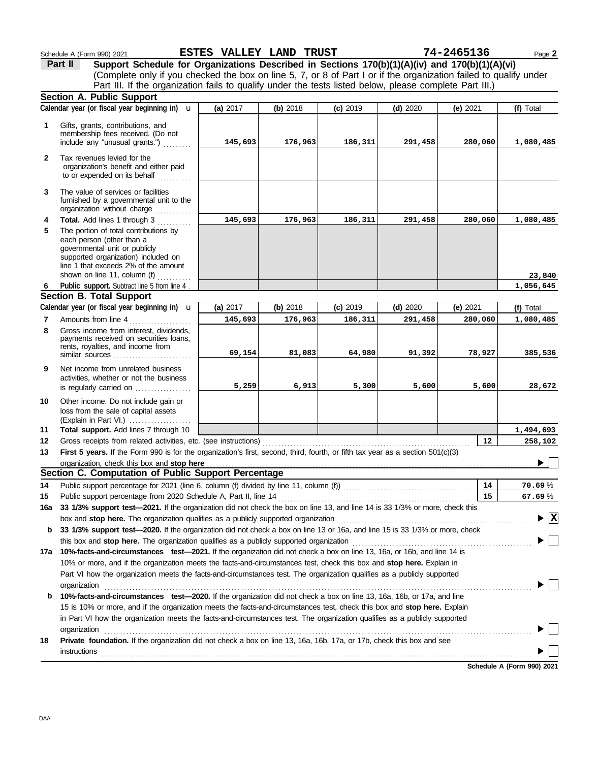|              | Part II<br>Support Schedule for Organizations Described in Sections 170(b)(1)(A)(iv) and 170(b)(1)(A)(vi)                                                                                                                                              |          |          |            |            |            |                                        |
|--------------|--------------------------------------------------------------------------------------------------------------------------------------------------------------------------------------------------------------------------------------------------------|----------|----------|------------|------------|------------|----------------------------------------|
|              | (Complete only if you checked the box on line 5, 7, or 8 of Part I or if the organization failed to qualify under                                                                                                                                      |          |          |            |            |            |                                        |
|              | Part III. If the organization fails to qualify under the tests listed below, please complete Part III.)                                                                                                                                                |          |          |            |            |            |                                        |
|              | <b>Section A. Public Support</b>                                                                                                                                                                                                                       |          |          |            |            |            |                                        |
|              | Calendar year (or fiscal year beginning in) $\mathbf u$                                                                                                                                                                                                | (a) 2017 | (b) 2018 | $(c)$ 2019 | $(d)$ 2020 | (e) $2021$ | (f) Total                              |
| 1            | Gifts, grants, contributions, and                                                                                                                                                                                                                      |          |          |            |            |            |                                        |
|              | membership fees received. (Do not                                                                                                                                                                                                                      |          |          |            |            |            |                                        |
|              | include any "unusual grants.")                                                                                                                                                                                                                         | 145,693  | 176,963  | 186,311    | 291,458    | 280,060    | 1,080,485                              |
| $\mathbf{2}$ | Tax revenues levied for the<br>organization's benefit and either paid<br>to or expended on its behalf                                                                                                                                                  |          |          |            |            |            |                                        |
| 3            | The value of services or facilities<br>furnished by a governmental unit to the<br>organization without charge                                                                                                                                          |          |          |            |            |            |                                        |
| 4            | Total. Add lines 1 through 3                                                                                                                                                                                                                           | 145,693  | 176,963  | 186,311    | 291,458    | 280,060    | 1,080,485                              |
| 5            | The portion of total contributions by<br>each person (other than a<br>governmental unit or publicly<br>supported organization) included on<br>line 1 that exceeds 2% of the amount<br>shown on line 11, column (f)                                     |          |          |            |            |            | 23,840                                 |
| 6            | Public support. Subtract line 5 from line 4                                                                                                                                                                                                            |          |          |            |            |            | 1,056,645                              |
|              | <b>Section B. Total Support</b>                                                                                                                                                                                                                        |          |          |            |            |            |                                        |
|              | Calendar year (or fiscal year beginning in) $\mathbf u$                                                                                                                                                                                                | (a) 2017 | (b) 2018 | $(c)$ 2019 | $(d)$ 2020 | (e) $2021$ | (f) Total                              |
| 7            | Amounts from line 4                                                                                                                                                                                                                                    | 145,693  | 176,963  | 186,311    | 291,458    | 280,060    | 1,080,485                              |
| 8            | Gross income from interest, dividends,<br>payments received on securities loans,                                                                                                                                                                       |          |          |            |            |            |                                        |
|              | rents, royalties, and income from<br>similar sources                                                                                                                                                                                                   | 69,154   | 81,083   | 64,980     | 91,392     | 78,927     | 385,536                                |
| 9            | Net income from unrelated business<br>activities, whether or not the business<br>is regularly carried on                                                                                                                                               | 5,259    | 6,913    | 5,300      | 5,600      | 5,600      | 28,672                                 |
| 10           | Other income. Do not include gain or<br>loss from the sale of capital assets<br>(Explain in Part VI.)                                                                                                                                                  |          |          |            |            |            |                                        |
| 11           | Total support. Add lines 7 through 10                                                                                                                                                                                                                  |          |          |            |            |            | 1,494,693                              |
| 12           | Gross receipts from related activities, etc. (see instructions)                                                                                                                                                                                        |          |          |            |            | 12         | 258,102                                |
| 13           | First 5 years. If the Form 990 is for the organization's first, second, third, fourth, or fifth tax year as a section 501(c)(3)                                                                                                                        |          |          |            |            |            |                                        |
|              |                                                                                                                                                                                                                                                        |          |          |            |            |            |                                        |
|              | Section C. Computation of Public Support Percentage                                                                                                                                                                                                    |          |          |            |            |            |                                        |
| 14           |                                                                                                                                                                                                                                                        |          |          |            |            | 14         | 70.69%                                 |
| 15           |                                                                                                                                                                                                                                                        |          |          |            |            | 15         | 67.69%                                 |
| 16a          | 33 1/3% support test-2021. If the organization did not check the box on line 13, and line 14 is 33 1/3% or more, check this                                                                                                                            |          |          |            |            |            |                                        |
|              | box and stop here. The organization qualifies as a publicly supported organization [11] content content content content content of the content of the content of the content of the content of the content of the content of t                         |          |          |            |            |            | $\blacktriangleright \boxed{\text{X}}$ |
| b            | 33 1/3% support test-2020. If the organization did not check a box on line 13 or 16a, and line 15 is 33 1/3% or more, check                                                                                                                            |          |          |            |            |            |                                        |
|              |                                                                                                                                                                                                                                                        |          |          |            |            |            |                                        |
| 17a          | 10%-facts-and-circumstances test-2021. If the organization did not check a box on line 13, 16a, or 16b, and line 14 is<br>10% or more, and if the organization meets the facts-and-circumstances test, check this box and stop here. Explain in        |          |          |            |            |            |                                        |
|              | Part VI how the organization meets the facts-and-circumstances test. The organization qualifies as a publicly supported                                                                                                                                |          |          |            |            |            |                                        |
|              | organization                                                                                                                                                                                                                                           |          |          |            |            |            |                                        |
| b            | 10%-facts-and-circumstances test-2020. If the organization did not check a box on line 13, 16a, 16b, or 17a, and line                                                                                                                                  |          |          |            |            |            |                                        |
|              | 15 is 10% or more, and if the organization meets the facts-and-circumstances test, check this box and stop here. Explain<br>in Part VI how the organization meets the facts-and-circumstances test. The organization qualifies as a publicly supported |          |          |            |            |            |                                        |
|              | organization                                                                                                                                                                                                                                           |          |          |            |            |            |                                        |
| 18           | Private foundation. If the organization did not check a box on line 13, 16a, 16b, 17a, or 17b, check this box and see                                                                                                                                  |          |          |            |            |            |                                        |
|              | <b>instructions</b>                                                                                                                                                                                                                                    |          |          |            |            |            |                                        |
|              |                                                                                                                                                                                                                                                        |          |          |            |            |            |                                        |

Schedule A (Form 990) 2021 Page **2 ESTES VALLEY LAND TRUST 74-2465136**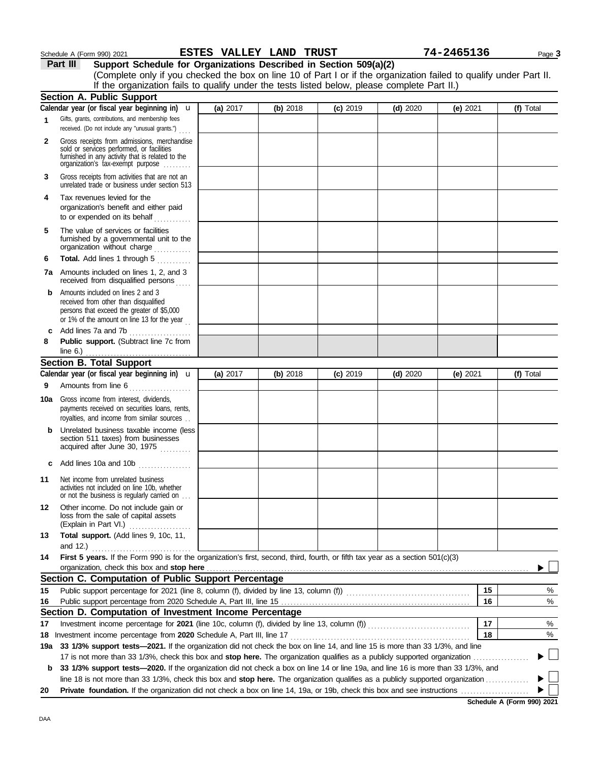### Schedule A (Form 990) 2021 Page **3 ESTES VALLEY LAND TRUST 74-2465136**

**Part III Support Schedule for Organizations Described in Section 509(a)(2)**

|     | (Complete only if you checked the box on line 10 of Part I or if the organization failed to qualify under Part II.<br>If the organization fails to qualify under the tests listed below, please complete Part II.) |            |          |            |            |            |           |
|-----|--------------------------------------------------------------------------------------------------------------------------------------------------------------------------------------------------------------------|------------|----------|------------|------------|------------|-----------|
|     | <b>Section A. Public Support</b>                                                                                                                                                                                   |            |          |            |            |            |           |
|     | Calendar year (or fiscal year beginning in) $\mathbf u$                                                                                                                                                            | (a) 2017   | (b) 2018 | $(c)$ 2019 | $(d)$ 2020 | (e) 2021   | (f) Total |
| 1   | Gifts, grants, contributions, and membership fees<br>received. (Do not include any "unusual grants.")                                                                                                              |            |          |            |            |            |           |
| 2   | Gross receipts from admissions, merchandise<br>sold or services performed, or facilities<br>furnished in any activity that is related to the<br>organization's tax-exempt purpose                                  |            |          |            |            |            |           |
| 3   | Gross receipts from activities that are not an<br>unrelated trade or business under section 513                                                                                                                    |            |          |            |            |            |           |
| 4   | Tax revenues levied for the<br>organization's benefit and either paid<br>to or expended on its behalf<br>. <b>.</b> .                                                                                              |            |          |            |            |            |           |
| 5   | The value of services or facilities<br>furnished by a governmental unit to the<br>organization without charge                                                                                                      |            |          |            |            |            |           |
| 6   | Total. Add lines 1 through 5                                                                                                                                                                                       |            |          |            |            |            |           |
|     | <b>7a</b> Amounts included on lines 1, 2, and 3<br>received from disqualified persons                                                                                                                              |            |          |            |            |            |           |
| b   | Amounts included on lines 2 and 3<br>received from other than disqualified<br>persons that exceed the greater of \$5,000<br>or 1% of the amount on line 13 for the year $\frac{1}{1}$                              |            |          |            |            |            |           |
| c   | Add lines 7a and 7b<br>.                                                                                                                                                                                           |            |          |            |            |            |           |
| 8   | Public support. (Subtract line 7c from                                                                                                                                                                             |            |          |            |            |            |           |
|     | <b>Section B. Total Support</b>                                                                                                                                                                                    |            |          |            |            |            |           |
|     | Calendar year (or fiscal year beginning in) $\mathbf u$                                                                                                                                                            | (a) $2017$ | (b) 2018 | $(c)$ 2019 | $(d)$ 2020 | (e) $2021$ | (f) Total |
| 9   | Amounts from line 6                                                                                                                                                                                                |            |          |            |            |            |           |
| 10a | Gross income from interest, dividends,<br>payments received on securities loans, rents,<br>royalties, and income from similar sources                                                                              |            |          |            |            |            |           |
| b   | Unrelated business taxable income (less<br>section 511 taxes) from businesses<br>acquired after June 30, 1975                                                                                                      |            |          |            |            |            |           |
| c   | Add lines 10a and 10b                                                                                                                                                                                              |            |          |            |            |            |           |
| 11  | Net income from unrelated business<br>activities not included on line 10b, whether<br>or not the business is regularly carried on                                                                                  |            |          |            |            |            |           |
| 12  | Other income. Do not include gain or<br>loss from the sale of capital assets<br>(Explain in Part VI.)                                                                                                              |            |          |            |            |            |           |
| 13  | Total support. (Add lines 9, 10c, 11,<br>and 12.)                                                                                                                                                                  |            |          |            |            |            |           |
| 14  | First 5 years. If the Form 990 is for the organization's first, second, third, fourth, or fifth tax year as a section 501(c)(3)<br>organization, check this box and stop here                                      |            |          |            |            |            |           |
|     | Section C. Computation of Public Support Percentage                                                                                                                                                                |            |          |            |            |            |           |
| 15  |                                                                                                                                                                                                                    |            |          |            |            | 15         | %         |
| 16  |                                                                                                                                                                                                                    |            |          |            |            | 16         | %         |
|     | Section D. Computation of Investment Income Percentage                                                                                                                                                             |            |          |            |            |            |           |
| 17  |                                                                                                                                                                                                                    |            |          |            |            | 17         | %         |
|     |                                                                                                                                                                                                                    |            |          |            |            | 18         | %         |
| 19а | 33 1/3% support tests-2021. If the organization did not check the box on line 14, and line 15 is more than 33 1/3%, and line                                                                                       |            |          |            |            |            |           |
|     | 17 is not more than 33 1/3%, check this box and stop here. The organization qualifies as a publicly supported organization                                                                                         |            |          |            |            |            |           |
| b   | 33 1/3% support tests—2020. If the organization did not check a box on line 14 or line 19a, and line 16 is more than 33 1/3%, and                                                                                  |            |          |            |            |            |           |
| 20  | line 18 is not more than 33 1/3%, check this box and stop here. The organization qualifies as a publicly supported organization                                                                                    |            |          |            |            |            |           |
|     |                                                                                                                                                                                                                    |            |          |            |            |            |           |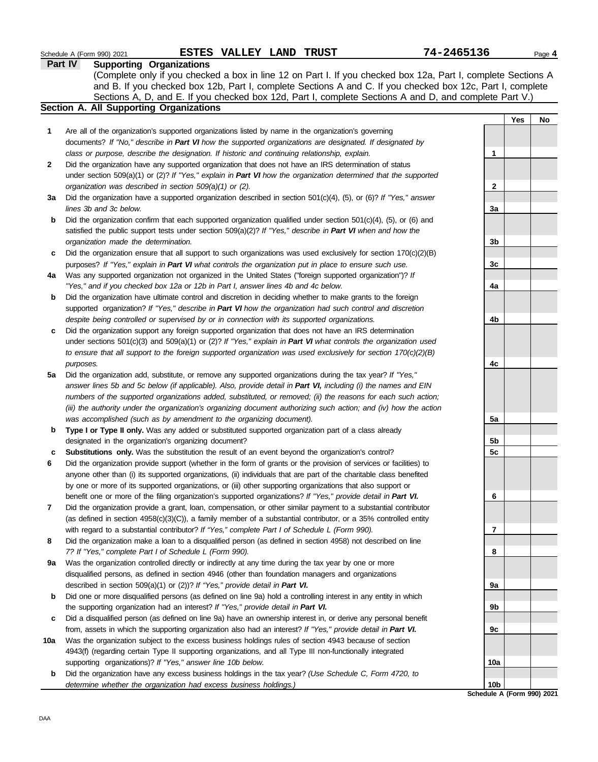|     | ESTES VALLEY LAND TRUST<br>Schedule A (Form 990) 2021                                                                                                                                                                              | 74-2465136      |     | Page 4 |
|-----|------------------------------------------------------------------------------------------------------------------------------------------------------------------------------------------------------------------------------------|-----------------|-----|--------|
|     | Part IV<br><b>Supporting Organizations</b>                                                                                                                                                                                         |                 |     |        |
|     | (Complete only if you checked a box in line 12 on Part I. If you checked box 12a, Part I, complete Sections A                                                                                                                      |                 |     |        |
|     | and B. If you checked box 12b, Part I, complete Sections A and C. If you checked box 12c, Part I, complete                                                                                                                         |                 |     |        |
|     | Sections A, D, and E. If you checked box 12d, Part I, complete Sections A and D, and complete Part V.)                                                                                                                             |                 |     |        |
|     | Section A. All Supporting Organizations                                                                                                                                                                                            |                 |     |        |
|     |                                                                                                                                                                                                                                    |                 | Yes | No     |
| 1   | Are all of the organization's supported organizations listed by name in the organization's governing                                                                                                                               |                 |     |        |
|     | documents? If "No," describe in Part VI how the supported organizations are designated. If designated by                                                                                                                           |                 |     |        |
|     | class or purpose, describe the designation. If historic and continuing relationship, explain.                                                                                                                                      | 1               |     |        |
| 2   | Did the organization have any supported organization that does not have an IRS determination of status                                                                                                                             |                 |     |        |
|     | under section 509(a)(1) or (2)? If "Yes," explain in Part VI how the organization determined that the supported                                                                                                                    |                 |     |        |
|     | organization was described in section 509(a)(1) or (2).                                                                                                                                                                            | $\mathbf{2}$    |     |        |
| За  | Did the organization have a supported organization described in section $501(c)(4)$ , (5), or (6)? If "Yes," answer                                                                                                                |                 |     |        |
|     | lines 3b and 3c below.                                                                                                                                                                                                             | 3a              |     |        |
| b   | Did the organization confirm that each supported organization qualified under section $501(c)(4)$ , $(5)$ , or $(6)$ and                                                                                                           |                 |     |        |
|     | satisfied the public support tests under section 509(a)(2)? If "Yes," describe in Part VI when and how the                                                                                                                         |                 |     |        |
|     | organization made the determination.                                                                                                                                                                                               | 3b              |     |        |
| c   | Did the organization ensure that all support to such organizations was used exclusively for section $170(c)(2)(B)$                                                                                                                 |                 |     |        |
|     | purposes? If "Yes," explain in Part VI what controls the organization put in place to ensure such use.                                                                                                                             | 3 <sub>c</sub>  |     |        |
| 4a  | Was any supported organization not organized in the United States ("foreign supported organization")? If                                                                                                                           |                 |     |        |
|     | "Yes," and if you checked box 12a or 12b in Part I, answer lines 4b and 4c below.                                                                                                                                                  | 4a              |     |        |
| b   | Did the organization have ultimate control and discretion in deciding whether to make grants to the foreign                                                                                                                        |                 |     |        |
|     | supported organization? If "Yes," describe in Part VI how the organization had such control and discretion                                                                                                                         |                 |     |        |
|     | despite being controlled or supervised by or in connection with its supported organizations.                                                                                                                                       | 4b              |     |        |
| c   | Did the organization support any foreign supported organization that does not have an IRS determination                                                                                                                            |                 |     |        |
|     | under sections $501(c)(3)$ and $509(a)(1)$ or (2)? If "Yes," explain in Part VI what controls the organization used                                                                                                                |                 |     |        |
|     | to ensure that all support to the foreign supported organization was used exclusively for section $170(c)(2)(B)$                                                                                                                   |                 |     |        |
|     | purposes.                                                                                                                                                                                                                          | 4c              |     |        |
| 5a  | Did the organization add, substitute, or remove any supported organizations during the tax year? If "Yes,"                                                                                                                         |                 |     |        |
|     | answer lines 5b and 5c below (if applicable). Also, provide detail in Part VI, including (i) the names and EIN                                                                                                                     |                 |     |        |
|     | numbers of the supported organizations added, substituted, or removed; (ii) the reasons for each such action;<br>(iii) the authority under the organization's organizing document authorizing such action; and (iv) how the action |                 |     |        |
|     | was accomplished (such as by amendment to the organizing document).                                                                                                                                                                | 5a              |     |        |
| b   | Type I or Type II only. Was any added or substituted supported organization part of a class already                                                                                                                                |                 |     |        |
|     | designated in the organization's organizing document?                                                                                                                                                                              | 5b              |     |        |
|     | Substitutions only. Was the substitution the result of an event beyond the organization's control?                                                                                                                                 | 5c              |     |        |
|     | Did the organization provide support (whether in the form of grants or the provision of services or facilities) to                                                                                                                 |                 |     |        |
|     | anyone other than (i) its supported organizations, (ii) individuals that are part of the charitable class benefited                                                                                                                |                 |     |        |
|     | by one or more of its supported organizations, or (iii) other supporting organizations that also support or                                                                                                                        |                 |     |        |
|     | benefit one or more of the filing organization's supported organizations? If "Yes," provide detail in Part VI.                                                                                                                     | 6               |     |        |
| 7   | Did the organization provide a grant, loan, compensation, or other similar payment to a substantial contributor                                                                                                                    |                 |     |        |
|     | (as defined in section $4958(c)(3)(C)$ ), a family member of a substantial contributor, or a 35% controlled entity                                                                                                                 |                 |     |        |
|     | with regard to a substantial contributor? If "Yes," complete Part I of Schedule L (Form 990).                                                                                                                                      | 7               |     |        |
| 8   | Did the organization make a loan to a disqualified person (as defined in section 4958) not described on line                                                                                                                       |                 |     |        |
|     | 7? If "Yes," complete Part I of Schedule L (Form 990).                                                                                                                                                                             | 8               |     |        |
| 9a  | Was the organization controlled directly or indirectly at any time during the tax year by one or more                                                                                                                              |                 |     |        |
|     | disqualified persons, as defined in section 4946 (other than foundation managers and organizations                                                                                                                                 |                 |     |        |
|     | described in section 509(a)(1) or (2))? If "Yes," provide detail in Part VI.                                                                                                                                                       | 9а              |     |        |
| b   | Did one or more disqualified persons (as defined on line 9a) hold a controlling interest in any entity in which                                                                                                                    |                 |     |        |
|     | the supporting organization had an interest? If "Yes," provide detail in Part VI.                                                                                                                                                  | 9b              |     |        |
| c   | Did a disqualified person (as defined on line 9a) have an ownership interest in, or derive any personal benefit                                                                                                                    |                 |     |        |
|     | from, assets in which the supporting organization also had an interest? If "Yes," provide detail in Part VI.                                                                                                                       | 9c              |     |        |
| 10a | Was the organization subject to the excess business holdings rules of section 4943 because of section                                                                                                                              |                 |     |        |
|     | 4943(f) (regarding certain Type II supporting organizations, and all Type III non-functionally integrated                                                                                                                          |                 |     |        |
|     | supporting organizations)? If "Yes," answer line 10b below.                                                                                                                                                                        | 10a             |     |        |
| b   | Did the organization have any excess business holdings in the tax year? (Use Schedule C, Form 4720, to                                                                                                                             |                 |     |        |
|     | determine whether the organization had excess business holdings.)                                                                                                                                                                  | 10 <sub>b</sub> |     |        |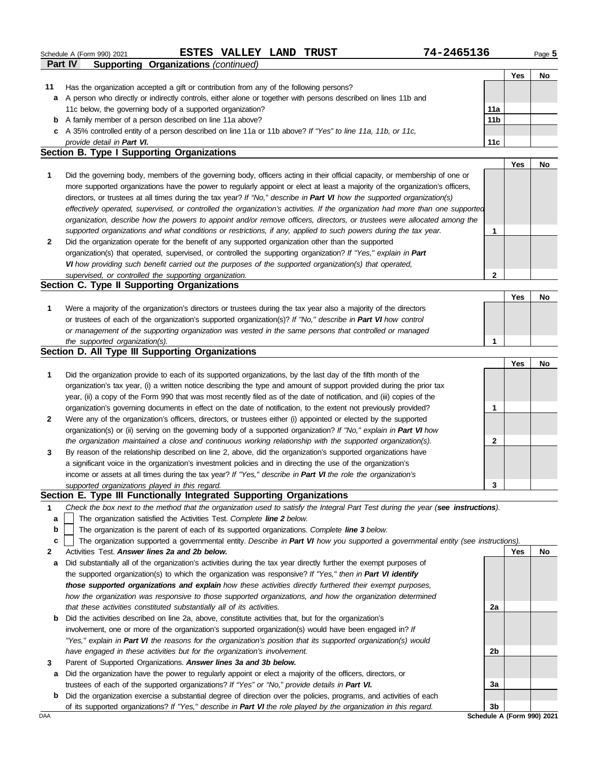|              | 74-2465136<br>ESTES VALLEY LAND TRUST<br>Schedule A (Form 990) 2021                                                               |                 |     | Page 5 |
|--------------|-----------------------------------------------------------------------------------------------------------------------------------|-----------------|-----|--------|
|              | Part IV<br><b>Supporting Organizations (continued)</b>                                                                            |                 |     |        |
|              |                                                                                                                                   |                 | Yes | No     |
| 11           | Has the organization accepted a gift or contribution from any of the following persons?                                           |                 |     |        |
| a            | A person who directly or indirectly controls, either alone or together with persons described on lines 11b and                    |                 |     |        |
|              | 11c below, the governing body of a supported organization?                                                                        | 11a             |     |        |
|              | <b>b</b> A family member of a person described on line 11a above?                                                                 | 11 <sub>b</sub> |     |        |
|              | c A 35% controlled entity of a person described on line 11a or 11b above? If "Yes" to line 11a, 11b, or 11c,                      |                 |     |        |
|              | provide detail in Part VI.                                                                                                        | 11c             |     |        |
|              | Section B. Type I Supporting Organizations                                                                                        |                 |     |        |
|              |                                                                                                                                   |                 | Yes | No     |
| 1            | Did the governing body, members of the governing body, officers acting in their official capacity, or membership of one or        |                 |     |        |
|              | more supported organizations have the power to regularly appoint or elect at least a majority of the organization's officers,     |                 |     |        |
|              | directors, or trustees at all times during the tax year? If "No," describe in Part VI how the supported organization(s)           |                 |     |        |
|              | effectively operated, supervised, or controlled the organization's activities. If the organization had more than one supported    |                 |     |        |
|              | organization, describe how the powers to appoint and/or remove officers, directors, or trustees were allocated among the          |                 |     |        |
|              | supported organizations and what conditions or restrictions, if any, applied to such powers during the tax year.                  | 1               |     |        |
| $\mathbf{2}$ | Did the organization operate for the benefit of any supported organization other than the supported                               |                 |     |        |
|              | organization(s) that operated, supervised, or controlled the supporting organization? If "Yes," explain in Part                   |                 |     |        |
|              | VI how providing such benefit carried out the purposes of the supported organization(s) that operated,                            |                 |     |        |
|              | supervised, or controlled the supporting organization.                                                                            | 2               |     |        |
|              | Section C. Type II Supporting Organizations                                                                                       |                 |     |        |
|              |                                                                                                                                   |                 | Yes | No     |
| 1            | Were a majority of the organization's directors or trustees during the tax year also a majority of the directors                  |                 |     |        |
|              | or trustees of each of the organization's supported organization(s)? If "No," describe in Part VI how control                     |                 |     |        |
|              | or management of the supporting organization was vested in the same persons that controlled or managed                            |                 |     |        |
|              | the supported organization(s).                                                                                                    | 1               |     |        |
|              | Section D. All Type III Supporting Organizations                                                                                  |                 |     |        |
|              |                                                                                                                                   |                 | Yes | No     |
| 1            | Did the organization provide to each of its supported organizations, by the last day of the fifth month of the                    |                 |     |        |
|              |                                                                                                                                   |                 |     |        |
|              | organization's tax year, (i) a written notice describing the type and amount of support provided during the prior tax             |                 |     |        |
|              | year, (ii) a copy of the Form 990 that was most recently filed as of the date of notification, and (iii) copies of the            |                 |     |        |
|              | organization's governing documents in effect on the date of notification, to the extent not previously provided?                  | 1               |     |        |
| $\mathbf{2}$ | Were any of the organization's officers, directors, or trustees either (i) appointed or elected by the supported                  |                 |     |        |
|              | organization(s) or (ii) serving on the governing body of a supported organization? If "No," explain in Part VI how                |                 |     |        |
|              | the organization maintained a close and continuous working relationship with the supported organization(s).                       | 2               |     |        |
| 3            | By reason of the relationship described on line 2, above, did the organization's supported organizations have                     |                 |     |        |
|              | a significant voice in the organization's investment policies and in directing the use of the organization's                      |                 |     |        |
|              | income or assets at all times during the tax year? If "Yes," describe in Part VI the role the organization's                      |                 |     |        |
|              | supported organizations played in this regard.                                                                                    | 3               |     |        |
|              | Section E. Type III Functionally Integrated Supporting Organizations                                                              |                 |     |        |
| 1            | Check the box next to the method that the organization used to satisfy the Integral Part Test during the year (see instructions). |                 |     |        |
| a            | The organization satisfied the Activities Test. Complete line 2 below.                                                            |                 |     |        |
| b            | The organization is the parent of each of its supported organizations. Complete line 3 below.                                     |                 |     |        |
| c            | The organization supported a governmental entity. Describe in Part VI how you supported a governmental entity (see instructions). |                 |     |        |
| 2            | Activities Test. Answer lines 2a and 2b below.                                                                                    |                 | Yes | No     |
| а            | Did substantially all of the organization's activities during the tax year directly further the exempt purposes of                |                 |     |        |
|              | the supported organization(s) to which the organization was responsive? If "Yes," then in Part VI identify                        |                 |     |        |
|              | those supported organizations and explain how these activities directly furthered their exempt purposes,                          |                 |     |        |
|              | how the organization was responsive to those supported organizations, and how the organization determined                         |                 |     |        |
|              | that these activities constituted substantially all of its activities.                                                            | 2a              |     |        |
| b            | Did the activities described on line 2a, above, constitute activities that, but for the organization's                            |                 |     |        |
|              | involvement, one or more of the organization's supported organization(s) would have been engaged in? If                           |                 |     |        |
|              | "Yes," explain in Part VI the reasons for the organization's position that its supported organization(s) would                    |                 |     |        |
|              | have engaged in these activities but for the organization's involvement.                                                          | 2b              |     |        |
| 3            | Parent of Supported Organizations. Answer lines 3a and 3b below.                                                                  |                 |     |        |
| а            | Did the organization have the power to regularly appoint or elect a majority of the officers, directors, or                       |                 |     |        |
|              | trustees of each of the supported organizations? If "Yes" or "No," provide details in Part VI.                                    | За              |     |        |
| b            | Did the organization exercise a substantial degree of direction over the policies, programs, and activities of each               |                 |     |        |
|              | of its supported organizations? If "Yes," describe in Part VI the role played by the organization in this regard.                 | 3 <sub>b</sub>  |     |        |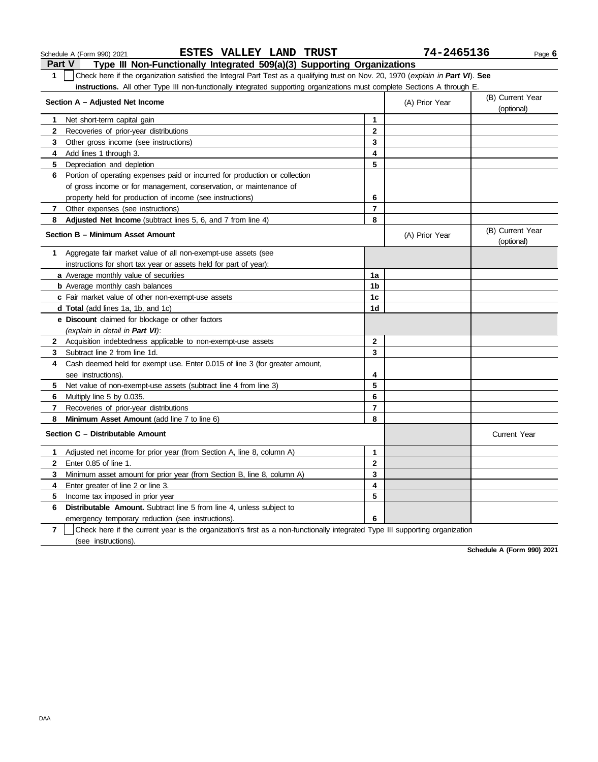#### Schedule A (Form 990) 2021 Page **6 ESTES VALLEY LAND TRUST 74-2465136**

**Part V Type III Non-Functionally Integrated 509(a)(3) Supporting Organizations 1** Check here if the organization satisfied the Integral Part Test as a qualifying trust on Nov. 20, 1970 (*explain in Part VI*). **See** 

**instructions.** All other Type III non-functionally integrated supporting organizations must complete Sections A through E.

|                | Section A - Adjusted Net Income                                                                                              | (A) Prior Year | (B) Current Year<br>(optional) |                                |
|----------------|------------------------------------------------------------------------------------------------------------------------------|----------------|--------------------------------|--------------------------------|
| 1.             | Net short-term capital gain                                                                                                  | 1              |                                |                                |
| $\mathbf{2}$   | Recoveries of prior-year distributions                                                                                       | $\overline{2}$ |                                |                                |
| 3              | Other gross income (see instructions)                                                                                        | 3              |                                |                                |
| 4              | Add lines 1 through 3.                                                                                                       | 4              |                                |                                |
| 5              | Depreciation and depletion                                                                                                   | 5              |                                |                                |
| 6              | Portion of operating expenses paid or incurred for production or collection                                                  |                |                                |                                |
|                | of gross income or for management, conservation, or maintenance of                                                           |                |                                |                                |
|                | property held for production of income (see instructions)                                                                    | 6              |                                |                                |
| 7              | Other expenses (see instructions)                                                                                            | $\overline{7}$ |                                |                                |
| 8              | Adjusted Net Income (subtract lines 5, 6, and 7 from line 4)                                                                 | 8              |                                |                                |
|                | Section B - Minimum Asset Amount                                                                                             |                | (A) Prior Year                 | (B) Current Year<br>(optional) |
| 1              | Aggregate fair market value of all non-exempt-use assets (see                                                                |                |                                |                                |
|                | instructions for short tax year or assets held for part of year):                                                            |                |                                |                                |
|                | <b>a</b> Average monthly value of securities                                                                                 | 1a             |                                |                                |
|                | <b>b</b> Average monthly cash balances                                                                                       | 1 <sub>b</sub> |                                |                                |
|                | c Fair market value of other non-exempt-use assets                                                                           | 1c             |                                |                                |
|                | <b>d Total</b> (add lines 1a, 1b, and 1c)                                                                                    | 1d             |                                |                                |
|                | e Discount claimed for blockage or other factors                                                                             |                |                                |                                |
|                | (explain in detail in Part VI):                                                                                              |                |                                |                                |
| $\mathbf{2}$   | Acquisition indebtedness applicable to non-exempt-use assets                                                                 | $\mathbf{2}$   |                                |                                |
| 3.             | Subtract line 2 from line 1d.                                                                                                | 3              |                                |                                |
| 4              | Cash deemed held for exempt use. Enter 0.015 of line 3 (for greater amount,                                                  |                |                                |                                |
|                | see instructions).                                                                                                           | 4              |                                |                                |
| 5              | Net value of non-exempt-use assets (subtract line 4 from line 3)                                                             | 5              |                                |                                |
| 6              | Multiply line 5 by 0.035.                                                                                                    | 6              |                                |                                |
| 7              | Recoveries of prior-year distributions                                                                                       | $\overline{7}$ |                                |                                |
| 8              | Minimum Asset Amount (add line 7 to line 6)                                                                                  | 8              |                                |                                |
|                | Section C - Distributable Amount                                                                                             |                |                                | <b>Current Year</b>            |
| 1.             | Adjusted net income for prior year (from Section A, line 8, column A)                                                        | 1              |                                |                                |
| $\mathbf{2}$   | Enter 0.85 of line 1.                                                                                                        | $\mathbf{2}$   |                                |                                |
| 3              | Minimum asset amount for prior year (from Section B, line 8, column A)                                                       | 3              |                                |                                |
| 4              | Enter greater of line 2 or line 3.                                                                                           | 4              |                                |                                |
| 5              | Income tax imposed in prior year                                                                                             | 5              |                                |                                |
| 6              | <b>Distributable Amount.</b> Subtract line 5 from line 4, unless subject to                                                  |                |                                |                                |
|                | emergency temporary reduction (see instructions).                                                                            | 6              |                                |                                |
| $\overline{7}$ | Check here if the current year is the organization's first as a non-functionally integrated Type III supporting organization |                |                                |                                |
|                | (see instructions).                                                                                                          |                |                                |                                |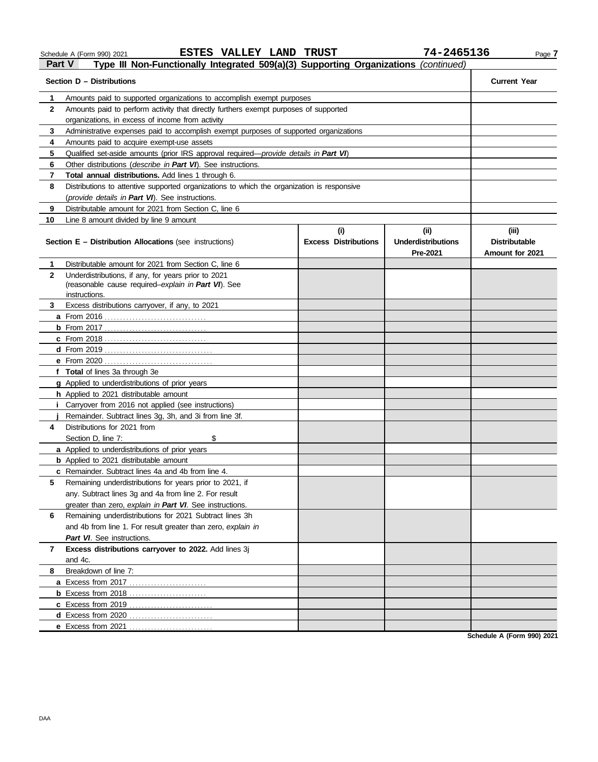#### **Section D – Distributions Current Year 1 2 3 4 5** Qualified set-aside amounts (prior IRS approval required—*provide details in Part VI*) **6** Other distributions (*describe in Part VI*). See instructions. **7 Total annual distributions.** Add lines 1 through 6. **8** Distributions to attentive supported organizations to which the organization is responsive **9 10** Amounts paid to supported organizations to accomplish exempt purposes Amounts paid to perform activity that directly furthers exempt purposes of supported organizations, in excess of income from activity Administrative expenses paid to accomplish exempt purposes of supported organizations Amounts paid to acquire exempt-use assets (*provide details in Part VI*). See instructions. Distributable amount for 2021 from Section C, line 6 Line 8 amount divided by line 9 amount **Section E – Distribution Allocations** (see instructions) **Excess Distributions (i) (ii) Underdistributions Pre-2021 Distributable Amount for 2021 4** Distributions for 2021 from **3** Excess distributions carryover, if any, to 2021 **2 1 a** From 2016 . . . . . . . . . . . . . . . . . . . . . . . . . . . . . . . . . **b** From 2017 . . . . . . . . . . . . . . . . . . . . . . . . . . . . . . . . . **c** From 2018 . . . . . . . . . . . . . . . . . . . . . . . . . . . . . . . . . **d** From 2019 . . . . . . . . . . . . . . . . . . . . . . . . . . . . . . . . . . . **e** From 2020 . . . . . . . . . . . . . . . . . . . . . . . . . . . . . . . . . . . **f Total** of lines 3a through 3e **g** Applied to underdistributions of prior years **h** Applied to 2021 distributable amount **i** Carryover from 2016 not applied (see instructions) **j a** Applied to underdistributions of prior years Distributable amount for 2021 from Section C, line 6 Underdistributions, if any, for years prior to 2021 (reasonable cause required–*explain in Part VI*). See Remainder. Subtract lines 3g, 3h, and 3i from line 3f. Section D, line 7: \$ instructions.

**8** Breakdown of line 7: **7 Excess distributions carryover to 2022.** Add lines 3j **6** Remaining underdistributions for 2021 Subtract lines 3h **5** Remaining underdistributions for years prior to 2021, if **b** Applied to 2021 distributable amount **c** Remainder. Subtract lines 4a and 4b from line 4. **a** Excess from 2017 . . . . . . . . . . . . . . . . . . . . . . . . . **b** Excess from 2018 . . . . . . . . . . . . . . . . . . . . . . . . . **c** Excess from 2019 . . . . . . . . . . . . . . . . . . . . . . . . . . . **d** Excess from 2020 . . . . . . . . . . . . . . . . . . . . . . . . . . . **e** Excess from 2021 . . . . . . . . . . . . . . . . . . . . . . . . . . . any. Subtract lines 3g and 4a from line 2. For result greater than zero, *explain in Part VI*. See instructions. and 4b from line 1. For result greater than zero, *explain in Part VI*. See instructions. and 4c.

**Schedule A (Form 990) 2021**

## **Part V Type III Non-Functionally Integrated 509(a)(3) Supporting Organizations** *(continued)*

Schedule A (Form 990) 2021 Page **7 ESTES VALLEY LAND TRUST 74-2465136**

**(iii)**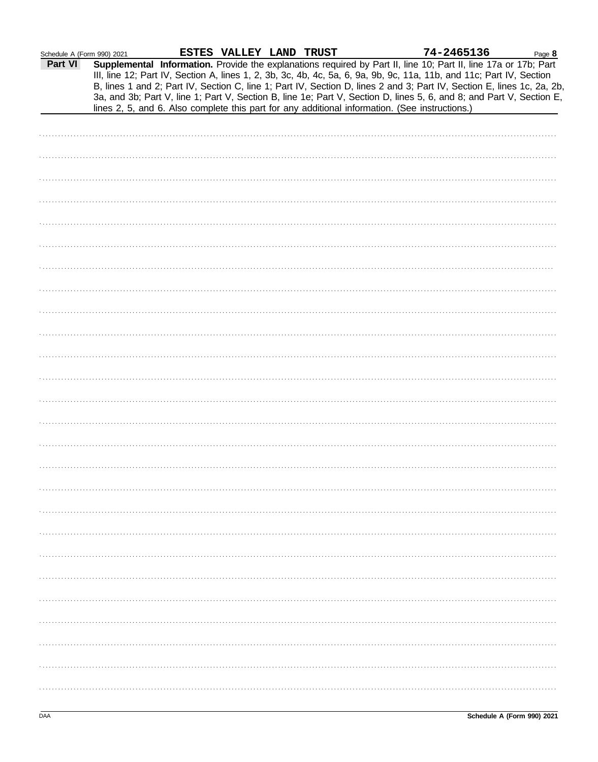| Schedule A (Form 990) 2021 |  |
|----------------------------|--|

| Schedule A (Form 990) 2021 |                                                                                                                      |  | ESTES VALLEY LAND TRUST |  | 74-2465136 | Page 8                                                                                                                                                                                                                                    |
|----------------------------|----------------------------------------------------------------------------------------------------------------------|--|-------------------------|--|------------|-------------------------------------------------------------------------------------------------------------------------------------------------------------------------------------------------------------------------------------------|
| Part VI                    | III, line 12; Part IV, Section A, lines 1, 2, 3b, 3c, 4b, 4c, 5a, 6, 9a, 9b, 9c, 11a, 11b, and 11c; Part IV, Section |  |                         |  |            | Supplemental Information. Provide the explanations required by Part II, line 10; Part II, line 17a or 17b; Part<br>B, lines 1 and 2; Part IV, Section C, line 1; Part IV, Section D, lines 2 and 3; Part IV, Section E, lines 1c, 2a, 2b, |
|                            | lines 2, 5, and 6. Also complete this part for any additional information. (See instructions.)                       |  |                         |  |            | 3a, and 3b; Part V, line 1; Part V, Section B, line 1e; Part V, Section D, lines 5, 6, and 8; and Part V, Section E,                                                                                                                      |
|                            |                                                                                                                      |  |                         |  |            |                                                                                                                                                                                                                                           |
|                            |                                                                                                                      |  |                         |  |            |                                                                                                                                                                                                                                           |
|                            |                                                                                                                      |  |                         |  |            |                                                                                                                                                                                                                                           |
|                            |                                                                                                                      |  |                         |  |            |                                                                                                                                                                                                                                           |
|                            |                                                                                                                      |  |                         |  |            |                                                                                                                                                                                                                                           |
|                            |                                                                                                                      |  |                         |  |            |                                                                                                                                                                                                                                           |
|                            |                                                                                                                      |  |                         |  |            |                                                                                                                                                                                                                                           |
|                            |                                                                                                                      |  |                         |  |            |                                                                                                                                                                                                                                           |
|                            |                                                                                                                      |  |                         |  |            |                                                                                                                                                                                                                                           |
|                            |                                                                                                                      |  |                         |  |            |                                                                                                                                                                                                                                           |
|                            |                                                                                                                      |  |                         |  |            |                                                                                                                                                                                                                                           |
|                            |                                                                                                                      |  |                         |  |            |                                                                                                                                                                                                                                           |
|                            |                                                                                                                      |  |                         |  |            |                                                                                                                                                                                                                                           |
|                            |                                                                                                                      |  |                         |  |            |                                                                                                                                                                                                                                           |
|                            |                                                                                                                      |  |                         |  |            |                                                                                                                                                                                                                                           |
|                            |                                                                                                                      |  |                         |  |            |                                                                                                                                                                                                                                           |
|                            |                                                                                                                      |  |                         |  |            |                                                                                                                                                                                                                                           |
|                            |                                                                                                                      |  |                         |  |            |                                                                                                                                                                                                                                           |
|                            |                                                                                                                      |  |                         |  |            |                                                                                                                                                                                                                                           |
|                            |                                                                                                                      |  |                         |  |            |                                                                                                                                                                                                                                           |
|                            |                                                                                                                      |  |                         |  |            |                                                                                                                                                                                                                                           |
|                            |                                                                                                                      |  |                         |  |            |                                                                                                                                                                                                                                           |
|                            |                                                                                                                      |  |                         |  |            |                                                                                                                                                                                                                                           |
|                            |                                                                                                                      |  |                         |  |            |                                                                                                                                                                                                                                           |
|                            |                                                                                                                      |  |                         |  |            |                                                                                                                                                                                                                                           |
|                            |                                                                                                                      |  |                         |  |            |                                                                                                                                                                                                                                           |
|                            |                                                                                                                      |  |                         |  |            |                                                                                                                                                                                                                                           |
|                            |                                                                                                                      |  |                         |  |            |                                                                                                                                                                                                                                           |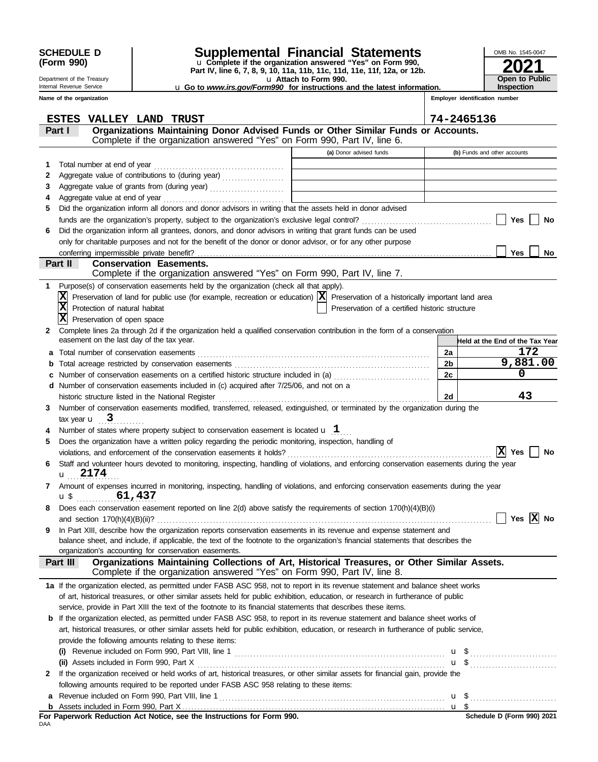| <b>SCHEDULE D</b> |  |
|-------------------|--|
| (Form 990)        |  |

Department of the Treasury Internal Revenue Service

## **SCHEDULE D Supplemental Financial Statements**

u **Attach to Form 990. Part IV, line 6, 7, 8, 9, 10, 11a, 11b, 11c, 11d, 11e, 11f, 12a, or 12b.** u **Complete if the organization answered "Yes" on Form 990,** u **Go to** *www.irs.gov/Form990* **for instructions and the latest information.**

| OMB No. 1545-0047     |
|-----------------------|
| 2021                  |
|                       |
| <b>Open to Public</b> |
| <b>Inspection</b>     |

|  | Name of the organization |
|--|--------------------------|
|--|--------------------------|

|  | Employer identification number |  |
|--|--------------------------------|--|
|  |                                |  |

|     | <b>ESTES</b><br>VALLEY LAND TRUST                                                                                                                                                                   |                                                                                                                       |                | 74-2465136                      |
|-----|-----------------------------------------------------------------------------------------------------------------------------------------------------------------------------------------------------|-----------------------------------------------------------------------------------------------------------------------|----------------|---------------------------------|
|     | Organizations Maintaining Donor Advised Funds or Other Similar Funds or Accounts.<br>Part I                                                                                                         |                                                                                                                       |                |                                 |
|     | Complete if the organization answered "Yes" on Form 990, Part IV, line 6.                                                                                                                           |                                                                                                                       |                |                                 |
|     |                                                                                                                                                                                                     | (a) Donor advised funds                                                                                               |                | (b) Funds and other accounts    |
| 1   | Total number at end of year                                                                                                                                                                         |                                                                                                                       |                |                                 |
| 2   |                                                                                                                                                                                                     | <u> 1990 - Johann Barbara, martin a</u>                                                                               |                |                                 |
| 3   |                                                                                                                                                                                                     | <u> 1990 - Jan Barbara Barat, manazarta da kasas da shekara 1991 - An an shekara 1991 - An an shekara 1991 - An a</u> |                |                                 |
| 4   | Aggregate value at end of year                                                                                                                                                                      |                                                                                                                       |                |                                 |
| 5   | Did the organization inform all donors and donor advisors in writing that the assets held in donor advised                                                                                          |                                                                                                                       |                |                                 |
|     |                                                                                                                                                                                                     |                                                                                                                       |                | <b>Yes</b><br>No                |
| 6   | Did the organization inform all grantees, donors, and donor advisors in writing that grant funds can be used                                                                                        |                                                                                                                       |                |                                 |
|     | only for charitable purposes and not for the benefit of the donor or donor advisor, or for any other purpose                                                                                        |                                                                                                                       |                |                                 |
|     |                                                                                                                                                                                                     |                                                                                                                       |                | <b>Yes</b><br>No                |
|     | Part II<br><b>Conservation Easements.</b>                                                                                                                                                           |                                                                                                                       |                |                                 |
|     | Complete if the organization answered "Yes" on Form 990, Part IV, line 7.                                                                                                                           |                                                                                                                       |                |                                 |
|     | 1 Purpose(s) of conservation easements held by the organization (check all that apply).                                                                                                             |                                                                                                                       |                |                                 |
|     | $\vert \mathbf{\overline{X}}\vert$ Preservation of land for public use (for example, recreation or education) $\vert \mathbf{\overline{X}}\vert$ Preservation of a historically important land area |                                                                                                                       |                |                                 |
|     | $ \mathbf{x} $<br>Protection of natural habitat                                                                                                                                                     | Preservation of a certified historic structure                                                                        |                |                                 |
|     | X <br>Preservation of open space                                                                                                                                                                    |                                                                                                                       |                |                                 |
| 2   | Complete lines 2a through 2d if the organization held a qualified conservation contribution in the form of a conservation                                                                           |                                                                                                                       |                |                                 |
|     | easement on the last day of the tax year.                                                                                                                                                           |                                                                                                                       |                | Held at the End of the Tax Year |
| a   |                                                                                                                                                                                                     |                                                                                                                       | 2a             | 172                             |
| b   | Total acreage restricted by conservation easements                                                                                                                                                  |                                                                                                                       | 2 <sub>b</sub> | 9,881.00                        |
|     | Number of conservation easements on a certified historic structure included in (a) <i>manumeron</i> conservation easements                                                                          |                                                                                                                       | 2c             | 0                               |
|     | d Number of conservation easements included in (c) acquired after 7/25/06, and not on a                                                                                                             |                                                                                                                       |                |                                 |
|     | historic structure listed in the National Register                                                                                                                                                  |                                                                                                                       | 2d             | 43                              |
| 3   | Number of conservation easements modified, transferred, released, extinguished, or terminated by the organization during the                                                                        |                                                                                                                       |                |                                 |
|     | tax year $\mathbf{u}$ 3                                                                                                                                                                             |                                                                                                                       |                |                                 |
|     | Number of states where property subject to conservation easement is located $\mathbf u$ 1                                                                                                           |                                                                                                                       |                |                                 |
| 5   | Does the organization have a written policy regarding the periodic monitoring, inspection, handling of                                                                                              |                                                                                                                       |                |                                 |
|     | violations, and enforcement of the conservation easements it holds?                                                                                                                                 |                                                                                                                       |                | x <br><b>Yes</b><br>No          |
| 6   | Staff and volunteer hours devoted to monitoring, inspecting, handling of violations, and enforcing conservation easements during the year                                                           |                                                                                                                       |                |                                 |
|     | u <sub>u</sub> 2174                                                                                                                                                                                 |                                                                                                                       |                |                                 |
|     | Amount of expenses incurred in monitoring, inspecting, handling of violations, and enforcing conservation easements during the year<br>61,437                                                       |                                                                                                                       |                |                                 |
|     | $\mathbf{u}$ \$                                                                                                                                                                                     |                                                                                                                       |                |                                 |
|     | Does each conservation easement reported on line $2(d)$ above satisfy the requirements of section $170(h)(4)(B)(i)$<br>and section 170(h)(4)(B)(ii)?                                                |                                                                                                                       |                | Yes $ X $ No                    |
| 9   | In Part XIII, describe how the organization reports conservation easements in its revenue and expense statement and                                                                                 |                                                                                                                       |                |                                 |
|     | balance sheet, and include, if applicable, the text of the footnote to the organization's financial statements that describes the                                                                   |                                                                                                                       |                |                                 |
|     | organization's accounting for conservation easements.                                                                                                                                               |                                                                                                                       |                |                                 |
|     | Organizations Maintaining Collections of Art, Historical Treasures, or Other Similar Assets.<br>Part III                                                                                            |                                                                                                                       |                |                                 |
|     | Complete if the organization answered "Yes" on Form 990, Part IV, line 8.                                                                                                                           |                                                                                                                       |                |                                 |
|     | 1a If the organization elected, as permitted under FASB ASC 958, not to report in its revenue statement and balance sheet works                                                                     |                                                                                                                       |                |                                 |
|     | of art, historical treasures, or other similar assets held for public exhibition, education, or research in furtherance of public                                                                   |                                                                                                                       |                |                                 |
|     | service, provide in Part XIII the text of the footnote to its financial statements that describes these items.                                                                                      |                                                                                                                       |                |                                 |
| b   | If the organization elected, as permitted under FASB ASC 958, to report in its revenue statement and balance sheet works of                                                                         |                                                                                                                       |                |                                 |
|     | art, historical treasures, or other similar assets held for public exhibition, education, or research in furtherance of public service,                                                             |                                                                                                                       |                |                                 |
|     | provide the following amounts relating to these items:                                                                                                                                              |                                                                                                                       |                |                                 |
|     | (i) Revenue included on Form 990, Part VIII, line 1 $\ldots$ $\ldots$ $\ldots$ $\ldots$ $\ldots$ $\ldots$ $\ldots$ $\ldots$ $\ldots$ $\ldots$ $\ldots$                                              |                                                                                                                       |                |                                 |
|     |                                                                                                                                                                                                     |                                                                                                                       |                |                                 |
| 2   | If the organization received or held works of art, historical treasures, or other similar assets for financial gain, provide the                                                                    |                                                                                                                       |                |                                 |
|     | following amounts required to be reported under FASB ASC 958 relating to these items:                                                                                                               |                                                                                                                       |                |                                 |
| a   |                                                                                                                                                                                                     |                                                                                                                       |                |                                 |
|     |                                                                                                                                                                                                     |                                                                                                                       |                |                                 |
| DAA | For Paperwork Reduction Act Notice, see the Instructions for Form 990.                                                                                                                              |                                                                                                                       |                | Schedule D (Form 990) 2021      |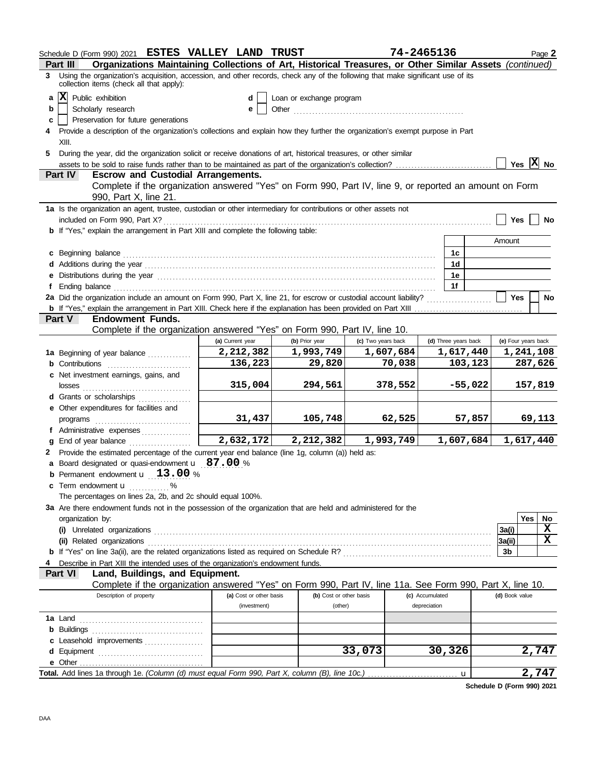| Schedule D (Form 990) 2021 ESTES VALLEY LAND TRUST                                                                                                                                                                                                          |                                                                                                                                  |                          |                    | 74-2465136      |                      |                | Page 2              |  |
|-------------------------------------------------------------------------------------------------------------------------------------------------------------------------------------------------------------------------------------------------------------|----------------------------------------------------------------------------------------------------------------------------------|--------------------------|--------------------|-----------------|----------------------|----------------|---------------------|--|
| Organizations Maintaining Collections of Art, Historical Treasures, or Other Similar Assets (continued)<br>Part III<br>Using the organization's acquisition, accession, and other records, check any of the following that make significant use of its<br>3 |                                                                                                                                  |                          |                    |                 |                      |                |                     |  |
| collection items (check all that apply):                                                                                                                                                                                                                    |                                                                                                                                  |                          |                    |                 |                      |                |                     |  |
| $ {\bf x} $<br>Public exhibition<br>a                                                                                                                                                                                                                       |                                                                                                                                  | Loan or exchange program |                    |                 |                      |                |                     |  |
| Scholarly research<br>b                                                                                                                                                                                                                                     |                                                                                                                                  | Other                    |                    |                 |                      |                |                     |  |
| Preservation for future generations<br>c                                                                                                                                                                                                                    | 4 Provide a description of the organization's collections and explain how they further the organization's exempt purpose in Part |                          |                    |                 |                      |                |                     |  |
| XIII.                                                                                                                                                                                                                                                       |                                                                                                                                  |                          |                    |                 |                      |                |                     |  |
| During the year, did the organization solicit or receive donations of art, historical treasures, or other similar<br>5                                                                                                                                      |                                                                                                                                  |                          |                    |                 |                      |                |                     |  |
|                                                                                                                                                                                                                                                             |                                                                                                                                  |                          |                    |                 |                      |                | Yes $X$ No          |  |
| Part IV<br><b>Escrow and Custodial Arrangements.</b>                                                                                                                                                                                                        |                                                                                                                                  |                          |                    |                 |                      |                |                     |  |
| Complete if the organization answered "Yes" on Form 990, Part IV, line 9, or reported an amount on Form<br>990, Part X, line 21.                                                                                                                            |                                                                                                                                  |                          |                    |                 |                      |                |                     |  |
| 1a Is the organization an agent, trustee, custodian or other intermediary for contributions or other assets not                                                                                                                                             |                                                                                                                                  |                          |                    |                 |                      |                |                     |  |
| included on Form 990, Part X?                                                                                                                                                                                                                               |                                                                                                                                  |                          |                    |                 |                      | <b>Yes</b>     | No                  |  |
| <b>b</b> If "Yes," explain the arrangement in Part XIII and complete the following table:                                                                                                                                                                   |                                                                                                                                  |                          |                    |                 |                      |                |                     |  |
|                                                                                                                                                                                                                                                             |                                                                                                                                  |                          |                    |                 |                      | Amount         |                     |  |
| c Beginning balance expressions and the contract of the contract of the contract of the contract of the contract of the contract of the contract of the contract of the contract of the contract of the contract of the contra                              |                                                                                                                                  |                          |                    |                 | 1c                   |                |                     |  |
|                                                                                                                                                                                                                                                             |                                                                                                                                  |                          |                    |                 | 1d                   |                |                     |  |
| e Distributions during the year manufactured contains and the year manufactured with the year manufactured with the set of the set of the set of the set of the set of the set of the set of the set of the set of the set of                               |                                                                                                                                  |                          |                    |                 | 1е<br>1f             |                |                     |  |
| f<br>2a Did the organization include an amount on Form 990, Part X, line 21, for escrow or custodial account liability?                                                                                                                                     |                                                                                                                                  |                          |                    |                 |                      | <b>Yes</b>     | No                  |  |
|                                                                                                                                                                                                                                                             |                                                                                                                                  |                          |                    |                 |                      |                |                     |  |
| <b>Endowment Funds.</b><br><b>Part V</b>                                                                                                                                                                                                                    |                                                                                                                                  |                          |                    |                 |                      |                |                     |  |
| Complete if the organization answered "Yes" on Form 990, Part IV, line 10.                                                                                                                                                                                  |                                                                                                                                  |                          |                    |                 |                      |                |                     |  |
|                                                                                                                                                                                                                                                             | (a) Current year                                                                                                                 | (b) Prior year           | (c) Two years back |                 | (d) Three years back |                | (e) Four years back |  |
| 1a Beginning of year balance                                                                                                                                                                                                                                | 2,212,382                                                                                                                        | 1,993,749                | 1,607,684          |                 | 1,617,440            |                | 1,241,108           |  |
| <b>b</b> Contributions <b>contributions</b>                                                                                                                                                                                                                 | 136,223                                                                                                                          | 29,820                   |                    | 70,038          | 103,123              |                | 287,626             |  |
| c Net investment earnings, gains, and                                                                                                                                                                                                                       |                                                                                                                                  |                          |                    |                 |                      |                |                     |  |
|                                                                                                                                                                                                                                                             | 315,004                                                                                                                          | 294,561                  | 378,552            |                 | $-55,022$            |                | 157,819             |  |
| d Grants or scholarships                                                                                                                                                                                                                                    |                                                                                                                                  |                          |                    |                 |                      |                |                     |  |
| e Other expenditures for facilities and                                                                                                                                                                                                                     |                                                                                                                                  |                          |                    |                 |                      |                |                     |  |
| programs                                                                                                                                                                                                                                                    | 31,437                                                                                                                           | 105,748                  |                    | 62,525          | 57,857               |                | 69,113              |  |
| f Administrative expenses<br>End of year balance<br>a                                                                                                                                                                                                       | $\overline{2,632,172}$                                                                                                           | 2,212,382                | 1,993,749          |                 | 1,607,684            |                | 1,617,440           |  |
| 2 Provide the estimated percentage of the current year end balance (line 1g, column (a)) held as:                                                                                                                                                           |                                                                                                                                  |                          |                    |                 |                      |                |                     |  |
| a Board designated or quasi-endowment <b>u</b> 87.00 %                                                                                                                                                                                                      |                                                                                                                                  |                          |                    |                 |                      |                |                     |  |
| Permanent endowment <b>u</b> 13.00 %<br>b                                                                                                                                                                                                                   |                                                                                                                                  |                          |                    |                 |                      |                |                     |  |
| Term endowment <b>u</b> %<br>c                                                                                                                                                                                                                              |                                                                                                                                  |                          |                    |                 |                      |                |                     |  |
| The percentages on lines 2a, 2b, and 2c should equal 100%.                                                                                                                                                                                                  |                                                                                                                                  |                          |                    |                 |                      |                |                     |  |
| 3a Are there endowment funds not in the possession of the organization that are held and administered for the                                                                                                                                               |                                                                                                                                  |                          |                    |                 |                      |                |                     |  |
| organization by:                                                                                                                                                                                                                                            |                                                                                                                                  |                          |                    |                 |                      |                | Yes<br>No           |  |
|                                                                                                                                                                                                                                                             |                                                                                                                                  |                          |                    |                 |                      | 3a(i)          | X                   |  |
|                                                                                                                                                                                                                                                             |                                                                                                                                  |                          |                    |                 |                      | 3a(ii)         | X                   |  |
|                                                                                                                                                                                                                                                             |                                                                                                                                  |                          |                    |                 |                      | 3b             |                     |  |
| Describe in Part XIII the intended uses of the organization's endowment funds.<br>Part VI<br>Land, Buildings, and Equipment.                                                                                                                                |                                                                                                                                  |                          |                    |                 |                      |                |                     |  |
| Complete if the organization answered "Yes" on Form 990, Part IV, line 11a. See Form 990, Part X, line 10.                                                                                                                                                  |                                                                                                                                  |                          |                    |                 |                      |                |                     |  |
| Description of property                                                                                                                                                                                                                                     | (a) Cost or other basis                                                                                                          | (b) Cost or other basis  |                    | (c) Accumulated |                      | (d) Book value |                     |  |
|                                                                                                                                                                                                                                                             | (investment)                                                                                                                     | (other)                  |                    | depreciation    |                      |                |                     |  |
|                                                                                                                                                                                                                                                             |                                                                                                                                  |                          |                    |                 |                      |                |                     |  |
|                                                                                                                                                                                                                                                             |                                                                                                                                  |                          |                    |                 |                      |                |                     |  |
| c Leasehold improvements                                                                                                                                                                                                                                    |                                                                                                                                  |                          |                    |                 |                      |                |                     |  |
|                                                                                                                                                                                                                                                             |                                                                                                                                  |                          | 33,073             |                 | 30,326               |                | 2,747               |  |
|                                                                                                                                                                                                                                                             |                                                                                                                                  |                          |                    |                 |                      |                |                     |  |
|                                                                                                                                                                                                                                                             |                                                                                                                                  |                          |                    |                 | $\mathbf u$          |                | 2,747               |  |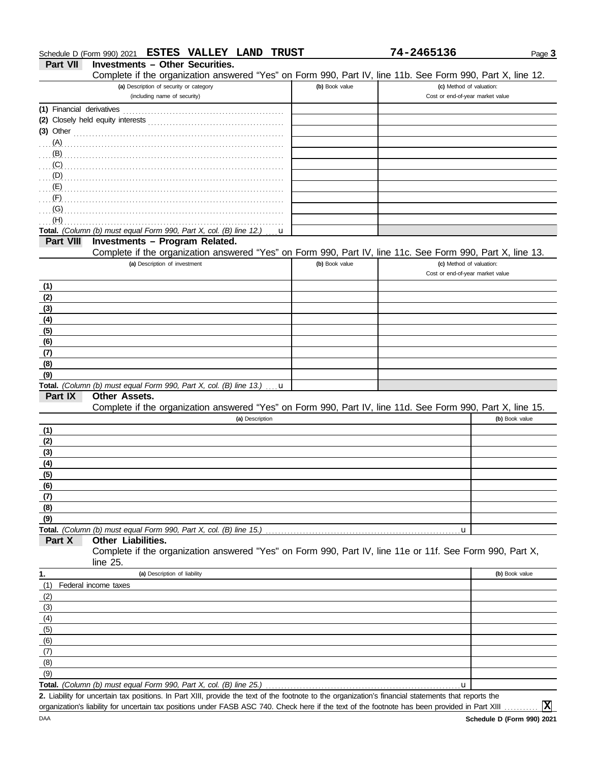|  | Schedule D (Form 990) 2021 | <b>ESTES</b> | <b>VALLEY</b> | <b>LAND</b> | <b>TRUST</b> | 24651<br>74. | Page 3 |
|--|----------------------------|--------------|---------------|-------------|--------------|--------------|--------|
|--|----------------------------|--------------|---------------|-------------|--------------|--------------|--------|

**Part VII Investments – Other Securities.**

Complete if the organization answered "Yes" on Form 990, Part IV, line 11b. See Form 990, Part X, line 12.

| Complete if the organization answered "Yes" on Form 990, Part IV, line 110. See Form 990, Part X, line 12.                                                                                                                           |                |                                                              |                |
|--------------------------------------------------------------------------------------------------------------------------------------------------------------------------------------------------------------------------------------|----------------|--------------------------------------------------------------|----------------|
| (a) Description of security or category<br>(including name of security)                                                                                                                                                              | (b) Book value | (c) Method of valuation:<br>Cost or end-of-year market value |                |
|                                                                                                                                                                                                                                      |                |                                                              |                |
|                                                                                                                                                                                                                                      |                |                                                              |                |
|                                                                                                                                                                                                                                      |                |                                                              |                |
| (3) Other <u>with continuum and the contract of the contract of the contract of the contract of the contract of the contract of the contract of the contract of the contract of the contract of the contract of the contract of </u> |                |                                                              |                |
| $(A)$ .<br>(B)                                                                                                                                                                                                                       |                |                                                              |                |
| (C)                                                                                                                                                                                                                                  |                |                                                              |                |
| (D)                                                                                                                                                                                                                                  |                |                                                              |                |
| (E)                                                                                                                                                                                                                                  |                |                                                              |                |
| (F)                                                                                                                                                                                                                                  |                |                                                              |                |
| (G)                                                                                                                                                                                                                                  |                |                                                              |                |
| (H)                                                                                                                                                                                                                                  |                |                                                              |                |
| Total. (Column (b) must equal Form 990, Part X, col. (B) line 12.)<br>$\mathbf{u}$                                                                                                                                                   |                |                                                              |                |
| Investments - Program Related.<br><b>Part VIII</b>                                                                                                                                                                                   |                |                                                              |                |
| Complete if the organization answered "Yes" on Form 990, Part IV, line 11c. See Form 990, Part X, line 13.                                                                                                                           |                |                                                              |                |
| (a) Description of investment                                                                                                                                                                                                        | (b) Book value | (c) Method of valuation:                                     |                |
|                                                                                                                                                                                                                                      |                | Cost or end-of-year market value                             |                |
| (1)                                                                                                                                                                                                                                  |                |                                                              |                |
| (2)                                                                                                                                                                                                                                  |                |                                                              |                |
| (3)                                                                                                                                                                                                                                  |                |                                                              |                |
| (4)                                                                                                                                                                                                                                  |                |                                                              |                |
| (5)                                                                                                                                                                                                                                  |                |                                                              |                |
| (6)                                                                                                                                                                                                                                  |                |                                                              |                |
| (7)                                                                                                                                                                                                                                  |                |                                                              |                |
| (8)                                                                                                                                                                                                                                  |                |                                                              |                |
| (9)                                                                                                                                                                                                                                  |                |                                                              |                |
| Total. (Column (b) must equal Form 990, Part X, col. (B) line 13.)<br>. . u                                                                                                                                                          |                |                                                              |                |
| Part IX<br>Other Assets.                                                                                                                                                                                                             |                |                                                              |                |
| Complete if the organization answered "Yes" on Form 990, Part IV, line 11d. See Form 990, Part X, line 15.                                                                                                                           |                |                                                              |                |
| (a) Description                                                                                                                                                                                                                      |                |                                                              | (b) Book value |
| (1)                                                                                                                                                                                                                                  |                |                                                              |                |
| (2)                                                                                                                                                                                                                                  |                |                                                              |                |
| (3)                                                                                                                                                                                                                                  |                |                                                              |                |
| (4)                                                                                                                                                                                                                                  |                |                                                              |                |
| (5)                                                                                                                                                                                                                                  |                |                                                              |                |
| (6)                                                                                                                                                                                                                                  |                |                                                              |                |
| (7)                                                                                                                                                                                                                                  |                |                                                              |                |
| (8)                                                                                                                                                                                                                                  |                |                                                              |                |
| (9)                                                                                                                                                                                                                                  |                |                                                              |                |
| Total. (Column (b) must equal Form 990, Part X, col. (B) line 15.)<br>Part X<br>Other Liabilities.                                                                                                                                   |                | u                                                            |                |
| Complete if the organization answered "Yes" on Form 990, Part IV, line 11e or 11f. See Form 990, Part X,                                                                                                                             |                |                                                              |                |
| line $25$ .                                                                                                                                                                                                                          |                |                                                              |                |
| (a) Description of liability<br>1.                                                                                                                                                                                                   |                |                                                              | (b) Book value |
| (1)<br>Federal income taxes                                                                                                                                                                                                          |                |                                                              |                |
| (2)                                                                                                                                                                                                                                  |                |                                                              |                |
| (3)                                                                                                                                                                                                                                  |                |                                                              |                |
| (4)                                                                                                                                                                                                                                  |                |                                                              |                |
| (5)                                                                                                                                                                                                                                  |                |                                                              |                |
| (6)                                                                                                                                                                                                                                  |                |                                                              |                |
| (7)                                                                                                                                                                                                                                  |                |                                                              |                |
| (8)                                                                                                                                                                                                                                  |                |                                                              |                |
| (9)                                                                                                                                                                                                                                  |                |                                                              |                |
| Total. (Column (b) must equal Form 990, Part X, col. (B) line 25.)                                                                                                                                                                   |                | u                                                            |                |
| 2. Liability for uncertain tax positions. In Part XIII, provide the text of the footnote to the organization's financial statements that reports the                                                                                 |                |                                                              |                |

organization's liability for uncertain tax positions under FASB ASC 740. Check here if the text of the footnote has been provided in Part XIII ............

**X**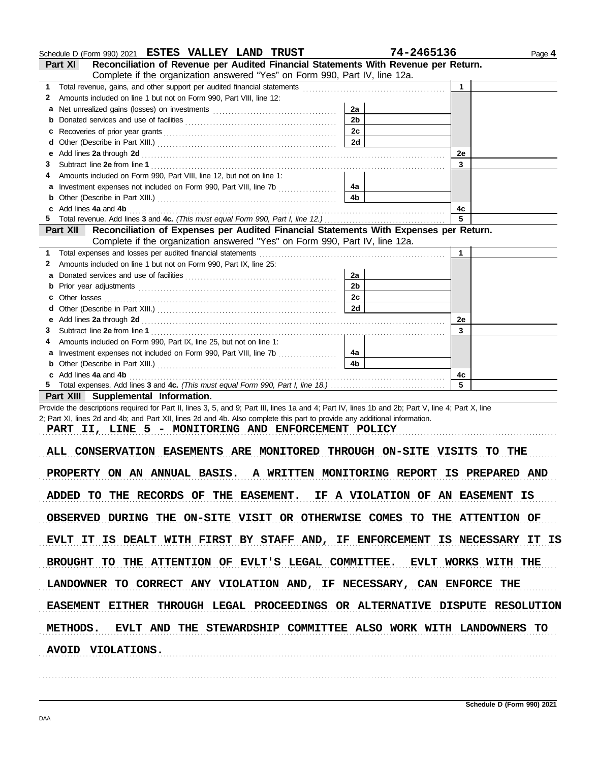|    | Schedule D (Form 990) 2021 ESTES VALLEY LAND TRUST                                                                                                 | 74-2465136     |    | Page 4 |
|----|----------------------------------------------------------------------------------------------------------------------------------------------------|----------------|----|--------|
|    | Reconciliation of Revenue per Audited Financial Statements With Revenue per Return.<br>Part XI                                                     |                |    |        |
|    | Complete if the organization answered "Yes" on Form 990, Part IV, line 12a.                                                                        |                |    |        |
| 1. | Total revenue, gains, and other support per audited financial statements [111] Total revenues controlled to the                                    |                | 1  |        |
| 2  | Amounts included on line 1 but not on Form 990, Part VIII, line 12:                                                                                |                |    |        |
| a  |                                                                                                                                                    | 2a             |    |        |
| b  |                                                                                                                                                    | 2 <sub>b</sub> |    |        |
| с  |                                                                                                                                                    | 2c             |    |        |
| d  |                                                                                                                                                    | 2d             |    |        |
| е  | Add lines 2a through 2d [[[[[[[[[[[[[[[[[[[[[[[[[]]]]]]]]]] Add lines 2a through 2d                                                                |                | 2e |        |
| З  |                                                                                                                                                    |                | 3  |        |
|    | Amounts included on Form 990, Part VIII, line 12, but not on line 1:                                                                               |                |    |        |
| а  | Investment expenses not included on Form 990, Part VIII, line 7b                                                                                   | 4a             |    |        |
| b  |                                                                                                                                                    | 4b             |    |        |
| c  | Add lines 4a and 4b                                                                                                                                |                | 4c |        |
| 5  |                                                                                                                                                    |                | 5  |        |
|    | Reconciliation of Expenses per Audited Financial Statements With Expenses per Return.<br>Part XII                                                  |                |    |        |
|    | Complete if the organization answered "Yes" on Form 990, Part IV, line 12a.                                                                        |                |    |        |
| 1. | Total expenses and losses per audited financial statements                                                                                         |                | 1  |        |
| 2  | Amounts included on line 1 but not on Form 990, Part IX, line 25:                                                                                  |                |    |        |
| a  |                                                                                                                                                    | 2a             |    |        |
| b  |                                                                                                                                                    | 2 <sub>b</sub> |    |        |
| с  |                                                                                                                                                    | 2c             |    |        |
| d  |                                                                                                                                                    | 2d             |    |        |
| е  |                                                                                                                                                    |                | 2e |        |
| З  |                                                                                                                                                    |                | 3  |        |
|    | Amounts included on Form 990, Part IX, line 25, but not on line 1:                                                                                 |                |    |        |
| a  | Investment expenses not included on Form 990, Part VIII, line 7b                                                                                   | 4a             |    |        |
| b  |                                                                                                                                                    | 4b             |    |        |
|    | c Add lines 4a and 4b                                                                                                                              |                | 4c |        |
|    |                                                                                                                                                    |                | 5  |        |
|    | Part XIII Supplemental Information.                                                                                                                |                |    |        |
|    | Provide the descriptions required for Part II, lines 3, 5, and 9; Part III, lines 1a and 4; Part IV, lines 1b and 2b; Part V, line 4; Part X, line |                |    |        |
|    | 2; Part XI, lines 2d and 4b; and Part XII, lines 2d and 4b. Also complete this part to provide any additional information.                         |                |    |        |
|    | PART II, LINE 5 - MONITORING AND ENFORCEMENT POLICY                                                                                                |                |    |        |
|    |                                                                                                                                                    |                |    |        |
|    | ALL CONSERVATION EASEMENTS ARE MONITORED THROUGH ON-SITE VISITS TO THE                                                                             |                |    |        |
|    |                                                                                                                                                    |                |    |        |
|    | PROPERTY ON AN ANNUAL BASIS. A WRITTEN MONITORING REPORT IS PREPARED AND                                                                           |                |    |        |
|    |                                                                                                                                                    |                |    |        |
|    | ADDED TO THE RECORDS OF THE EASEMENT. IF A VIOLATION OF AN EASEMENT IS                                                                             |                |    |        |
|    |                                                                                                                                                    |                |    |        |
|    | OBSERVED DURING THE ON-SITE VISIT OR OTHERWISE COMES TO THE ATTENTION OF                                                                           |                |    |        |
|    |                                                                                                                                                    |                |    |        |
|    | EVLT IT IS DEALT WITH FIRST BY STAFF AND, IF ENFORCEMENT IS NECESSARY IT IS                                                                        |                |    |        |
|    |                                                                                                                                                    |                |    |        |
|    | BROUGHT TO THE ATTENTION OF EVLT'S LEGAL COMMITTEE. EVLT WORKS WITH THE                                                                            |                |    |        |
|    |                                                                                                                                                    |                |    |        |
|    |                                                                                                                                                    |                |    |        |

LANDOWNER TO CORRECT ANY VIOLATION AND, IF NECESSARY, CAN ENFORCE THE

EASEMENT EITHER THROUGH LEGAL PROCEEDINGS OR ALTERNATIVE DISPUTE RESOLUTION

METHODS. EVLT AND THE STEWARDSHIP COMMITTEE ALSO WORK WITH LANDOWNERS TO

. . . . . . . . . . . . . . . . . . . . . . . . . . . . . . . . . . . . . . . . . . . . . . . . . . . . . . . . . . . . . . . . . . . . . . . . . . . . . . . . . . . . . . . . . . . . . . . . . . . . . . . . . . . . . . . . . . . . . . . . . . . . . . . . . . . . . . . . . . . . . . . . . . . . . . . . . . . . . . . . . . . . . . .

. . . . . . . . . . . . . . . . . . . . . . . . . . . . . . . . . . . . . . . . . . . . . . . . . . . . . . . . . . . . . . . . . . . . . . . . . . . . . . . . . . . . . . . . . . . . . . . . . . . . . . . . . . . . . . . . . . . . . . . . . . . . . . . . . . . . . . . . . . . . . . . . . . . . . . . . . . . . . . . . . . . . . . .

**AVOID VIOLATIONS.**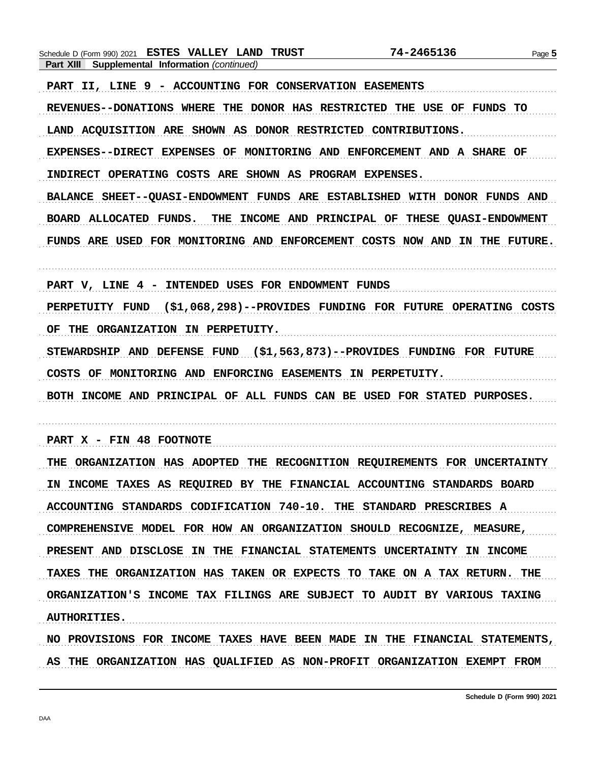Schedule D (Form 990) 2021 ESTES VALLEY LAND TRUST 74-2465136 Page 5 Part XIII Supplemental Information (continued) PART II, LINE 9 - ACCOUNTING FOR CONSERVATION EASEMENTS REVENUES--DONATIONS WHERE THE DONOR HAS RESTRICTED THE USE OF FUNDS TO LAND ACOUISITION ARE SHOWN AS DONOR RESTRICTED CONTRIBUTIONS. EXPENSES--DIRECT EXPENSES OF MONITORING AND ENFORCEMENT AND A SHARE OF INDIRECT OPERATING COSTS ARE SHOWN AS PROGRAM EXPENSES. BALANCE SHEET--QUASI-ENDOWMENT FUNDS ARE ESTABLISHED WITH DONOR FUNDS AND BOARD ALLOCATED FUNDS. THE INCOME AND PRINCIPAL OF THESE QUASI-ENDOWMENT FUNDS ARE USED FOR MONITORING AND ENFORCEMENT COSTS NOW AND IN THE FUTURE. PART V, LINE 4 - INTENDED USES FOR ENDOWMENT FUNDS PERPETUITY FUND (\$1,068,298)--PROVIDES FUNDING FOR FUTURE OPERATING COSTS OF THE ORGANIZATION IN PERPETUITY. STEWARDSHIP AND DEFENSE FUND (\$1,563,873)--PROVIDES FUNDING FOR FUTURE COSTS OF MONITORING AND ENFORCING EASEMENTS IN PERPETUITY. BOTH INCOME AND PRINCIPAL OF ALL FUNDS CAN BE USED FOR STATED PURPOSES. PART X - FIN 48 FOOTNOTE THE ORGANIZATION HAS ADOPTED THE RECOGNITION REQUIREMENTS FOR UNCERTAINTY IN INCOME TAXES AS REQUIRED BY THE FINANCIAL ACCOUNTING STANDARDS BOARD ACCOUNTING STANDARDS CODIFICATION 740-10. THE STANDARD PRESCRIBES A COMPREHENSIVE MODEL FOR HOW AN ORGANIZATION SHOULD RECOGNIZE, MEASURE, PRESENT AND DISCLOSE IN THE FINANCIAL STATEMENTS UNCERTAINTY IN INCOME TAXES THE ORGANIZATION HAS TAKEN OR EXPECTS TO TAKE ON A TAX RETURN. THE ORGANIZATION'S INCOME TAX FILINGS ARE SUBJECT TO AUDIT BY VARIOUS TAXING **AUTHORITIES.** NO PROVISIONS FOR INCOME TAXES HAVE BEEN MADE IN THE FINANCIAL STATEMENTS, AS THE ORGANIZATION HAS QUALIFIED AS NON-PROFIT ORGANIZATION EXEMPT FROM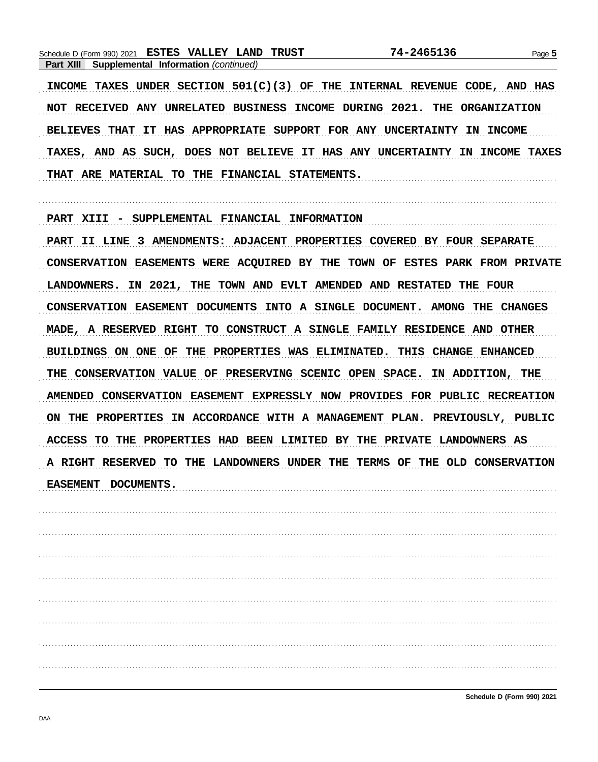|           | Schedule D (Form 990) 2021                  | <b>ESTES VALLEY</b> | LAND | TRUST | 74-2465136 | Page 5 |
|-----------|---------------------------------------------|---------------------|------|-------|------------|--------|
| Part XIII | <b>Supplemental Information (continued)</b> |                     |      |       |            |        |
|           |                                             |                     |      |       |            |        |

INCOME TAXES UNDER SECTION 501(C)(3) OF THE INTERNAL REVENUE CODE, AND HAS NOT RECEIVED ANY UNRELATED BUSINESS INCOME DURING 2021. THE ORGANIZATION BELIEVES THAT IT HAS APPROPRIATE SUPPORT FOR ANY UNCERTAINTY IN INCOME TAXES, AND AS SUCH, DOES NOT BELIEVE IT HAS ANY UNCERTAINTY IN INCOME TAXES THAT ARE MATERIAL TO THE FINANCIAL STATEMENTS.

PART XIII - SUPPLEMENTAL FINANCIAL INFORMATION

PART II LINE 3 AMENDMENTS: ADJACENT PROPERTIES COVERED BY FOUR SEPARATE CONSERVATION EASEMENTS WERE ACQUIRED BY THE TOWN OF ESTES PARK FROM PRIVATE LANDOWNERS. IN 2021, THE TOWN AND EVLT AMENDED AND RESTATED THE FOUR CONSERVATION EASEMENT DOCUMENTS INTO A SINGLE DOCUMENT. AMONG THE CHANGES MADE, A RESERVED RIGHT TO CONSTRUCT A SINGLE FAMILY RESIDENCE AND OTHER BUILDINGS ON ONE OF THE PROPERTIES WAS ELIMINATED. THIS CHANGE ENHANCED THE CONSERVATION VALUE OF PRESERVING SCENIC OPEN SPACE. IN ADDITION, THE AMENDED CONSERVATION EASEMENT EXPRESSLY NOW PROVIDES FOR PUBLIC RECREATION ON THE PROPERTIES IN ACCORDANCE WITH A MANAGEMENT PLAN. PREVIOUSLY, PUBLIC ACCESS TO THE PROPERTIES HAD BEEN LIMITED BY THE PRIVATE LANDOWNERS AS A RIGHT RESERVED TO THE LANDOWNERS UNDER THE TERMS OF THE OLD CONSERVATION EASEMENT DOCUMENTS.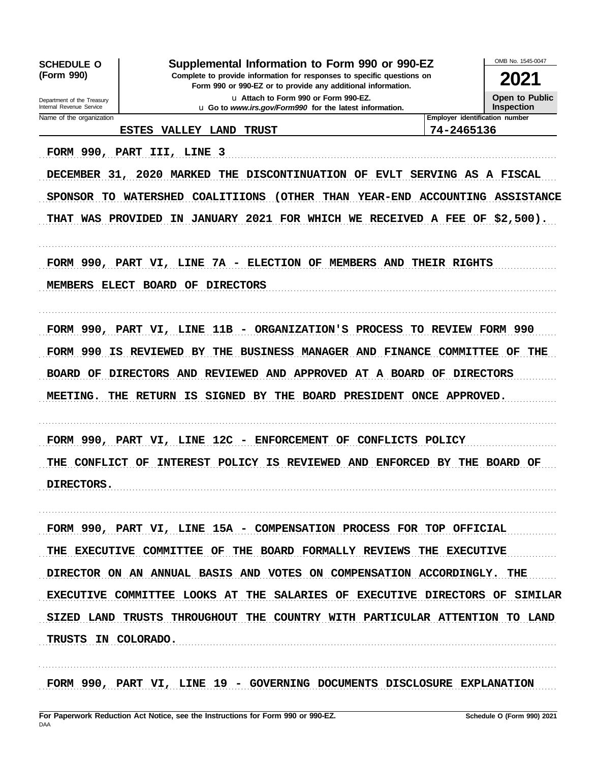OMB No. 1545-0047 Supplemental Information to Form 990 or 990-EZ **SCHEDULE O** (Form 990) Complete to provide information for responses to specific questions on 2021 Form 990 or 990-EZ or to provide any additional information. Open to Public u Attach to Form 990 or Form 990-EZ. Department of the Treasury u Go to www.irs.gov/Form990 for the latest information. Internal Revenue Service Inspection Employer identification number Name of the organization ESTES VALLEY LAND TRUST 74-2465136 FORM 990, PART III, LINE 3 DECEMBER 31, 2020 MARKED THE DISCONTINUATION OF EVLT SERVING AS A FISCAL SPONSOR TO WATERSHED COALITIIONS (OTHER THAN YEAR-END ACCOUNTING ASSISTANCE THAT WAS PROVIDED IN JANUARY 2021 FOR WHICH WE RECEIVED A FEE OF \$2,500). FORM 990, PART VI, LINE 7A - ELECTION OF MEMBERS AND THEIR RIGHTS MEMBERS ELECT BOARD OF DIRECTORS FORM 990, PART VI, LINE 11B - ORGANIZATION'S PROCESS TO REVIEW FORM 990 FORM 990 IS REVIEWED BY THE BUSINESS MANAGER AND FINANCE COMMITTEE OF THE BOARD OF DIRECTORS AND REVIEWED AND APPROVED AT A BOARD OF DIRECTORS MEETING. THE RETURN IS SIGNED BY THE BOARD PRESIDENT ONCE APPROVED. FORM 990, PART VI, LINE 12C - ENFORCEMENT OF CONFLICTS POLICY THE CONFLICT OF INTEREST POLICY IS REVIEWED AND ENFORCED BY THE BOARD OF DIRECTORS. FORM 990, PART VI, LINE 15A - COMPENSATION PROCESS FOR TOP OFFICIAL THE EXECUTIVE COMMITTEE OF THE BOARD FORMALLY REVIEWS THE EXECUTIVE DIRECTOR ON AN ANNUAL BASIS AND VOTES ON COMPENSATION ACCORDINGLY. THE EXECUTIVE COMMITTEE LOOKS AT THE SALARIES OF EXECUTIVE DIRECTORS OF SIMILAR SIZED LAND TRUSTS THROUGHOUT THE COUNTRY WITH PARTICULAR ATTENTION TO LAND TRUSTS IN COLORADO.

FORM 990, PART VI, LINE 19 - GOVERNING DOCUMENTS DISCLOSURE EXPLANATION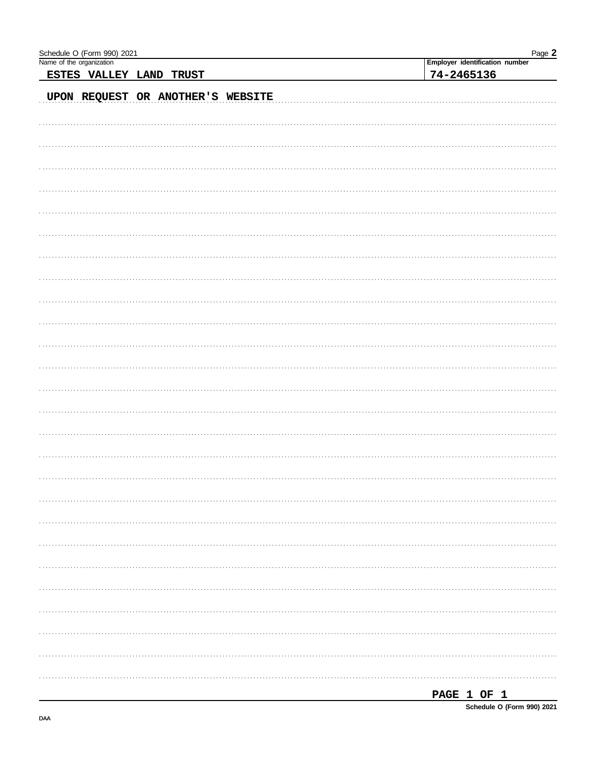| Schedule O (Form 990) 2021<br>Name of the organization | Page 2<br>Employer identification number |
|--------------------------------------------------------|------------------------------------------|
| ESTES VALLEY LAND TRUST                                | 74-2465136                               |
|                                                        |                                          |
| UPON REQUEST OR ANOTHER'S WEBSITE                      |                                          |
|                                                        |                                          |
|                                                        |                                          |
|                                                        |                                          |
|                                                        |                                          |
|                                                        |                                          |
|                                                        |                                          |
|                                                        |                                          |
|                                                        |                                          |
|                                                        |                                          |
|                                                        |                                          |
|                                                        |                                          |
|                                                        |                                          |
|                                                        |                                          |
|                                                        |                                          |
|                                                        |                                          |
|                                                        |                                          |
|                                                        |                                          |
|                                                        |                                          |
|                                                        |                                          |
|                                                        |                                          |
|                                                        |                                          |
|                                                        |                                          |
|                                                        |                                          |
|                                                        |                                          |
|                                                        |                                          |
|                                                        |                                          |
|                                                        |                                          |
|                                                        |                                          |
|                                                        |                                          |
|                                                        |                                          |
|                                                        |                                          |
|                                                        |                                          |
|                                                        |                                          |
|                                                        |                                          |
|                                                        |                                          |
|                                                        |                                          |
|                                                        |                                          |
|                                                        |                                          |
|                                                        |                                          |
|                                                        |                                          |
|                                                        |                                          |
|                                                        | PACE 1 OF 1                              |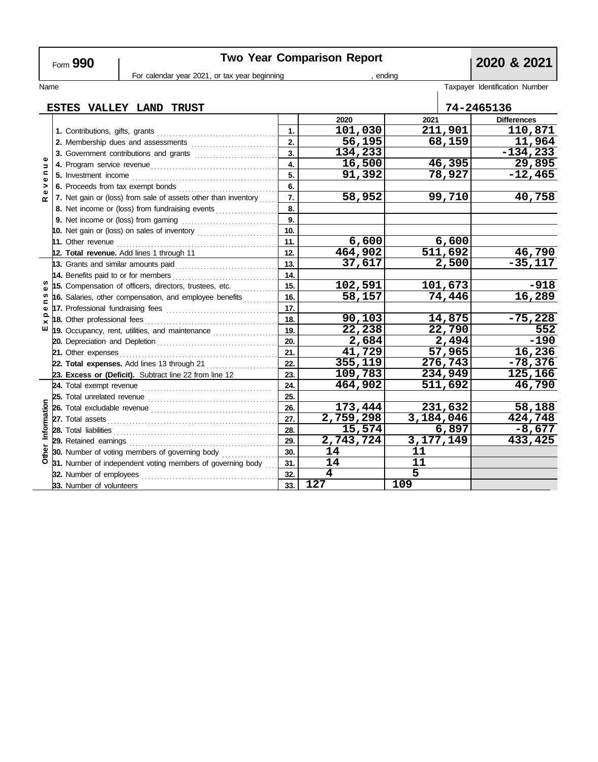| <b>Two Year Comparison Report</b><br>Form 990 |                                    |                             |                                                                                         |     |                         | 2020 & 2021       |                      |                                |  |  |
|-----------------------------------------------|------------------------------------|-----------------------------|-----------------------------------------------------------------------------------------|-----|-------------------------|-------------------|----------------------|--------------------------------|--|--|
| For calendar year 2021, or tax year beginning |                                    |                             |                                                                                         |     | , ending                |                   |                      |                                |  |  |
| Name                                          |                                    |                             |                                                                                         |     |                         |                   |                      | Taxpayer Identification Number |  |  |
|                                               |                                    |                             |                                                                                         |     |                         |                   |                      |                                |  |  |
|                                               |                                    |                             | ESTES VALLEY LAND TRUST                                                                 |     |                         |                   |                      | 74-2465136                     |  |  |
|                                               |                                    |                             |                                                                                         |     | 2020                    | 2021              |                      | <b>Differences</b>             |  |  |
| Φ                                             |                                    |                             |                                                                                         |     | 101,030                 | 211,901           |                      | 110,871                        |  |  |
|                                               | 2. Membership dues and assessments |                             |                                                                                         |     | 56,195                  | 68,159            |                      | 11,964                         |  |  |
|                                               |                                    |                             |                                                                                         | 3.  | 134,233                 |                   |                      | $-134, 233$                    |  |  |
| $\Rightarrow$                                 |                                    |                             |                                                                                         | 4.  | 16,500                  |                   | 46,395               | 29,895                         |  |  |
| $\blacksquare$<br>$\pmb{\omega}$              |                                    |                             |                                                                                         | 5.  | 91,392                  |                   | 78,927               | $-12,465$                      |  |  |
| >                                             |                                    |                             |                                                                                         | 6.  |                         |                   |                      |                                |  |  |
| œ                                             |                                    |                             | 7. Net gain or (loss) from sale of assets other than inventory                          | 7.  | 58,952                  |                   | 99,710               | 40,758                         |  |  |
|                                               |                                    |                             | 8. Net income or (loss) from fundraising events                                         | 8.  |                         |                   |                      |                                |  |  |
|                                               |                                    |                             |                                                                                         | 9.  |                         |                   |                      |                                |  |  |
|                                               |                                    |                             | 10. Net gain or (loss) on sales of inventory                                            | 10. |                         |                   |                      |                                |  |  |
|                                               |                                    |                             | 11. Other revenue $\begin{bmatrix} 1 & 1 & 1 \\ 1 & 1 & 1 \\ 1 & 1 & 1 \end{bmatrix}$   | 11. | 6,600                   |                   | 6,600                |                                |  |  |
|                                               |                                    |                             | 12. Total revenue. Add lines 1 through 11                                               | 12. | 464,902                 |                   | $\overline{511,692}$ | 46,790                         |  |  |
|                                               |                                    |                             | 13. Grants and similar amounts paid                                                     | 13. | 37,617                  |                   | 2,500                | $-35,117$                      |  |  |
| w                                             |                                    |                             |                                                                                         | 14. |                         |                   |                      |                                |  |  |
|                                               |                                    |                             | 15. Compensation of officers, directors, trustees, etc.                                 | 15. | 102,591                 |                   | 101,673              | $-918$                         |  |  |
| c                                             |                                    |                             | 16. Salaries, other compensation, and employee benefits                                 | 16. | 58,157                  |                   | 74,446               | 16,289                         |  |  |
| Ф<br>$\Omega$                                 |                                    |                             |                                                                                         | 17. |                         |                   |                      |                                |  |  |
| $\times$                                      |                                    | 18. Other professional fees |                                                                                         | 18. | 90,103                  |                   | 14,875               | $-75,228$                      |  |  |
| ш                                             |                                    |                             | 19. Occupancy, rent, utilities, and maintenance                                         | 19. | 22,238                  |                   | 22,790               | 552                            |  |  |
|                                               |                                    |                             |                                                                                         | 20. | 2,684                   |                   | 2,494                | $-190$                         |  |  |
|                                               |                                    | 21. Other expenses          |                                                                                         | 21. | 41,729                  |                   | 57,965               | 16,236                         |  |  |
|                                               |                                    |                             | 22. Total expenses. Add lines 13 through 21                                             | 22. | 355,119                 |                   | 276,743              | $-78,376$                      |  |  |
|                                               |                                    |                             | 23. Excess or (Deficit). Subtract line 22 from line 12                                  | 23. | 109,783                 |                   | 234,949              | 125,166                        |  |  |
|                                               |                                    | 24. Total exempt revenue    |                                                                                         | 24. | 464,902                 |                   | 511,692              | 46,790                         |  |  |
|                                               |                                    |                             |                                                                                         | 25. |                         |                   |                      |                                |  |  |
|                                               |                                    |                             |                                                                                         | 26. | 173,444                 |                   | 231,632              | 58,188                         |  |  |
|                                               |                                    |                             | 27. Total assets <b>contained</b> asset <b>27.</b> Total assets <b>contained assets</b> | 27. | 2,759,298               | 3,184,046         |                      | 424,748                        |  |  |
| Information                                   |                                    |                             |                                                                                         | 28. | 15,574                  |                   | 6,897                | $-8,677$                       |  |  |
|                                               |                                    |                             |                                                                                         | 29. | 2,743,724<br>14         | 3, 177, 149<br>11 |                      | 433,425                        |  |  |
| Other                                         |                                    |                             | <b>30.</b> Number of voting members of governing body                                   | 30. | 14                      | 11                |                      |                                |  |  |
|                                               |                                    |                             | 31. Number of independent voting members of governing body                              | 31. | $\overline{\mathbf{4}}$ | 5                 |                      |                                |  |  |
|                                               |                                    | 32. Number of employees     |                                                                                         | 32. | 127                     | 109               |                      |                                |  |  |
|                                               |                                    | 33. Number of volunteers    |                                                                                         | 33. |                         |                   |                      |                                |  |  |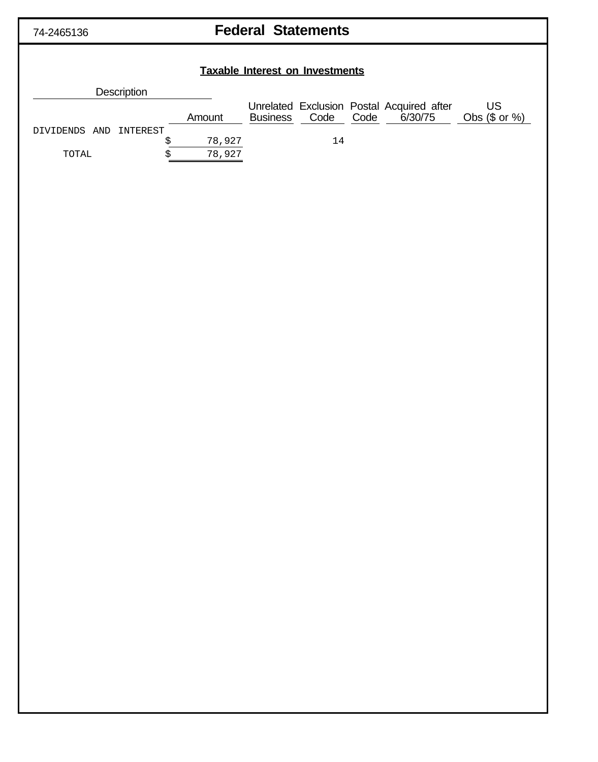## **Federal Statements**

# **Taxable Interest on Investments Description** Unrelated Exclusion Postal Acquired after US Amount Business Code Code 6/30/75 Obs (\$ or %) DIVIDENDS AND INTEREST \$ 78,927 14 TOTAL  $\frac{1}{5}$  78,927